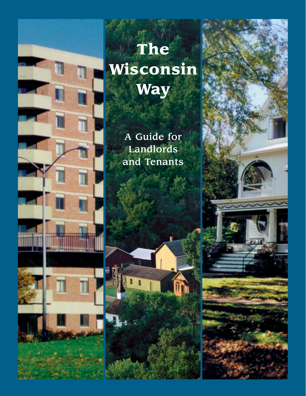

# **The Wisconsin Way**

A Guide for Landlords and Tenants



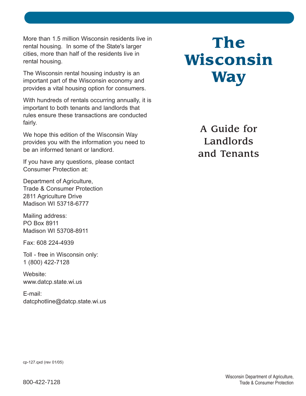More than 1.5 million Wisconsin residents live in rental housing. In some of the State's larger cities, more than half of the residents live in rental housing.

The Wisconsin rental housing industry is an important part of the Wisconsin economy and provides a vital housing option for consumers.

With hundreds of rentals occurring annually, it is important to both tenants and landlords that rules ensure these transactions are conducted fairly.

We hope this edition of the Wisconsin Way provides you with the information you need to be an informed tenant or landlord.

If you have any questions, please contact Consumer Protection at:

Department of Agriculture, Trade & Consumer Protection 2811 Agriculture Drive Madison WI 53718-6777

Mailing address: PO Box 8911 Madison WI 53708-8911

Fax: 608 224-4939

Toll - free in Wisconsin only: 1 (800) 422-7128

Website: www.datcp.state.wi.us

E-mail: datcphotline@datcp.state.wi.us

# **The Wisconsin Way**

A Guide for Landlords and Tenants

cp-127.qxd (rev 01/05)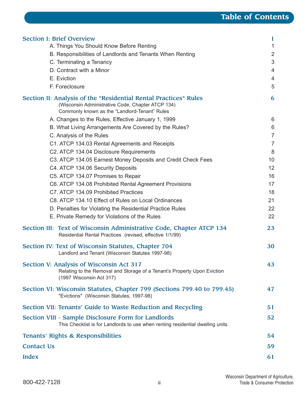| <b>Section I: Brief Overview</b>                                                                                                                                       | 1              |
|------------------------------------------------------------------------------------------------------------------------------------------------------------------------|----------------|
| A. Things You Should Know Before Renting                                                                                                                               |                |
| B. Responsibilities of Landlords and Tenants When Renting                                                                                                              | $\overline{2}$ |
| C. Terminating a Tenancy                                                                                                                                               | 3              |
| D. Contract with a Minor                                                                                                                                               | 4              |
| E. Eviction                                                                                                                                                            | 4              |
| F. Foreclosure                                                                                                                                                         | 5              |
| Section II: Analysis of the "Residential Rental Practices" Rules<br>(Wisconsin Administrative Code, Chapter ATCP 134)<br>Commonly known as the "Landlord-Tenant" Rules | 6              |
| A. Changes to the Rules, Effective January 1, 1999                                                                                                                     | 6              |
| B. What Living Arrangements Are Covered by the Rules?                                                                                                                  | 6              |
| C. Analysis of the Rules                                                                                                                                               | $\overline{7}$ |
| C1. ATCP 134.03 Rental Agreements and Receipts                                                                                                                         | $\overline{7}$ |
| C2. ATCP 134.04 Disclosure Requirements                                                                                                                                | 8              |
| C3. ATCP 134.05 Earnest Money Deposits and Credit Check Fees                                                                                                           | 10             |
| C4. ATCP 134.06 Security Deposits                                                                                                                                      | 12             |
| C5. ATCP 134.07 Promises to Repair                                                                                                                                     | 16             |
| C6. ATCP 134.08 Prohibited Rental Agreement Provisions                                                                                                                 | 17             |
| C7. ATCP 134.09 Prohibited Practices                                                                                                                                   | 18             |
| C8. ATCP 134.10 Effect of Rules on Local Ordinances                                                                                                                    | 21             |
| D. Penalties for Violating the Residential Practice Rules                                                                                                              | 22             |
| E. Private Remedy for Violations of the Rules                                                                                                                          | 22             |
| Section III: Text of Wisconsin Administrative Code, Chapter ATCP 134<br>Residential Rental Practices (revised, effective 1/1/99)                                       | 23             |
| Section IV: Text of Wisconsin Statutes, Chapter 704<br>Landlord and Tenant (Wisconsin Statutes 1997-98)                                                                | 30             |
| Section V: Analysis of Wisconsin Act 317<br>Relating to the Removal and Storage of a Tenant's Property Upon Eviction<br>(1997 Wisconsin Act 317)                       | 43             |
| Section VI: Wisconsin Statutes, Chapter 799 (Sections 799.40 to 799.45)<br>"Evictions" (Wisconsin Statutes, 1997-98)                                                   | 47             |
| Section VII: Tenants' Guide to Waste Reduction and Recycling                                                                                                           | 51             |
| Section VIII - Sample Disclosure Form for Landlords<br>This Checklist is for Landlords to use when renting residential dwelling units.                                 | 52             |
| Tenants' Rights & Responsibilities                                                                                                                                     | 54             |
| <b>Contact Us</b>                                                                                                                                                      | 59             |
| <b>Index</b>                                                                                                                                                           | 61             |
|                                                                                                                                                                        |                |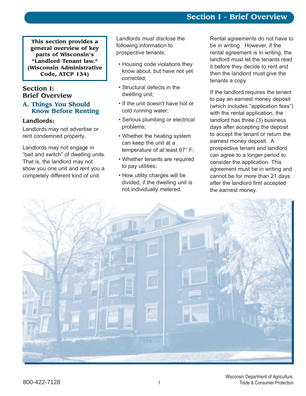# **Section I - Brief Overview**

**This section provides a general overview of key parts of Wisconsin's "Landlord-Tenant law." (Wisconsin Administrative Code, ATCP 134)**

# **Section I: Brief Overview**

#### **A. Things You Should Know Before Renting**

## **Landlords:**

Landlords may not advertise or rent condemned property.

Landlords may not engage in "bait and switch" of dwelling units. That is, the landlord may not show you one unit and rent you a completely different kind of unit.

Landlords *must disclose* the following information to prospective tenants:

- Housing code violations they know about, but have not yet corrected;
- Structural defects in the dwelling unit;
- If the unit doesn't have hot or cold running water;
- Serious plumbing or electrical problems;
- Whether the heating system can keep the unit at a temperature of at least 67° F;
- Whether tenants are required to pay utilities;
- How utility charges will be divided, if the dwelling unit is not individually metered.

Rental agreements do not have to be in writing. However, if the rental agreement is in writing, the landlord must let the tenants read it before they decide to rent and then the landlord must give the tenants a copy.

If the landlord requires the tenant to pay an earnest money deposit (which includes "application fees") with the rental application, the landlord has three (3) business days after accepting the deposit to accept the tenant or return the earnest money deposit. A prospective tenant and landlord can agree to a longer period to consider the application. This agreement must be in writing and cannot be for more than 21 days after the landlord first accepted the earnest money.

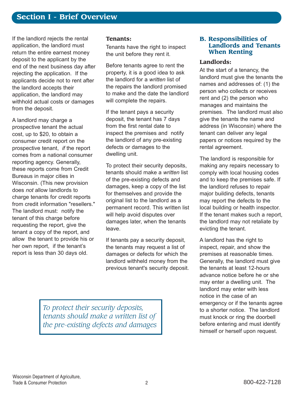If the landlord rejects the rental application, the landlord must return the entire earnest money deposit to the applicant by the end of the next business day after rejecting the application. If the applicants decide not to rent after the landlord accepts their application, the landlord may withhold actual costs or damages from the deposit.

A landlord may charge a prospective tenant the actual cost, up to \$20, to obtain a consumer credit report on the prospective tenant, *if* the report comes from a national consumer reporting agency. Generally, these reports come from Credit Bureaus in major cities in Wisconsin. (This new provision does *not* allow landlords to charge tenants for credit reports from credit information "resellers." The landlord must: notify the tenant of this charge before requesting the report, give the tenant a copy of the report, and allow the tenant to provide his or her own report, if the tenant's report is less than 30 days old.

#### **Tenants:**

Tenants have the right to inspect the unit before they rent it.

Before tenants agree to rent the property, it is a good idea to ask the landlord for a *written* list of the repairs the landlord promised to make and the date the landlord will complete the repairs.

If the tenant pays a security deposit, the tenant has 7 days from the first rental date to inspect the premises and notify the landlord of any pre-existing defects or damages to the dwelling unit.

To protect their security deposits, tenants should make a *written* list of the pre-existing defects and damages, keep a copy of the list for themselves and provide the original list to the landlord as a permanent record. This written list will help avoid disputes over damages later, when the tenants leave.

If tenants pay a security deposit, the tenants may request a list of damages or defects for which the landlord withheld money from the previous tenant's security deposit.

#### **B. Responsibilities of Landlords and Tenants When Renting**

#### **Landlords:**

At the start of a tenancy, the landlord must give the tenants the names and addresses of: (1) the person who collects or receives rent and (2) the person who manages and maintains the premises. The landlord must also give the tenants the name and address (in Wisconsin) where the tenant can deliver any legal papers or notices required by the rental agreement.

The landlord is responsible for making any repairs necessary to comply with local housing codes and to keep the premises safe. If the landlord refuses to repair major building defects, tenants may report the defects to the local building or health inspector. If the tenant makes such a report, the landlord may not retaliate by evicting the tenant.

A landlord has the right to inspect, repair, and show the premises at reasonable times. Generally, the landlord must give the tenants at least 12-hours advance notice before he or she may enter a dwelling unit. The landlord may enter with less notice in the case of an emergency or if the tenants agree to a shorter notice. The landlord must knock or ring the doorbell before entering and must identify himself or herself upon request.

*To protect their security deposits, tenants should make a written list of the pre-existing defects and damages*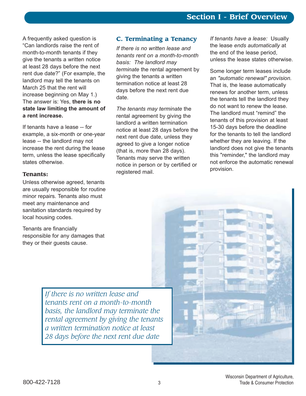A frequently asked question is "Can landlords raise the rent of month-to-month tenants if they give the tenants a written notice at least 28 days before the next rent due date?" (For example, the landlord may tell the tenants on March 25 that the rent will increase beginning on May 1.) The answer is: Yes, **there is no state law limiting the amount of a rent increase.**

If tenants have a lease -- for example, a six-month or one-year lease -- the landlord may not increase the rent during the lease term, unless the lease specifically states otherwise.

#### **Tenants:**

Unless otherwise agreed, tenants are usually responsible for routine minor repairs. Tenants also must meet any maintenance and sanitation standards required by local housing codes.

Tenants are financially responsible for any damages that they or their guests cause.

# **C. Terminating a Tenancy**

*If there is no written lease and tenants rent on a month-to-month basis: The landlord may terminate* the rental agreement by giving the tenants a written termination notice at least 28 days before the next rent due date.

*The tenants may terminate* the rental agreement by giving the landlord a written termination notice at least 28 days before the next rent due date, unless they agreed to give a longer notice (that is, more than 28 days). Tenants may serve the written notice in person or by certified or registered mail.

*If tenants have a lease:* Usually the lease *ends automatically* at the end of the lease period, unless the lease states otherwise.

Some longer term leases include an *"automatic renewal" provision.* That is, the lease automatically renews for another term, unless the tenants tell the landlord they do not want to renew the lease. The landlord must "remind" the tenants of this provision at least 15-30 days before the deadline for the tenants to tell the landlord whether they are leaving. If the landlord does not give the tenants this "reminder," the landlord may not enforce the automatic renewal provision.

*If there is no written lease and tenants rent on a month-to-month basis, the landlord may terminate the rental agreement by giving the tenants a written termination notice at least 28 days before the next rent due date*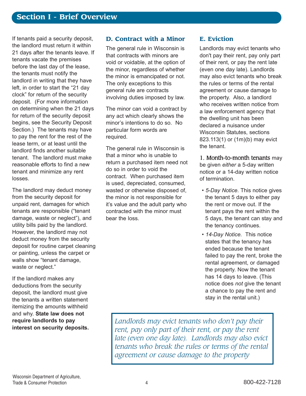If tenants paid a security deposit, the landlord must return it within 21 days after the tenants leave. If tenants vacate the premises before the last day of the lease, the tenants must notify the landlord in writing that they have left, in order to start the "21 day clockî for return of the security deposit. (For more information on determining when the 21 days for return of the security deposit begins, see the Security Deposit Section.) The tenants may have to pay the rent for the rest of the lease term, or at least until the landlord finds another suitable tenant. The landlord must make reasonable efforts to find a new tenant and minimize any rent losses.

The landlord may deduct money from the security deposit for unpaid rent, damages for which tenants are responsible ("tenant damage, waste or neglect"), and utility bills paid by the landlord. However, the landlord may not deduct money from the security deposit for routine carpet cleaning or painting, unless the carpet or walls show "tenant damage, waste or neglect."

If the landlord makes any deductions from the security deposit, the landlord must give the tenants a written statement itemizing the amounts withheld and why. **State law does not require landlords to pay interest on security deposits.**

# **D. Contract with a Minor**

The general rule in Wisconsin is that contracts with minors are void or voidable, at the option of the minor, regardless of whether the minor is emancipated or not. The only exceptions to this general rule are contracts involving duties imposed by law.

The minor can void a contract by any act which clearly shows the minor's intentions to do so. No particular form words are required.

The general rule in Wisconsin is that a minor who is unable to return a purchased item need not do so in order to void the contract. When purchased item is used, depreciated, consumed, wasted or otherwise disposed of, the minor is not responsible for it's value and the adult party who contracted with the minor must bear the loss.

# **E. Eviction**

Landlords may evict tenants who don't pay their rent, pay only part of their rent, or pay the rent late (even one day late). Landlords may also evict tenants who break the rules or terms of the rental agreement or cause damage to the property. Also, a landlord who receives written notice from a law enforcement agency that the dwelling unit has been declared a nuisance under Wisconsin Statutes, sections 823.113(1) or (1m)(b) may evict the tenant.

1. Month-to-month tenants may be given *either* a 5-day written notice or a 14-day written notice of termination.

- 5-Day Notice. This notice gives the tenant 5 days to either pay the rent or move out. If the tenant pays the rent within the 5 days, the tenant can stay and the tenancy continues.
- 14-Day Notice. This notice states that the tenancy has ended because the tenant failed to pay the rent, broke the rental agreement, or damaged the property. Now the tenant has 14 days to leave. (This notice does *not* give the tenant a chance to pay the rent and stay in the rental unit.)

*Landlords may evict tenants who don't pay their rent, pay only part of their rent, or pay the rent late (even one day late). Landlords may also evict tenants who break the rules or terms of the rental agreement or cause damage to the property*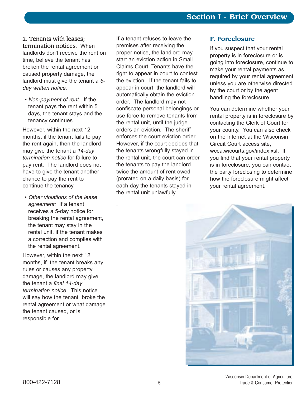# 2. Tenants with leases;

termination notices. When landlords don't receive the rent on time, believe the tenant has broken the rental agreement or caused property damage, the landlord must give the tenant a *5 day written notice.* 

• Non-payment of rent: If the tenant pays the rent within 5 days, the tenant stays and the tenancy continues.

However, within the next 12 months, if the tenant fails to pay the rent again, then the landlord may give the tenant a *14-day termination notice* for failure to pay rent. The landlord does not have to give the tenant another chance to pay the rent to continue the tenancy.

ï *Other violations of the lease agreement:* If a tenant receives a 5-day notice for breaking the rental agreement, the tenant may stay in the rental unit, if the tenant makes a correction and complies with the rental agreement.

.

However, within the next 12 months, if the tenant breaks any rules or causes any property damage, the landlord may give the tenant a *final 14-day termination notice.* This notice will say how the tenant broke the rental agreement or what damage the tenant caused, or is responsible for.

If a tenant refuses to leave the premises after receiving the proper notice, the landlord may start an eviction action in Small Claims Court. Tenants have the right to appear in court to contest the eviction. If the tenant fails to appear in court, the landlord will automatically obtain the eviction order. The landlord may not confiscate personal belongings or use force to remove tenants from the rental unit, until the judge orders an eviction. The sheriff enforces the court eviction order. However, if the court decides that the tenants wrongfully stayed in the rental unit, the court can order the tenants to pay the landlord twice the amount of rent owed (prorated on a daily basis) for each day the tenants stayed in the rental unit unlawfully.

# **F. Foreclosure**

If you suspect that your rental property is in foreclosure or is going into foreclosure, continue to make your rental payments as required by your rental agreement unless you are otherwise directed by the court or by the agent handling the foreclosure.

You can determine whether your rental property is in foreclosure by contacting the Clerk of Court for your county. You can also check on the Internet at the Wisconsin Circuit Court access site, wcca.wicourts.gov/index.xsl. If you find that your rental property is in foreclosure, you can contact the party foreclosing to determine how the foreclosure might affect your rental agreement.

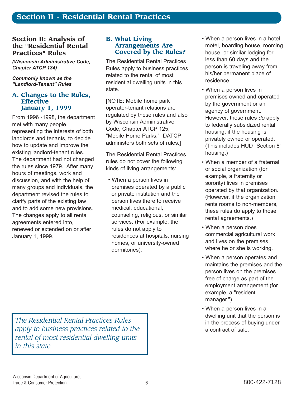# **Section II: Analysis of the "Residential Rental Practices" Rules**

*(Wisconsin Administrative Code, Chapter ATCP 134)*

*Commonly known as the ìLandlord-Tenantî Rules*

#### **A. Changes to the Rules, Effective January 1, 1999**

From 1996 -1998, the department met with many people, representing the interests of both landlords and tenants, to decide how to update and improve the existing landlord-tenant rules. The department had not changed the rules since 1979. After many hours of meetings, work and discussion, and with the help of many groups and individuals, the department revised the rules to clarify parts of the existing law and to add some new provisions. The changes apply to all rental agreements entered into, renewed or extended on or after January 1, 1999.

## **B. What Living Arrangements Are Covered by the Rules?**

The Residential Rental Practices Rules apply to business practices related to the rental of most residential dwelling units in this state.

[NOTE: Mobile home park operator-tenant relations are regulated by these rules and also by Wisconsin Administrative Code, Chapter ATCP 125, "Mobile Home Parks." DATCP administers both sets of rules.]

The Residential Rental Practices rules do not cover the following kinds of living arrangements:

• When a person lives in premises operated by a public or private institution and the person lives there to receive medical, educational, counseling, religious, or similar services. (For example, the rules do not apply to residences at hospitals, nursing homes, or university-owned dormitories).

- When a person lives in a hotel, motel, boarding house, rooming house, or similar lodging for less than 60 days and the person is traveling away from his/her permanent place of residence.
- When a person lives in premises owned and operated by the government or an agency of government. However, these rules *do* apply to federally subsidized rental housing, if the housing is privately owned or operated. (This includes HUD "Section 8" housing.)
- When a member of a fraternal or social organization (for example, a fraternity or sorority) lives in premises operated by that organization. (However, if the organization rents rooms to non-members, these rules do apply to those rental agreements.)
- When a person does commercial agricultural work and lives on the premises where he or she is working.
- When a person operates and maintains the premises and the person lives on the premises free of charge as part of the employment arrangement (for example, a "resident manager.")
- When a person lives in a dwelling unit that the person is in the process of buying under a contract of sale.

*The Residential Rental Practices Rules apply to business practices related to the rental of most residential dwelling units in this state*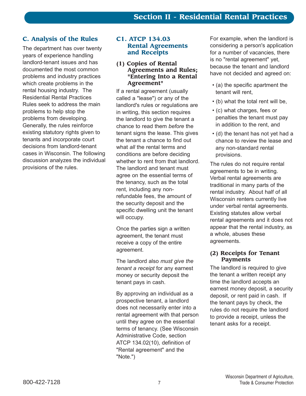# **C. Analysis of the Rules**

The department has over twenty years of experience handling landlord-tenant issues and has documented the most common problems and industry practices which create problems in the rental housing industry. The Residential Rental Practices Rules seek to address the main problems to help stop the problems from developing. Generally, the rules reinforce existing statutory rights given to tenants and incorporate court decisions from landlord-tenant cases in Wisconsin. The following discussion analyzes the individual provisions of the rules.

# **C1. ATCP 134.03 Rental Agreements and Receipts**

#### **(1) Copies of Rental Agreements and Rules; "Entering Into a Rental Agreement"**

If a rental agreement (usually called a "lease") or any of the landlord's rules or regulations are in writing, this section requires the landlord to give the tenant a chance to read them *before* the tenant signs the lease. This gives the tenant a chance to find out what *all* the rental terms and conditions are before deciding whether to rent from that landlord. The landlord and tenant must agree on the essential terms of the tenancy, such as the total rent, including any nonrefundable fees, the amount of the security deposit and the specific dwelling unit the tenant will occupy.

Once the parties sign a written agreement, the tenant must receive a copy of the entire agreement.

The landlord also *must give the tenant a receipt* for any earnest money or security deposit the tenant pays in cash.

By approving an individual as a prospective tenant, a landlord does not necessarily enter into a rental agreement with that person until they agree on the essential terms of tenancy. (See Wisconsin Administrative Code, section ATCP 134.02(10), definition of "Rental agreement" and the "Note.")

For example, when the landlord is considering a person's application for a number of vacancies, there is no "rental agreement" yet, because the tenant and landlord have not decided and agreed on:

- $\cdot$  (a) the specific apartment the tenant will rent,
- $\cdot$  (b) what the total rent will be,
- (c) what charges, fees or penalties the tenant must pay in addition to the rent, and
- $\cdot$  (d) the tenant has not yet had a chance to review the lease and any non-standard rental provisions.

The rules do not require rental agreements to be in writing. Verbal rental agreements are traditional in many parts of the rental industry. About half of all Wisconsin renters currently live under verbal rental agreements. Existing statutes allow verbal rental agreements and it does not appear that the rental industry, as a whole, abuses these agreements.

# **(2) Receipts for Tenant Payments**

The landlord is required to give the tenant a written receipt any time the landlord accepts an earnest money deposit, a security deposit, or rent paid in cash. If the tenant pays by check, the rules do not require the landlord to provide a receipt, unless the tenant asks for a receipt.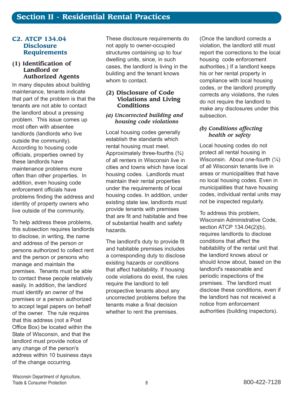#### **C2. ATCP 134.04 Disclosure Requirements**

#### **(1) Identification of Landlord or Authorized Agents**

In many disputes about building maintenance, tenants indicate that part of the problem is that the tenants are not able to contact the landlord about a pressing problem. This issue comes up most often with absentee landlords (landlords who live outside the community). According to housing code officials, properties owned by these landlords have maintenance problems more often than other properties. In addition, even housing code enforcement officials have problems finding the address and identity of property owners who live outside of the community.

To help address these problems, this subsection requires landlords to disclose, in writing, the name and address of the person or persons authorized to collect rent and the person or persons who manage and maintain the premises. Tenants must be able to contact these people relatively easily. In addition, the landlord must identify an owner of the premises or a person authorized to accept legal papers on behalf of the owner. The rule requires that this address (not a Post Office Box) be located within the State of Wisconsin, and that the landlord must provide notice of any change of the person's address within 10 business days of the change occurring.

These disclosure requirements do not apply to owner-occupied structures containing up to four dwelling units, since, in such cases, the landlord is living in the building and the tenant knows whom to contact.

### **(2) Disclosure of Code Violations and Living Conditions**

#### *(a) Uncorrected building and housing code violations*

Local housing codes generally establish the standards which rental housing must meet. Approximately three-fourths  $(3/4)$ of all renters in Wisconsin live in cities and towns which have local housing codes. Landlords must maintain their rental properties under the requirements of local housing codes. In addition, under existing state law, landlords must provide tenants with premises that are fit and habitable and free of substantial health and safety hazards.

The landlord's duty to provide fit and habitable premises includes a corresponding duty to disclose existing hazards or conditions that affect habitability. If housing code violations do exist, the rules require the landlord to tell prospective tenants about any uncorrected problems before the tenants make a final decision whether to rent the premises.

(Once the landlord corrects a violation, the landlord still must report the corrections to the local housing code enforcement authorities.) If a landlord keeps his or her rental property in compliance with local housing codes, or the landlord promptly corrects any violations, the rules do not require the landlord to make any disclosures under this subsection.

# *(b) Conditions affecting health or safety*

Local housing codes do not protect all rental housing in Wisconsin. About one-fourth  $(\frac{1}{4})$ of all Wisconsin tenants live in areas or municipalities that have no local housing codes. Even in municipalities that have housing codes, individual rental units may not be inspected regularly.

To address this problem, Wisconsin Administrative Code, section ATCP 134.04(2)(b), requires landlords to disclose conditions that affect the habitability of the rental unit that the landlord knows about or should know about, based on the landlord's reasonable and periodic inspections of the premises. The landlord must disclose these conditions, even if the landlord has not received a notice from enforcement authorities (building inspectors).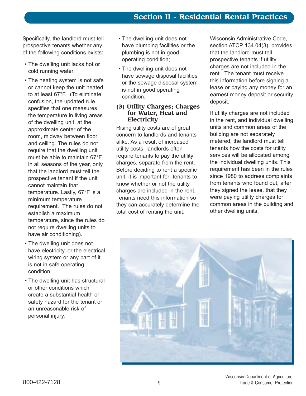Specifically, the landlord must tell prospective tenants whether any of the following conditions exists:

- The dwelling unit lacks hot or cold running water;
- The heating system is not safe or cannot keep the unit heated to at least 67°F. (To eliminate confusion, the updated rule specifies that one measures the temperature in living areas of the dwelling unit, at the approximate center of the room, midway between floor and ceiling. The rules do not require that the dwelling unit must be able to maintain 67°F in all seasons of the year, only that the landlord must tell the prospective tenant if the unit cannot maintain that temperature. Lastly, 67°F is a minimum temperature requirement. The rules do not establish a maximum temperature, since the rules do not require dwelling units to have air conditioning).
- The dwelling unit does not have electricity, or the electrical wiring system or any part of it is not in safe operating condition;
- The dwelling unit has structural or other conditions which create a substantial health or safety hazard for the tenant or an unreasonable risk of personal injury;
- The dwelling unit does not have plumbing facilities or the plumbing is not in good operating condition;
- The dwelling unit does not have sewage disposal facilities or the sewage disposal system is not in good operating condition.

#### **(3) Utility Charges; Charges for Water, Heat and Electricity**

Rising utility costs are of great concern to landlords and tenants alike. As a result of increased utility costs, landlords often require tenants to pay the utility charges, separate from the rent. Before deciding to rent a specific unit, it is important for tenants to know whether or not the utility charges are included in the rent. Tenants need this information so they can accurately determine the total cost of renting the unit.

Wisconsin Administrative Code, section ATCP 134.04(3), provides that the landlord must tell prospective tenants if utility charges are not included in the rent. The tenant must receive this information before signing a lease or paying any money for an earnest money deposit or security deposit.

If utility charges are not included in the rent, and individual dwelling units and common areas of the building are not separately metered, the landlord must tell tenants how the costs for utility services will be allocated among the individual dwelling units. This requirement has been in the rules since 1980 to address complaints from tenants who found out, after they signed the lease, that they were paying utility charges for common areas in the building and other dwelling units.

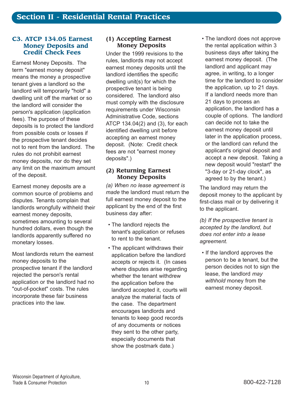#### **C3. ATCP 134.05 Earnest Money Deposits and Credit Check Fees**

Earnest Money Deposits. The term "earnest money deposit" means the money a prospective tenant gives a landlord so the landlord will temporarily "hold" a dwelling unit off the market or so the landlord will consider the person's application (application fees). The purpose of these deposits is to protect the landlord from possible costs or losses if the prospective tenant decides not to rent from the landlord. The rules do not prohibit earnest money deposits, nor do they set any limit on the maximum amount of the deposit.

Earnest money deposits are a common source of problems and disputes. Tenants complain that landlords wrongfully withheld their earnest money deposits, sometimes amounting to several hundred dollars, even though the landlords apparently suffered no monetary losses.

Most landlords return the earnest money deposits to the prospective tenant if the landlord rejected the person's rental application or the landlord had no "out-of-pocket" costs. The rules incorporate these fair business practices into the law.

# **(1) Accepting Earnest Money Deposits**

Under the 1999 revisions to the rules, landlords may not accept earnest money deposits until the landlord identifies the specific dwelling unit(s) for which the prospective tenant is being considered. The landlord also must comply with the disclosure requirements under Wisconsin Administrative Code, sections ATCP 134.04(2) and (3), for each identified dwelling unit before accepting an earnest money deposit. (Note: Credit check fees are not "earnest money deposits".)

### **(2) Returning Earnest Money Deposits**

*(a) When no lease agreement is made* the landlord must return the full earnest money deposit to the applicant by the end of the first business day after:

- The landlord rejects the tenant's application or refuses to rent to the tenant.
- The applicant withdraws their application before the landlord accepts or rejects it. (In cases where disputes arise regarding whether the tenant withdrew the application before the landlord accepted it, courts will analyze the material facts of the case. The department encourages landlords and tenants to keep good records of any documents or notices they sent to the other party, especially documents that show the postmark date.)

• The landlord does not approve the rental application within 3 business days after taking the earnest money deposit. (The landlord and applicant may agree, in writing, to a longer time for the landlord to consider the application, up to 21 days. If a landlord needs more than 21 days to process an application, the landlord has a couple of options. The landlord can decide not to take the earnest money deposit until later in the application process, or the landlord can refund the applicant's original deposit and accept a new deposit. Taking a new deposit would "restart" the "3-day or 21-day clock", as agreed to by the tenant.)

The landlord may return the deposit money to the applicant by first-class mail or by delivering it to the applicant.

*(b) If the prospective tenant is accepted by the landlord, but does not enter into a lease agreement.*

• If the landlord approves the person to be a tenant, but the person decides not to sign the lease, the landlord *may withhold* money from the earnest money deposit.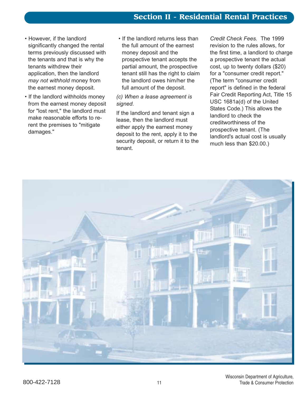- However, if the landlord significantly changed the rental terms previously discussed with the tenants and that is why the tenants withdrew their application, then the landlord *may not withhold* money from the earnest money deposit.
- If the landlord withholds money from the earnest money deposit for "lost rent," the landlord must make reasonable efforts to rerent the premises to "mitigate damages."
- If the landlord returns less than the full amount of the earnest money deposit and the prospective tenant accepts the partial amount, the prospective tenant still has the right to claim the landlord owes him/her the full amount of the deposit.

# *(c) When a lease agreement is signed.*

If the landlord and tenant sign a lease, then the landlord must either apply the earnest money deposit to the rent, apply it to the security deposit, or return it to the tenant.

*Credit Check Fees.* The 1999 revision to the rules allows, for the first time, a landlord to charge a prospective tenant the actual cost, up to twenty dollars (\$20) for a "consumer credit report." (The term "consumer credit report" is defined in the federal Fair Credit Reporting Act, Title 15 USC 1681a(d) of the United States Code.) This allows the landlord to check the creditworthiness of the prospective tenant. (The landlord's actual cost is usually much less than \$20.00.)

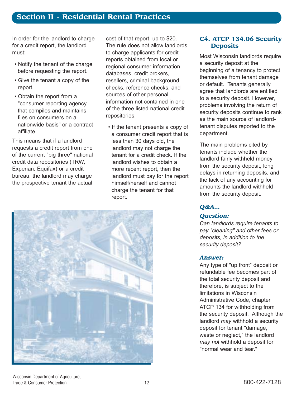# **Section II - Residential Rental Practices**

In order for the landlord to charge for a credit report, the landlord must:

- Notify the tenant of the charge before requesting the report.
- Give the tenant a copy of the report.
- Obtain the report from a "consumer reporting agency that compiles and maintains files on consumers on a nationwide basis" or a contract affiliate.

This means that if a landlord requests a credit report from one of the current "big three" national credit data repositories (TRW, Experian, Equifax) or a credit bureau, the landlord may charge the prospective tenant the actual

cost of that report, up to \$20. The rule does not allow landlords to charge applicants for credit reports obtained from local or regional consumer information databases, credit brokers, resellers, criminal background checks, reference checks, and sources of other personal information not contained in one of the three listed national credit repositories.

• If the tenant presents a copy of a consumer credit report that is less than 30 days old, the landlord may not charge the tenant for a credit check. If the landlord wishes to obtain a more recent report, then the landlord must pay for the report himself/herself and cannot charge the tenant for that report.



# **C4. ATCP 134.06 Security Deposits**

Most Wisconsin landlords require a security deposit at the beginning of a tenancy to protect themselves from tenant damage or default. Tenants generally agree that landlords are entitled to a security deposit. However, problems involving the return of security deposits continue to rank as the main source of landlordtenant disputes reported to the department.

The main problems cited by tenants include whether the landlord fairly withheld money from the security deposit, long delays in returning deposits, and the lack of any accounting for amounts the landlord withheld from the security deposit.

# *Q&A…*

#### *Question:*

*Can landlords require tenants to pay "cleaning" and other fees or deposits, in addition to the security deposit?*

#### *Answer:*

Any type of "up front" deposit or refundable fee becomes part of the total security deposit and therefore, is subject to the limitations in Wisconsin Administrative Code, chapter ATCP 134 for withholding from the security deposit. Although the landlord *may* withhold a security deposit for tenant "damage, waste or neglect," the landlord *may not* withhold a deposit for "normal wear and tear."

Wisconsin Department of Agriculture, Trade & Consumer Protection **12** 12 300-422-7128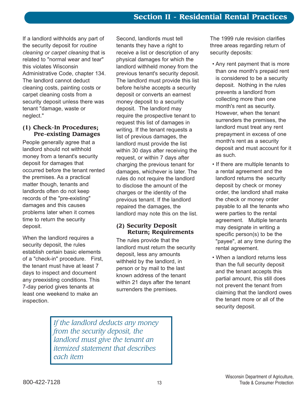If a landlord withholds any part of the security deposit for *routine cleaning or carpet cleaning* that is related to "normal wear and tear" this violates Wisconsin Administrative Code, chapter 134. The landlord cannot deduct cleaning costs, painting costs or carpet cleaning costs from a security deposit unless there was tenant "damage, waste or neglect."

#### **(1) Check-In Procedures; Pre-existing Damages**

People generally agree that a landlord should not withhold money from a tenant's security deposit for damages that occurred before the tenant rented the premises. As a practical matter though, tenants and landlords often do not keep records of the "pre-existing" damages and this causes problems later when it comes time to return the security deposit.

When the landlord requires a security deposit, the rules establish certain basic elements of a "check-in" procedure. First, the tenant must have at least 7 days to inspect and document any preexisting conditions. This 7-day period gives tenants at least one weekend to make an inspection.

Second, landlords must tell tenants they have a right to receive a list or description of any physical damages for which the landlord withheld money from the previous tenant's security deposit. The landlord must provide this list before he/she accepts a security deposit or converts an earnest money deposit to a security deposit. The landlord may require the prospective tenant to request this list of damages in writing. If the tenant requests a list of previous damages, the landlord must provide the list within 30 days after receiving the request, or within 7 days after charging the previous tenant for damages, whichever is later. The rules do not require the landlord to disclose the amount of the charges or the identity of the previous tenant. If the landlord repaired the damages, the landlord may note this on the list.

# **(2) Security Deposit Return; Requirements**

The rules provide that the landlord must return the security deposit, less any amounts withheld by the landlord, in person or by mail to the last known address of the tenant within 21 days after the tenant surrenders the premises.

The 1999 rule revision clarifies three areas regarding return of security deposits:

- Any rent payment that is more than one month's prepaid rent is considered to be a security deposit. Nothing in the rules prevents a landlord from collecting more than one month's rent as security. However, when the tenant surrenders the premises, the landlord must treat any rent prepayment in excess of one month's rent as a security deposit and must account for it as such.
- If there are multiple tenants to a rental agreement and the landlord returns the security deposit by check or money order, the landlord shall make the check or money order payable to all the tenants who were parties to the rental agreement. Multiple tenants may designate in writing a specific person(s) to be the "payee", at any time during the rental agreement.
- When a landlord returns less than the full security deposit and the tenant accepts this partial amount, this still does not prevent the tenant from claiming that the landlord owes the tenant more or all of the security deposit.

*If the landlord deducts any money from the security deposit, the landlord must give the tenant an itemized statement that describes each item*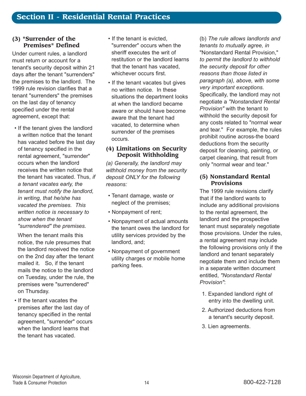#### **(3) "Surrender of the Premises" Defined**

Under current rules, a landlord must return or account for a tenant's security deposit within 21 days after the tenant "surrenders" the premises to the landlord. The 1999 rule revision clarifies that a tenant "surrenders" the premises on the last day of tenancy specified under the rental agreement, except that:

• If the tenant gives the landlord a written notice that the tenant has vacated before the last day of tenancy specified in the rental agreement, "surrender" occurs when the landlord receives the written notice that the tenant has vacated. Thus, *if a tenant vacates early, the tenant must notify the landlord, in writing, that he/she has vacated the premises. This written notice is necessary to show when the tenant "surrendered" the premises.*

When the tenant mails this notice, the rule presumes that the landlord received the notice on the 2nd day after the tenant mailed it. So, if the tenant mails the notice to the landlord on Tuesday, under the rule, the premises were "surrendered" on Thursday.

• If the tenant vacates the premises after the last day of tenancy specified in the rental agreement, "surrender" occurs when the landlord learns that the tenant has vacated.

- If the tenant is evicted. "surrender" occurs when the sheriff executes the writ of restitution or the landlord learns that the tenant has vacated, whichever occurs first.
- If the tenant vacates but gives no written notice. In these situations the department looks at when the landlord became aware or should have become aware that the tenant had vacated, to determine when surrender of the premises occurs.

#### **(4) Limitations on Security Deposit Withholding**

*(a) Generally, the landlord may withhold money from the security deposit ONLY for the following reasons:*

- Tenant damage, waste or neglect of the premises;
- Nonpayment of rent;
- Nonpayment of actual amounts the tenant owes the landlord for utility services provided by the landlord, and;
- Nonpayment of government utility charges or mobile home parking fees.

(b) *The rule allows landlords and tenants to mutually agree, in* "Nonstandard Rental Provision," *to permit the landlord to withhold the security deposit for other reasons than those listed in paragraph (a), above, with some very important exceptions.* Specifically, the landlord may not negotiate a *"Nonstandard Rental Provision"* with the tenant to withhold the security deposit for any costs related to "normal wear and tear." For example, the rules prohibit routine across-the board deductions from the security deposit for cleaning, painting, or carpet cleaning, that result from only "normal wear and tear."

# **(5) Nonstandard Rental Provisions**

The 1999 rule revisions clarify that if the landlord wants to include any additional provisions to the rental agreement, the landlord and the prospective tenant must separately negotiate those provisions. Under the rules, a rental agreement may include the following provisions only if the landlord and tenant separately negotiate them and include them in a separate written document entitled, *"Nonstandard Rental Provision"*:

- 1. Expanded landlord right of entry into the dwelling unit.
- 2. Authorized deductions from a tenant's security deposit.
- 3. Lien agreements.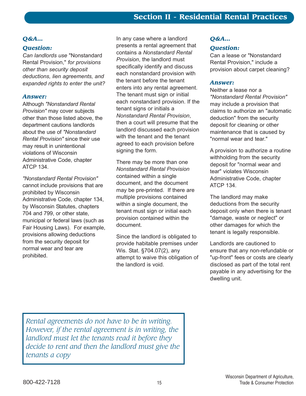# *Q&A…*

# *Question:*

*Can landlords use* "Nonstandard Rental Provision," *for provisions other than security deposit deductions, lien agreements, and expanded rights to enter the unit?*

#### *Answer:*

Although *"Nonstandard Rental Provision"* may cover subjects other than those listed above, the department cautions landlords about the use of *"Nonstandard Rental Provision"* since their use may result in unintentional violations of Wisconsin Administrative Code, chapter ATCP 134.

*"Nonstandard Rental Provision"* cannot include provisions that are prohibited by Wisconsin Administrative Code, chapter 134, by Wisconsin Statutes, chapters 704 and 799, or other state, municipal or federal laws (such as Fair Housing Laws). For example, provisions allowing deductions from the security deposit for normal wear and tear are prohibited.

In any case where a landlord presents a rental agreement that contains a *Nonstandard Rental Provision*, the landlord must specifically identify and discuss each nonstandard provision with the tenant before the tenant enters into any rental agreement. The tenant must sign or initial each nonstandard provision. If the tenant signs or initials a *Nonstandard Rental Provision*, then a court will presume that the landlord discussed each provision with the tenant and the tenant agreed to each provision before signing the form.

There may be more than one *Nonstandard Rental Provision* contained within a single document, and the document may be pre-printed. If there are multiple provisions contained within a single document, the tenant must sign or initial each provision contained within the document.

Since the landlord is obligated to provide habitable premises under Wis. Stat. ß704.07(2), any attempt to waive this obligation of the landlord is void.

# *Q&A…*

# *Question:*

Can a lease or "Nonstandard Rental Provision," include a provision about carpet cleaning?

#### *Answer:*

Neither a lease nor a *"Nonstandard Rental Provision"* may include a provision that claims to authorize an "automatic deduction" from the security deposit for cleaning or other maintenance that is caused by "normal wear and tear."

A provision to authorize a routine withholding from the security deposit for "normal wear and tear" violates Wisconsin Administrative Code, chapter ATCP 134.

The landlord may make deductions from the security deposit only when there is tenant "damage, waste or neglect" or other damages for which the tenant is legally responsible.

Landlords are cautioned to ensure that any non-refundable or "up-front" fees or costs are clearly disclosed as part of the total rent payable in any advertising for the dwelling unit.

*Rental agreements do not have to be in writing. However, if the rental agreement is in writing, the landlord must let the tenants read it before they decide to rent and then the landlord must give the tenants a copy*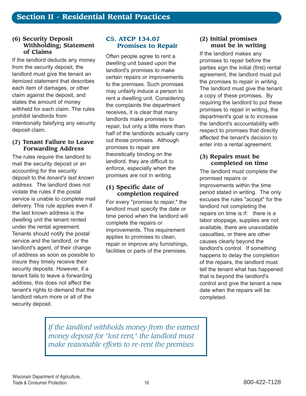#### **(6) Security Deposit Withholding; Statement of Claims**

If the landlord deducts any money from the security deposit, the landlord must give the tenant an itemized statement that describes each item of damages, or other claim against the deposit, and states the amount of money withheld for each claim. The rules prohibit landlords from intentionally falsifying any security deposit claim.

### **(7) Tenant Failure to Leave Forwarding Address**

The rules require the landlord to mail the security deposit or an accounting for the security deposit to the *tenant's last known address.* The landlord does not violate the rules if the postal service is unable to complete mail delivery. This rule applies even if the last known address is the dwelling unit the tenant rented under the rental agreement. Tenants should notify the postal service and the landlord, or the landlord's agent, of their change of address as soon as possible to insure they timely receive their security deposits. However, if a tenant fails to leave a forwarding address, this does not affect the tenant's rights to demand that the landlord return more or all of the security deposit.

# **C5. ATCP 134.07 Promises to Repair**

Often people agree to rent a dwelling unit based upon the landlord's promises to make certain repairs or improvements to the premises. Such promises may unfairly induce a person to rent a dwelling unit. Considering the complaints the department receives, it is clear that many landlords make promises to repair, but only a little more than half of the landlords actually carry out those promises. Although promises to repair are theoretically binding on the landlord, they are difficult to enforce, especially when the promises are not in writing.

### **(1) Specific date of completion required**

For every "promise to repair," the landlord must specify the date or time period when the landlord will complete the repairs or improvements. This requirement applies to promises to clean, repair or improve any furnishings, facilities or parts of the premises.

# **(2) Initial promises must be in writing**

If the landlord makes any promises to repair before the parties sign the initial (first) rental agreement, the landlord must put the promises to repair in writing. The landlord must give the tenant a copy of these promises. By requiring the landlord to put these promises to repair in writing, the department's goal is to increase the landlord's accountability with respect to promises that directly affected the tenant's decision to enter into a rental agreement.

# **(3) Repairs must be completed on time**

The landlord must complete the promised repairs or improvements within the time period stated in writing. The only excuses the rules "accept" for the landlord not completing the repairs on time is if: there is a labor stoppage, supplies are not available, there are unavoidable casualties, or there are other causes clearly beyond the landlord's control. If something happens to delay the completion of the repairs, the landlord must tell the tenant what has happened that is beyond the landlord's control and give the tenant a new date when the repairs will be completed.

*If the landlord withholds money from the earnest money deposit for "lost rent," the landlord must make reasonable efforts to re-rent the premises*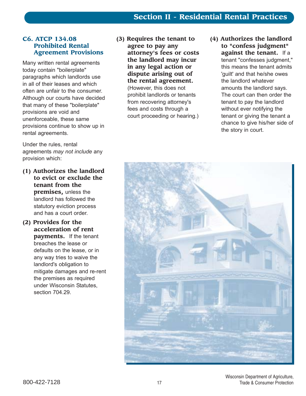# **Section II - Residential Rental Practices**

### **C6. ATCP 134.08 Prohibited Rental Agreement Provisions**

Many written rental agreements today contain "boilerplate" paragraphs which landlords use in all of their leases and which often are unfair to the consumer. Although our courts have decided that many of these "boilerplate" provisions are void and unenforceable, these same provisions continue to show up in rental agreements.

Under the rules, rental agreements *may not include* any provision which:

- **(1) Authorizes the landlord to evict or exclude the tenant from the premises,** unless the landlord has followed the statutory eviction process and has a court order.
- **(2) Provides for the acceleration of rent payments.** If the tenant breaches the lease or defaults on the lease, or in any way tries to waive the landlord's obligation to mitigate damages and re-rent the premises as required under Wisconsin Statutes, section 704.29.
- **(3) Requires the tenant to agree to pay any attorney's fees or costs the landlord may incur in any legal action or dispute arising out of the rental agreement.** (However, this does not prohibit landlords or tenants from recovering attorney's fees and costs through a court proceeding or hearing.)
- **(4) Authorizes the landlord to "confess judgment" against the tenant.** If a tenant "confesses judgment," this means the tenant admits 'guilt' and that he/she owes the landlord whatever amounts the landlord says. The court can then order the tenant to pay the landlord without ever notifying the tenant or giving the tenant a chance to give his/her side of the story in court.

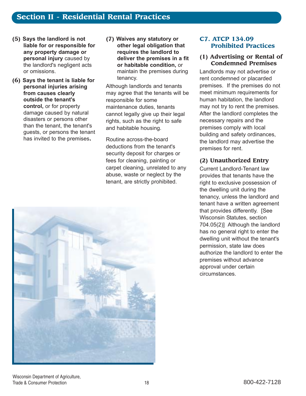- **(5) Says the landlord is not liable for or responsible for any property damage or personal injury** caused by the landlord's negligent acts or omissions.
- **(6) Says the tenant is liable for personal injuries arising from causes clearly outside the tenant's control,** or for property damage caused by natural disasters or persons other than the tenant, the tenant's guests, or persons the tenant has invited to the premises**.**
- **(7) Waives any statutory or other legal obligation that requires the landlord to deliver the premises in a fit or habitable condition,** or maintain the premises during tenancy.

Although landlords and tenants may agree that the tenants will be responsible for some maintenance duties, tenants cannot legally give up their legal rights, such as the right to safe and habitable housing.

Routine across-the-board deductions from the tenant's security deposit for charges or fees for cleaning, painting or carpet cleaning, unrelated to any abuse, waste or neglect by the tenant, are strictly prohibited.



# **C7. ATCP 134.09 Prohibited Practices**

#### **(1) Advertising or Rental of Condemned Premises**

Landlords may not advertise or rent condemned or placarded premises. If the premises do not meet minimum requirements for human habitation, the landlord may not try to rent the premises. After the landlord completes the necessary repairs and the premises comply with local building and safety ordinances, the landlord may advertise the premises for rent.

# **(2) Unauthorized Entry**

Current Landlord-Tenant law provides that tenants have the right to exclusive possession of the dwelling unit during the tenancy, unless the landlord and tenant have a written agreement that provides differently. [See Wisconsin Statutes, section 704.05(2)] Although the landlord has no general right to enter the dwelling unit without the tenant's permission, state law does authorize the landlord to enter the premises without advance approval under certain circumstances.

Wisconsin Department of Agriculture, Trade & Consumer Protection **18** 800-422-7128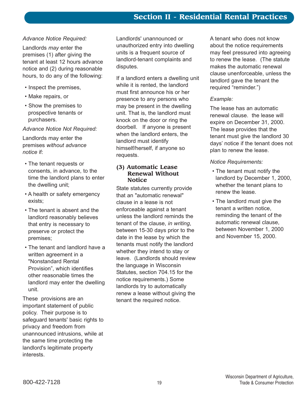# *Advance Notice Required:*

Landlords *may* enter the premises (1) after giving the tenant at least 12 hours advance notice and (2) during reasonable hours, to do any of the following:

- Inspect the premises,
- Make repairs, or
- Show the premises to prospective tenants or purchasers.

#### *Advance Notice Not Required:*

Landlords may enter the premises *without advance notice* if:

- The tenant requests or consents, in advance, to the time the landlord plans to enter the dwelling unit;
- A health or safety emergency exists;
- The tenant is absent and the landlord reasonably believes that entry is necessary to preserve or protect the premises;
- The tenant and landlord have a written agreement in a "Nonstandard Rental Provision<sup>"</sup>, which identifies other reasonable times the landlord may enter the dwelling unit.

These provisions are an important statement of public policy. Their purpose is to safeguard tenants' basic rights to privacy and freedom from unannounced intrusions, while at the same time protecting the landlord's legitimate property interests.

Landlords' unannounced or unauthorized entry into dwelling units is a frequent source of landlord-tenant complaints and disputes.

If a landlord enters a dwelling unit while it is rented, the landlord must first announce his or her presence to any persons who may be present in the dwelling unit. That is, the landlord must knock on the door or ring the doorbell. If anyone is present when the landlord enters, the landlord must identify himself/herself, if anyone so requests.

#### **(3) Automatic Lease Renewal Without Notice**

State statutes currently provide that an "automatic renewal" clause in a lease is not enforceable against a tenant unless the landlord reminds the tenant of the clause, *in writing*, between 15-30 days prior to the date in the lease by which the tenants must notify the landlord whether they intend to stay or leave. (Landlords should review the language in Wisconsin Statutes, section 704.15 for the notice requirements.) Some landlords try to automatically renew a lease without giving the tenant the required notice.

A tenant who does not know about the notice requirements may feel pressured into agreeing to renew the lease. (The statute makes the automatic renewal clause unenforceable, unless the landlord gave the tenant the required "reminder.")

# *Example:*

The lease has an automatic renewal clause. the lease will expire on December 31, 2000. The lease provides that the tenant must give the landlord 30 days' notice if the tenant does not plan to renew the lease.

# *Notice Requirements:*

- The tenant must notify the landlord by December 1, 2000, whether the tenant plans to renew the lease.
- The landlord must give the tenant a written notice, reminding the tenant of the automatic renewal clause, between November 1, 2000 and November 15, 2000.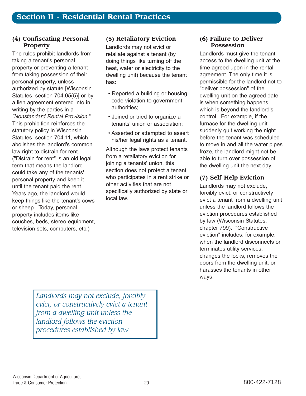### **(4) Confiscating Personal Property**

The rules prohibit landlords from taking a tenant's personal property or preventing a tenant from taking possession of their personal property, unless authorized by statute [Wisconsin Statutes, section 704.05(5)] or by a lien agreement entered into in writing by the parties in a *"Nonstandard Rental Provision*." This prohibition reinforces the statutory policy in Wisconsin Statutes, section 704.11, which abolishes the landlord's common law right to distrain for rent. ("Distrain for rent" is an old legal term that means the landlord could take any of the tenants' personal property and keep it until the tenant paid the rent. Years ago, the landlord would keep things like the tenant's cows or sheep. Today, personal property includes items like couches, beds, stereo equipment, television sets, computers, etc.)

# **(5) Retaliatory Eviction**

Landlords may not evict or retaliate against a tenant (by doing things like turning off the heat, water or electricity to the dwelling unit) because the tenant has:

- Reported a building or housing code violation to government authorities;
- Joined or tried to organize a tenants' union or association;
- Asserted or attempted to assert his/her legal rights as a tenant.

Although the laws protect tenants from a retaliatory eviction for joining a tenants' union, this section does not protect a tenant who participates in a rent strike or other activities that are not specifically authorized by state or local law.

#### **(6) Failure to Deliver Possession**

Landlords must give the tenant access to the dwelling unit at the time agreed upon in the rental agreement. The only time it is permissible for the landlord not to "deliver possession" of the dwelling unit on the agreed date is when something happens which is beyond the landlord's control. For example, if the furnace for the dwelling unit suddenly quit working the night before the tenant was scheduled to move in and all the water pipes froze, the landlord might not be able to turn over possession of the dwelling unit the next day.

# **(7) Self-Help Eviction**

Landlords may not exclude, forcibly evict, or constructively evict a tenant from a dwelling unit unless the landlord follows the eviction procedures established by law (Wisconsin Statutes, chapter 799). "Constructive eviction" includes, for example, when the landlord disconnects or terminates utility services, changes the locks, removes the doors from the dwelling unit, or harasses the tenants in other ways.

*Landlords may not exclude, forcibly evict, or constructively evict a tenant from a dwelling unit unless the landlord follows the eviction procedures established by law*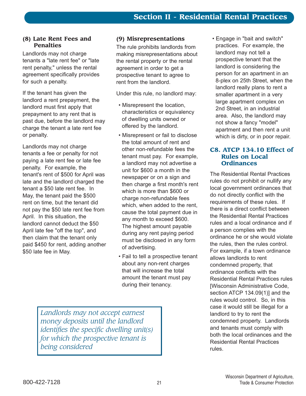#### **(8) Late Rent Fees and Penalties**

Landlords may not charge tenants a "late rent fee" or "late rent penalty," unless the rental agreement specifically provides for such a penalty.

If the tenant has given the landlord a rent prepayment, the landlord must first apply that prepayment to any rent that is past due, before the landlord may charge the tenant a late rent fee or penalty.

Landlords may not charge tenants a fee or penalty for not paying a late rent fee or late fee penalty. For example, the tenant's rent of \$500 for April was late and the landlord charged the tenant a \$50 late rent fee. In May, the tenant paid the \$500 rent on time, but the tenant did not pay the \$50 late rent fee from April. In this situation, the landlord cannot deduct the \$50 April late fee "off the top", and then claim that the tenant only paid \$450 for rent, adding another \$50 late fee in May.

# **(9) Misrepresentations**

The rule prohibits landlords from making misrepresentations about the rental property or the rental agreement in order to get a prospective tenant to agree to rent from the landlord.

Under this rule, no landlord may:

- Misrepresent the location, characteristics or equivalency of dwelling units owned or offered by the landlord.
- Misrepresent or fail to disclose the total amount of rent and other non-refundable fees the tenant must pay. For example, a landlord may not advertise a unit for \$600 a month in the newspaper or on a sign and then charge a first month's rent which is more than \$600 or charge non-refundable fees which, when added to the rent, cause the total payment due in any month to exceed \$600. The highest amount payable during any rent paying period must be disclosed in any form of advertising.
- Fail to tell a prospective tenant about any non-rent charges that will increase the total amount the tenant must pay during their tenancy.

**Engage in "bait and switch"** practices. For example, the landlord may not tell a prospective tenant that the landlord is considering the person for an apartment in an 8-plex on 25th Street, when the landlord really plans to rent a smaller apartment in a very large apartment complex on 2nd Street, in an industrial area. Also, the landlord may not show a fancy "model" apartment and then rent a unit which is dirty, or in poor repair.

# **C8. ATCP 134.10 Effect of Rules on Local Ordinances**

The Residential Rental Practices rules do not prohibit or nullify any local government ordinances that do not directly conflict with the requirements of these rules. If there is a direct conflict between the Residential Rental Practices rules and a local ordinance and if a person complies with the ordinance he or she would violate the rules, then the rules control. For example, if a town ordinance allows landlords to rent condemned property, that ordinance conflicts with the Residential Rental Practices rules [Wisconsin Administrative Code, section ATCP 134.09(1)] and the rules would control. So, in this case it would still be illegal for a landlord to try to rent the condemned property. Landlords and tenants must comply with both the local ordinances and the Residential Rental Practices rules.

*Landlords may not accept earnest money deposits until the landlord identifies the specific dwelling unit(s) for which the prospective tenant is being considered*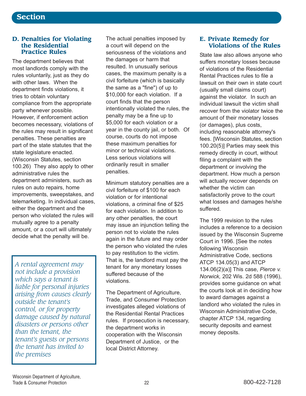#### **D. Penalties for Violating the Residential Practice Rules**

The department believes that most landlords comply with the rules voluntarily, just as they do with other laws. When the department finds violations, it tries to obtain voluntary compliance from the appropriate party whenever possible. However, if enforcement action becomes necessary, violations of the rules may result in significant penalties. These penalties are part of the state statutes that the state legislature enacted. (Wisconsin Statutes, section 100.26) They also apply to other administrative rules the department administers, such as rules on auto repairs, home improvements, sweepstakes, and telemarketing. In individual cases, either the department and the person who violated the rules will mutually agree to a penalty amount, or a court will ultimately decide what the penalty will be.

*A rental agreement may not include a provision which says a tenant is liable for personal injuries arising from causes clearly outside the tenant's control, or for property damage caused by natural disasters or persons other than the tenant, the tenant's guests or persons the tenant has invited to the premises*

The actual penalties imposed by a court will depend on the seriousness of the violations and the damages or harm that resulted. In unusually serious cases, the maximum penalty is a civil forfeiture (which is basically the same as a "fine") of up to \$10,000 for each violation. If a court finds that the person intentionally violated the rules, the penalty may be a fine up to \$5,000 for each violation or a year in the county jail, or both. Of course, courts do not impose these maximum penalties for minor or technical violations. Less serious violations will ordinarily result in smaller penalties.

Minimum statutory penalties are a civil forfeiture of \$100 for each violation or for intentional violations, a criminal fine of \$25 for each violation. In addition to any other penalties, the court may issue an injunction telling the person not to violate the rules again in the future and may order the person who violated the rules to pay restitution to the victim. That is, the landlord must pay the tenant for any monetary losses suffered because of the violations.

The Department of Agriculture, Trade, and Consumer Protection investigates alleged violations of the Residential Rental Practices rules. If prosecution is necessary, the department works in cooperation with the Wisconsin Department of Justice, or the local District Attorney.

# **E. Private Remedy for Violations of the Rules**

State law also allows anyone who suffers monetary losses because of violations of the Residential Rental Practices rules to file a lawsuit on their own in state court (usually small claims court) against the violator. In such an individual lawsuit the victim shall recover from the violator twice the amount of their monetary losses (or damages), plus costs, including reasonable attorney's fees. [Wisconsin Statutes, section 100.20(5)] Parties may seek this remedy directly in court, without filing a complaint with the department or involving the department. How much a person will actually recover depends on whether the victim can satisfactorily prove to the court what losses and damages he/she suffered.

The 1999 revision to the rules includes a reference to a decision issued by the Wisconsin Supreme Court in 1996. [See the notes following Wisconsin Administrative Code, sections ATCP 134.05(3) and ATCP 134.06(2)(a)] This case, *Pierce v. Norwick,* 202 Wis. 2d 588 (1996), provides some guidance on what the courts look at in deciding how to award damages against a landlord who violated the rules in Wisconsin Administrative Code, chapter ATCP 134, regarding security deposits and earnest money deposits.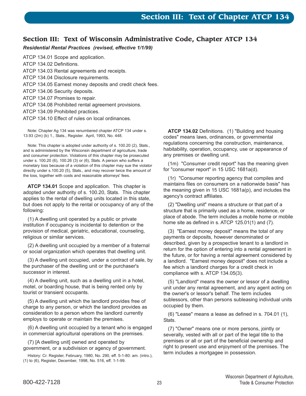# **Section III: Text of Wisconsin Administrative Code, Chapter ATCP 134**

*Residential Rental Practices (revised, effective 1/1/99)*

- ATCP 134.01 Scope and application.
- ATCP 134.02 Definitions.
- ATCP 134.03 Rental agreements and receipts.
- ATCP 134.04 Disclosure requirements.
- ATCP 134.05 Earnest money deposits and credit check fees.
- ATCP 134.06 Security deposits.
- ATCP 134.07 Promises to repair.
- ATCP 134.08 Prohibited rental agreement provisions.
- ATCP 134.09 Prohibited practices.
- ATCP 134.10 Effect of rules on local ordinances.

Note: Chapter Ag 134 was renumbered chapter ATCP 134 under s. 13.93 (2m) (b) 1., Stats., Register. April, 1993, No. 448.

Note: This chapter is adopted under authority of s. 100.20 (2), Stats., and is administered by the Wisconsin department of agriculture, trade and consumer protection. Violations of this chapter may be prosecuted under s. 100.20 (6), 100.26 (3) or (6), Stats. A person who suffers a monetary loss because of a violation of this chapter may sue the violator directly under s.100.20 (5), Stats., and may recover twice the amount of the loss, together with costs and reasonable attorneys' fees.

**ATCP 134.01** Scope and application. This chapter is adopted under authority of s. 100.20, Stats. This chapter applies to the rental of dwelling units located in this state, but does not apply to the rental or occupancy of any of the following:

(1) A dwelling unit operated by a public or private institution if occupancy is incidental to detention or the provision of medical, geriatric, educational, counseling, religious or similar services.

(2) A dwelling unit occupied by a member of a fraternal or social organization which operates that dwelling unit.

(3) A dwelling unit occupied, under a contract of sale, by the purchaser of the dwelling unit or the purchaser's successor in interest.

(4) A dwelling unit, such as a dwelling unit in a hotel, motel, or boarding house, that is being rented only by tourist or transient occupants.

(5) A dwelling unit which the landlord provides free of charge to any person, or which the landlord provides as consideration to a person whom the landlord currently employs to operate or maintain the premises.

(6) A dwelling unit occupied by a tenant who is engaged in commercial agricultural operations on the premises.

(7) [A dwelling unit] owned and operated by government, or a subdivision or agency of government.

History: Cr. Register, February, 1980, No. 290, eff. 5-1-80: am. (intro.), (1) to (6), Register, December, 1998, No. 516, eff. 1-1-99.

**ATCP 134.02** Definitions. (1) "Building and housing codes" means laws, ordinances, or governmental regulations concerning the construction, maintenance, habitability, operation, occupancy, use or appearance of any premises or dwelling unit.

(1m) "Consumer credit report" has the meaning given for "consumer report" in 15 USC 1681a(d).

(1r) "Consumer reporting agency that compiles and maintains files on consumers on a nationwide basis" has the meaning given in 15 USC 1681a(p), and includes the agency's contract affiliates.

(2) "Dwelling unit" means a structure or that part of a structure that is primarily used as a home, residence, or place of abode. The term includes a mobile home or mobile home site as defined in s. ATCP 125.01(1) and (7).

(3) "Earnest money deposit" means the total of any payments or deposits, however denominated or described, given by a prospective tenant to a landlord in return for the option of entering into a rental agreement in the future, or for having a rental agreement considered by a landlord. "Earnest money deposit" does not include a fee which a landlord charges for a credit check in compliance with s. ATCP 134.05(3).

(5) "Landlord" means the owner or lessor of a dwelling unit under any rental agreement, and any agent acting on the owner's or lessor's behalf. The term includes sublessors, other than persons subleasing individual units occupied by them.

(6) "Lease" means a lease as defined in s. 704.01 (1), Stats.

(7) "Owner" means one or more persons, jointly or severally, vested with all or part of the legal title to the premises or all or part of the beneficial ownership and right to present use and enjoyment of the premises. The term includes a mortgagee in possession.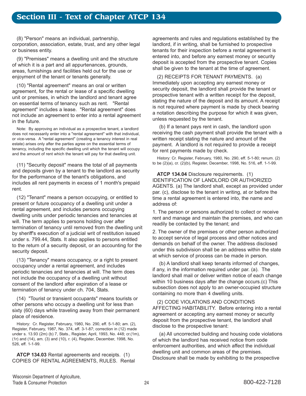(8) "Person" means an individual, partnership, corporation, association, estate, trust, and any other legal or business entity.

(9) "Premises" means a dwelling unit and the structure of which it is a part and all appurtenances, grounds, areas, furnishings and facilities held out for the use or enjoyment of the tenant or tenants generally.

(10) "Rental agreement" means an oral or written agreement, for the rental or lease of a specific dwelling unit or premises, in which the landlord and tenant agree on essential terms of tenancy such as rent. "Rental agreement" includes a lease. "Rental agreement" does not include an agreement to enter into a rental agreement in the future.

Note: By approving an individual as a prospective tenant, a landlord does not necessarily enter into a "rental agreement" with that individual, or vice-versa. A "rental agreement" (creating a tenancy interest in real estate) arises only after the parties agree on the essential terms of tenancy, including the specific dwelling unit which the tenant will occupy and the amount of rent which the tenant will pay for that dwelling unit.

(11) "Security deposit" means the total of all payments and deposits given by a tenant to the landlord as security for the performance of the tenant's obligations, and includes all rent payments in excess of 1 month's prepaid rent.

(12) "Tenant" means a person occupying, or entitled to present or future occupancy of a dwelling unit under a rental agreement, and includes persons occupying dwelling units under periodic tenancies and tenancies at will. The term applies to persons holding over after termination of tenancy until removed from the dwelling unit by sheriff's execution of a judicial writ of restitution issued under s. 799.44, Stats. It also applies to persons entitled to the return of a security deposit, or an accounting for the security deposit.

(13) "Tenancy" means occupancy, or a right to present occupancy under a rental agreement, and includes periodic tenancies and tenancies at will. The term does not include the occupancy of a dwelling unit without consent of the landlord after expiration of a lease or termination of tenancy under ch. 704, Stats.

(14) "Tourist or transient occupants" means tourists or other persons who occupy a dwelling unit for less than sixty (60) days while traveling away from their permanent place of residence.

History: Cr. Register, February, 1980, No. 290, eff. 5-1-80; am. (2), Register, February, 1987, No. 374, eff. 3-1-87; correction in (12) made under s. 13.93 (2m) (b) 7, Stats., Register, April, 1993, No. 448; cr.(1m), (1r) and (14), am. (3) and (10), r. (4), Register, December, 1998, No. 526, eff. 1-1-99.

**ATCP 134.03** Rental agreements and receipts. (1) COPIES OF RENTAL AGREEMENTS, RULES. Rental agreements and rules and regulations established by the landlord, if in writing, shall be furnished to prospective tenants for their inspection before a rental agreement is entered into, and before any earnest money or security deposit is accepted from the prospective tenant. Copies shall be given to the tenant at the time of agreement.

(2) RECEIPTS FOR TENANT PAYMENTS. (a) Immediately upon accepting any earnest money or security deposit, the landlord shall provide the tenant or prospective tenant with a written receipt for the deposit, stating the nature of the deposit and its amount. A receipt is not required where payment is made by check bearing a notation describing the purpose for which it was given, unless requested by the tenant.

(b) If a tenant pays rent in cash, the landlord upon receiving the cash payment shall provide the tenant with a written receipt stating the nature and amount of the payment. A landlord is not required to provide a receipt for rent payments made by check.

History: Cr. Register, February, 1980, No. 290, eff. 5-1-80; renum. (2) to be (2)(a), cr. (2)(b), Register, December, 1998, No. 516, eff. 1-1-99.

**ATCP 134.04** Disclosure requirements. (1) IDENTIFICATION OF LANDLORD OR AUTHORIZED AGENTS. (a) The landlord shall, except as provided under par. (c), disclose to the tenant in writing, at or before the time a rental agreement is entered into, the name and address of:

1. The person or persons authorized to collect or receive rent and manage and maintain the premises, and who can readily be contacted by the tenant; and

2. The owner of the premises or other person authorized to accept service of legal process and other notices and demands on behalf of the owner. The address disclosed under this subdivision shall be an address within the state at which service of process can be made in person.

(b) A landlord shall keep tenants informed of changes, if any, in the information required under par. (a). The landlord shall mail or deliver written notice of each change within 10 business days after the change occurs.(c) This subsection does not apply to an owner-occupied structure containing no more than 4 dwelling units.

(2) CODE VIOLATIONS AND CONDITIONS AFFECTING HABITABILITY. Before entering into a rental agreement or accepting any earnest money or security deposit from the prospective tenant, the landlord shall disclose to the prospective tenant:

(a) All uncorrected building and housing code violations of which the landlord has received notice from code enforcement authorities, and which affect the individual dwelling unit and common areas of the premises. Disclosure shall be made by exhibiting to the prospective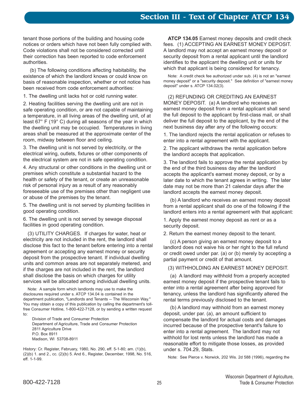tenant those portions of the building and housing code notices or orders which have not been fully complied with. Code violations shall not be considered corrected until their correction has been reported to code enforcement authorities.

(b) The following conditions affecting habitability, the existence of which the landlord knows or could know on basis of reasonable inspection, whether or not notice has been received from code enforcement authorities:

1. The dwelling unit lacks hot or cold running water.

2. Heating facilities serving the dwelling unit are not in safe operating condition, or are not capable of maintaining a temperature, in all living areas of the dwelling unit, of at least 67° F (19° C) during all seasons of the year in which the dwelling unit may be occupied. Temperatures in living areas shall be measured at the approximate center of the room, midway between floor and ceiling.

3. The dwelling unit is not served by electricity, or the electrical wiring, outlets, fixtures or other components of the electrical system are not in safe operating condition.

4. Any structural or other conditions in the dwelling unit or premises which constitute a substantial hazard to the health or safety of the tenant, or create an unreasonable risk of personal injury as a result of any reasonably foreseeable use of the premises other than negligent use or abuse of the premises by the tenant.

5. The dwelling unit is not served by plumbing facilities in good operating condition.

6. The dwelling unit is not served by sewage disposal facilities in good operating condition.

(3) UTILITY CHARGES. If charges for water, heat or electricity are not included in the rent, the landlord shall disclose this fact to the tenant before entering into a rental agreement or accepting any earnest money or security deposit from the prospective tenant. If individual dwelling units and common areas are not separately metered, and if the charges are not included in the rent, the landlord shall disclose the basis on which charges for utility services will be allocated among individual dwelling units.

Note: A sample form which landlords may use to make the disclosures required under s. ATCP 134.04 is contained in the department publication, "Landlords and Tenants -- The Wisconsin Way." You may obtain a copy of this publication by calling the department's tollfree Consumer Hotline, 1-800-422-7128, or by sending a written request to:

Division of Trade and Consumer Protection Department of Agriculture, Trade and Consumer Protection 2811 Agriculture Drive P.O. Box 8911 Madison, WI 53708-8911

History: Cr. Register, February, 1980, No. 290, eff. 5-1-80; am. (1)(b), (2)(b) 1. and 2., cc. (2)(b) 5. And 6., Register, December, 1998, No. 516, eff. 1-1-99.

**ATCP 134.05** Earnest money deposits and credit check fees. (1) ACCEPTING AN EARNEST MONEY DEPOSIT. A landlord may not accept an earnest money deposit or security deposit from a rental applicant until the landlord identifies to the applicant the dwelling unit or units for which that applicant is being considered for tenancy.

Note: A credit check fee authorized under sub. (4) is not an "earnest money deposit" or a "security deposit." See definition of "earnest money deposit" under s. ATCP 134.02(3).

(2) REFUNDING OR CREDITING AN EARNEST MONEY DEPOSIT. (a) A landlord who receives an earnest money deposit from a rental applicant shall send the full deposit to the applicant by first-class mail, or shall deliver the full deposit to the applicant, by the end of the next business day after any of the following occurs:

1. The landlord rejects the rental application or refuses to enter into a rental agreement with the applicant.

2. The applicant withdraws the rental application before the landlord accepts that application.

3. The landlord fails to approve the rental application by the end of the third business day after the landlord accepts the applicant's earnest money deposit, or by a later date to which the tenant agrees in writing. The later date may not be more than 21 calendar days after the landlord accepts the earnest money deposit.

(b) A landlord who receives an earnest money deposit from a rental applicant shall do one of the following if the landlord enters into a rental agreement with that applicant:

1. Apply the earnest money deposit as rent or as a security deposit.

2. Return the earnest money deposit to the tenant.

(c) A person giving an earnest money deposit to a landlord does not waive his or her right to the full refund or credit owed under par. (a) or (b) merely by accepting a partial payment or credit of that amount.

(3) WITHHOLDING AN EARNEST MONEY DEPOSIT.

(a) A landlord may withhold from a properly accepted earnest money deposit if the prospective tenant fails to enter into a rental agreement after being approved for tenancy, unless the landlord has significantly altered the rental terms previously disclosed to the tenant.

(b) A landlord may withhold from an earnest money deposit, under par. (a), an amount sufficient to compensate the landlord for actual costs and damages incurred because of the prospective tenant's failure to enter into a rental agreement. The landlord may not withhold for lost rents unless the landlord has made a reasonable effort to mitigate those losses, as provided under s. 704.29, Stats.

Note: See Pierce v. Norwick, 202 Wis. 2d 588 (1996), regarding the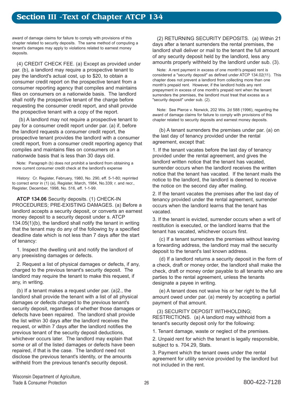award of damage claims for failure to comply with provisions of this chapter related to security deposits. The same method of computing a tenant's damages may apply to violations related to earnest money deposits.

(4) CREDIT CHECK FEE. (a) Except as provided under par. (b), a landlord may require a prospective tenant to pay the landlord's actual cost, up to \$20, to obtain a consumer credit report on the prospective tenant from a consumer reporting agency that compiles and maintains files on consumers on a nationwide basis. The landlord shall notify the prospective tenant of the charge before requesting the consumer credit report, and shall provide the prospective tenant with a copy of the report.

(b) A landlord may not require a prospective tenant to pay for a consumer credit report under par. (a) if, before the landlord requests a consumer credit report, the prospective tenant provides the landlord with a consumer credit report, from a consumer credit reporting agency that compiles and maintains files on consumers on a nationwide basis that is less than 30 days old.

Note: Paragraph (b) does not prohibit a landlord from obtaining a more current consumer credit check at the landlord's expense

History: Cr. Register, February, 1980, No. 290, eff. 5-1-80; reprinted to correct error in (1) (a), Register, March, 1984, No.339; r. and recr., Register, December, 1998, No. 516, eff. 1-1-99.

**ATCP 134.06** Security deposits. (1) CHECK-IN PROCEDURES; PRE-EXISTING DAMAGES. (a) Before a landlord accepts a security deposit, or converts an earnest money deposit to a security deposit under s. ATCP 134.05(1)(b), the landlord shall notify the tenant in writing that the tenant may do any of the following by a specified deadline date which is not less than 7 days after the start of tenancy:

1. Inspect the dwelling unit and notify the landlord of any preexisting damages or defects.

2. Request a list of physical damages or defects, if any, charged to the previous tenant's security deposit. The landlord may require the tenant to make this request, if any, in writing.

(b) If a tenant makes a request under par. (a)2., the landlord shall provide the tenant with a list of all physical damages or defects charged to the previous tenant's security deposit, regardless of whether those damages or defects have been repaired. The landlord shall provide the list within 30 days after the landlord receives the request, or within 7 days after the landlord notifies the previous tenant of the security deposit deductions, whichever occurs later. The landlord may explain that some or all of the listed damages or defects have been repaired, if that is the case. The landlord need not disclose the previous tenant's identity, or the amounts withheld from the previous tenant's security deposit.

(2) RETURNING SECURITY DEPOSITS. (a) Within 21 days after a tenant surrenders the rental premises, the landlord shall deliver or mail to the tenant the full amount of any security deposit held by the landlord, less any amounts properly withheld by the landlord under sub. (3).

Note: A rent payment in excess of one month's prepaid rent is considered a "security deposit" as defined under ATCP 134.02(11). This chapter does not prevent a landlord from collecting more than one month's prepaid rent. However, if the landlord holds any rent prepayment in excess of one month's prepaid rent when the tenant surrenders the premises, the landlord must treat that excess as a "security deposit" under sub. (2).

Note: See Pierce v. Norwick, 202 Wis. 2d 588 (1996), regarding the award of damage claims for failure to comply with provisions of this chapter related to security deposits and earnest money deposits.

(b) A tenant surrenders the premises under par. (a) on the last day of tenancy provided under the rental agreement, except that:

1. If the tenant vacates before the last day of tenancy provided under the rental agreement, and gives the landlord written notice that the tenant has vacated, surrender occurs when the landlord receives the written notice that the tenant has vacated. If the tenant mails the notice to the landlord, the landlord is deemed to receive the notice on the second day after mailing.

2. If the tenant vacates the premises after the last day of tenancy provided under the rental agreement, surrender occurs when the landlord learns that the tenant has vacated.

3. If the tenant is evicted, surrender occurs when a writ of restitution is executed, or the landlord learns that the tenant has vacated, whichever occurs first.

(c) If a tenant surrenders the premises without leaving a forwarding address, the landlord may mail the security deposit to the tenant's last known address.

(d) If a landlord returns a security deposit in the form of a check, draft or money order, the landlord shall make the check, draft or money order payable to all tenants who are parties to the rental agreement, unless the tenants designate a payee in writing.

(e) A tenant does not waive his or her right to the full amount owed under par. (a) merely by accepting a partial payment of that amount.

(3) SECURITY DEPOSIT WITHHOLDING; RESTRICTIONS. (a) A landlord may withhold from a tenant's security deposit only for the following:

1. Tenant damage, waste or neglect of the premises.

2. Unpaid rent for which the tenant is legally responsible, subject to s. 704.29, Stats.

3. Payment which the tenant owes under the rental agreement for utility service provided by the landlord but not included in the rent.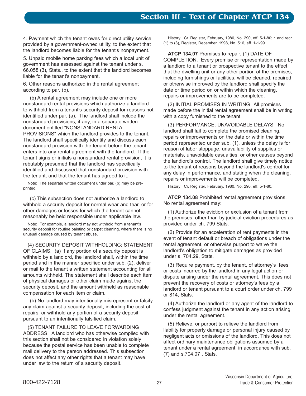4. Payment which the tenant owes for direct utility service provided by a government-owned utility, to the extent that the landlord becomes liable for the tenant's nonpayment.

5. Unpaid mobile home parking fees which a local unit of government has assessed against the tenant under s. 66.058 (3), Stats., to the extent that the landlord becomes liable for the tenant's nonpayment.

6. Other reasons authorized in the rental agreement according to par. (b).

(b) A rental agreement may include one or more nonstandard rental provisions which authorize a landlord to withhold from a tenant's security deposit for reasons not identified under par. (a). The landlord shall include the nonstandard provisions, if any, in a separate written document entitled "NONSTANDARD RENTAL PROVISIONS" which the landlord provides to the tenant. The landlord shall specifically identify and discuss each nonstandard provision with the tenant before the tenant enters into any rental agreement with the landlord. If the tenant signs or initials a nonstandard rental provision, it is rebutably presumed that the landlord has specifically identified and discussed that nonstandard provision with the tenant, and that the tenant has agreed to it.

Note: The separate written document under par. (b) may be preprinted.

(c) This subsection does not authorize a landlord to withhold a security deposit for normal wear and tear, or for other damages or losses for which the tenant cannot reasonably be held responsible under applicable law.

Note: For example, a landlord may not withhold from a tenant's security deposit for routine painting or carpet cleaning, where there is no unusual damage caused by tenant abuse.

(4) SECURITY DEPOSIT WITHHOLDING; STATEMENT OF CLAIMS. (a) If any portion of a security deposit is withheld by a landlord, the landlord shall, within the time period and in the manner specified under sub. (2), deliver or mail to the tenant a written statement accounting for all amounts withheld. The statement shall describe each item of physical damages or other claim made against the security deposit, and the amount withheld as reasonable compensation for each item or claim.

(b) No landlord may intentionally misrepresent or falsify any claim against a security deposit, including the cost of repairs, or withhold any portion of a security deposit pursuant to an intentionally falsified claim.

(5) TENANT FAILURE TO LEAVE FORWARDING ADDRESS. A landlord who has otherwise complied with this section shall not be considered in violation solely because the postal service has been unable to complete mail delivery to the person addressed. This subsection does not affect any other rights that a tenant may have under law to the return of a security deposit.

History: Cr. Register, February, 1980, No. 290, eff. 5-1-80; r. and recr. (1) to (3), Register, December, 1998, No. 516, eff. 1-1-99.

**ATCP 134.07** Promises to repair. (1) DATE OF COMPLETION. Every promise or representation made by a landlord to a tenant or prospective tenant to the effect that the dwelling unit or any other portion of the premises, including furnishings or facilities, will be cleaned, repaired or otherwise improved by the landlord shall specify the date or time period on or within which the cleaning, repairs or improvements are to be completed.

(2) INITIAL PROMISES IN WRITING. All promises made before the initial rental agreement shall be in writing with a copy furnished to the tenant.

(3) PERFORMANCE; UNAVOIDABLE DELAYS. No landlord shall fail to complete the promised cleaning, repairs or improvements on the date or within the time period represented under sub. (1), unless the delay is for reason of labor stoppage, unavailability of supplies or materials, unavoidable casualties, or other causes beyond the landlord's control. The landlord shall give timely notice to the tenant of reasons beyond the landlord's control for any delay in performance, and stating when the cleaning, repairs or improvements will be completed.

History: Cr. Register, February, 1980, No. 290, eff. 5-1-80.

**ATCP 134.08** Prohibited rental agreement provisions. No rental agreement may:

(1) Authorize the eviction or exclusion of a tenant from the premises, other than by judicial eviction procedures as provided under ch. 799 Stats.

(2) Provide for an acceleration of rent payments in the event of tenant default or breach of obligations under the rental agreement, or otherwise purport to waive the landlord's obligation to mitigate damages as provided under s. 704.29, Stats.

(3) Require payment, by the tenant, of attorney's fees or costs incurred by the landlord in any legal action or dispute arising under the rental agreement. This does not prevent the recovery of costs or attorney's fees by a landlord or tenant pursuant to a court order under ch. 799 or 814, Stats.

(4) Authorize the landlord or any agent of the landlord to confess judgment against the tenant in any action arising under the rental agreement.

(5) Relieve, or purport to relieve the landlord from liability for property damage or personal injury caused by negligent acts or omissions of the landlord. This does not affect ordinary maintenance obligations assumed by a tenant under a rental agreement, in accordance with sub. (7) and s.704.07 , Stats.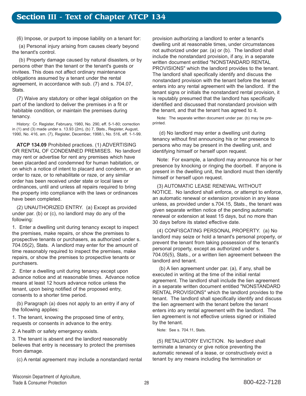(6) Impose, or purport to impose liability on a tenant for:

(a) Personal injury arising from causes clearly beyond the tenant's control.

(b) Property damage caused by natural disasters, or by persons other than the tenant or the tenant's guests or invitees. This does not affect ordinary maintenance obligations assumed by a tenant under the rental agreement, in accordance with sub. (7) and s. 704.07, Stats.

(7) Waive any statutory or other legal obligation on the part of the landlord to deliver the premises in a fit or habitable condition, or maintain the premises during tenancy.

History: Cr. Register, February, 1980, No. 290, eff. 5-1-80; correction in (1) and (3) made under s. 13.93 (2m), (b) 7, Stats., Register, August, 1990, No. 416, am. (7), Register, December, 1998.\, No. 516, eff. 1-1-99.

**ATCP 134.09** Prohibited practices. (1) ADVERTISING OR RENTAL OF CONDEMNED PREMISES. No landlord may rent or advertise for rent any premises which have been placarded and condemned for human habitation, or on which a notice of intent to placard and condemn, or an order to raze, or to rehabilitate or raze, or any similar order has been received under state or local laws or ordinances, until and unless all repairs required to bring the property into compliance with the laws or ordinances have been completed.

(2) UNAUTHORIZED ENTRY. (a) Except as provided under par. (b) or (c), no landlord may do any of the following:

1. Enter a dwelling unit during tenancy except to inspect the premises, make repairs, or show the premises to prospective tenants or purchasers, as authorized under s. 704.05(2), Stats. A landlord may enter for the amount of time reasonably required to inspect the premises, make repairs, or show the premises to prospective tenants or purchasers.

2. Enter a dwelling unit during tenancy except upon advance notice and at reasonable times. Advance notice means at least 12 hours advance notice unless the tenant, upon being notified of the proposed entry, consents to a shorter time period.

(b) Paragraph (a) does not apply to an entry if any of the following applies:

1. The tenant, knowing the proposed time of entry, requests or consents in advance to the entry.

2. A health or safety emergency exists.

3. The tenant is absent and the landlord reasonably believes that entry is necessary to protect the premises from damage.

(c) A rental agreement may include a nonstandard rental

provision authorizing a landlord to enter a tenant's dwelling unit at reasonable times, under circumstances not authorized under par. (a) or (b). The landlord shall include the nonstandard provision, if any, in a separate written document entitled "NONSTANDARD RENTAL PROVISIONS" which the landlord provides to the tenant. The landlord shall specifically identify and discuss the nonstandard provision with the tenant before the tenant enters into any rental agreement with the landlord. If the tenant signs or initials the nonstandard rental provision, it is reputably presumed that the landlord has specifically identified and discussed that nonstandard provision with the tenant, and that the tenant has agreed to it.

Note: The separate written document under par. (b) may be preprinted.

(d) No landlord may enter a dwelling unit during tenancy without first announcing his or her presence to persons who may be present in the dwelling unit, and identifying himself or herself upon request.

Note: For example, a landlord may announce his or her presence by knocking or ringing the doorbell. If anyone is present in the dwelling unit, the landlord must then identify himself or herself upon request.

(3) AUTOMATIC LEASE RENEWAL WITHOUT NOTICE. No landlord shall enforce, or attempt to enforce, an automatic renewal or extension provision in any lease unless, as provided under s.704.15, Stats., the tenant was given separate written notice of the pending automatic renewal or extension at least 15 days, but no more than 30 days before its stated effective date.

(4) CONFISCATING PERSONAL PROPERTY. (a) No landlord may seize or hold a tenant's personal property, or prevent the tenant from taking possession of the tenant's personal property, except as authorized under s. 704.05(5), Stats., or a written lien agreement between the landlord and tenant.

(b) A lien agreement under par. (a), if any, shall be executed in writing at the time of the initial rental agreement. The landlord shall include the lien agreement in a separate written document entitled "NONSTANDARD RENTAL PROVISIONS" which the landlord provides to the tenant. The landlord shall specifically identify and discuss the lien agreement with the tenant before the tenant enters into any rental agreement with the landlord. The lien agreement is not effective unless signed or initialed by the tenant.

Note: See s. 704.11, Stats.

(5) RETALIATORY EVICTION. No landlord shall terminate a tenancy or give notice preventing the automatic renewal of a lease, or constructively evict a tenant by any means including the termination or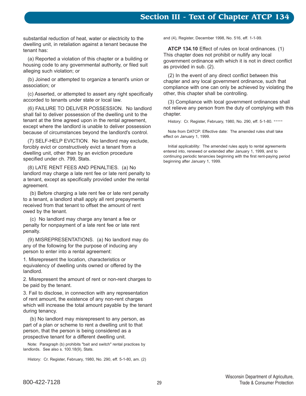# **Section III - Text of Chapter ATCP 134**

substantial reduction of heat, water or electricity to the dwelling unit, in retaliation against a tenant because the tenant has:

(a) Reported a violation of this chapter or a building or housing code to any governmental authority, or filed suit alleging such violation; or

(b) Joined or attempted to organize a tenant's union or association; or

(c) Asserted, or attempted to assert any right specifically accorded to tenants under state or local law.

(6) FAILURE TO DELIVER POSSESSION. No landlord shall fail to deliver possession of the dwelling unit to the tenant at the time agreed upon in the rental agreement, except where the landlord is unable to deliver possession because of circumstances beyond the landlord's control.

(7) SELF-HELP EVICTION. No landlord may exclude, forcibly evict or constructively evict a tenant from a dwelling unit, other than by an eviction procedure specified under ch. 799, Stats.

(8) LATE RENT FEES AND PENALTIES. (a) No landlord may charge a late rent fee or late rent penalty to a tenant, except as specifically provided under the rental agreement.

(b) Before charging a late rent fee or late rent penalty to a tenant, a landlord shall apply all rent prepayments received from that tenant to offset the amount of rent owed by the tenant.

(c) No landlord may charge any tenant a fee or penalty for nonpayment of a late rent fee or late rent penalty.

(9) MISREPRESENTATIONS. (a) No landlord may do any of the following for the purpose of inducing any person to enter into a rental agreement:

1. Misrepresent the location, characteristics or equivalency of dwelling units owned or offered by the landlord.

2. Misrepresent the amount of rent or non-rent charges to be paid by the tenant.

3. Fail to disclose, in connection with any representation of rent amount, the existence of any non-rent charges which will increase the total amount payable by the tenant during tenancy.

(b) No landlord may misrepresent to any person, as part of a plan or scheme to rent a dwelling unit to that person, that the person is being considered as a prospective tenant for a different dwelling unit.

Note: Paragraph (b) prohibits "bait and switch" rental practices by landlords. See also s. 100.18(9), Stats.

History: Cr. Register, February, 1980, No. 290, eff. 5-1-80, am. (2)

and (4), Register, December 1998, No. 516, eff. 1-1-99.

**ATCP 134.10** Effect of rules on local ordinances. (1) This chapter does not prohibit or nullify any local government ordinance with which it is not in direct conflict as provided in sub. (2).

(2) In the event of any direct conflict between this chapter and any local government ordinance, such that compliance with one can only be achieved by violating the other, this chapter shall be controlling.

(3) Compliance with local government ordinances shall not relieve any person from the duty of complying with this chapter.

History: Cr. Register, February, 1980, No. 290, eff. 5-1-80. \*\*\*\*\*

Note from DATCP: Effective date: The amended rules shall take effect on January 1, 1999.

Initial applicability: The amended rules apply to rental agreements entered into, renewed or extended after January 1, 1999, and to continuing periodic tenancies beginning with the first rent-paying period beginning after January 1, 1999.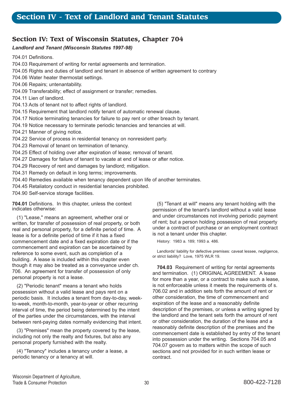# **Section IV: Text of Wisconsin Statutes, Chapter 704**

#### *Landlord and Tenant (Wisconsin Statutes 1997-98)*

704.01 Definitions. 704.03 Requirement of writing for rental agreements and termination. 704.05 Rights and duties of landlord and tenant in absence of written agreement to contrary 704.06 Water heater thermostat settings. 704.06 Repairs; untenantability. 704.09 Transferability; effect of assignment or transfer; remedies. 704.11 Lien of landlord. 704.13 Acts of tenant not to affect rights of landlord. 704.15 Requirement that landlord notify tenant of automatic renewal clause. 704.17 Notice terminating tenancies for failure to pay rent or other breach by tenant. 704.19 Notice necessary to terminate periodic tenancies and tenancies at will. 704.21 Manner of giving notice. 704.22 Service of process in residential tenancy on nonresident party. 704.23 Removal of tenant on termination of tenancy. 704.25 Effect of holding over after expiration of lease; removal of tenant. 704.27 Damages for failure of tenant to vacate at end of lease or after notice.

- 704.29 Recovery of rent and damages by landlord; mitigation.
- 704.31 Remedy on default in long terms; improvements.
- 704.40 Remedies available when tenancy dependent upon life of another terminates.
- 704.45 Retaliatory conduct in residential tenancies prohibited.

704.90 Self-service storage facilities.

**704.01** Definitions. In this chapter, unless the context indicates otherwise:

(1) "Lease," means an agreement, whether oral or written, for transfer of possession of real property, or both real and personal property, for a definite period of time. A lease is for a definite period of time if it has a fixed commencement date and a fixed expiration date or if the commencement and expiration can be ascertained by reference to some event, such as completion of a building. A lease is included within this chapter even though it may also be treated as a conveyance under ch. 706. An agreement for transfer of possession of only personal property is not a lease.

(2) "Periodic tenant" means a tenant who holds possession without a valid lease and pays rent on a periodic basis. It includes a tenant from day-to-day, weekto-week, month-to-month, year-to-year or other recurring interval of time, the period being determined by the intent of the parties under the circumstances, with the interval between rent-paying dates normally evidencing that intent.

(3) "Premises" mean the property covered by the lease, including not only the realty and fixtures, but also any personal property furnished with the realty.

(4) "Tenancy" includes a tenancy under a lease, a periodic tenancy or a tenancy at will.

(5) "Tenant at will" means any tenant holding with the permission of the tenant's landlord without a valid lease and under circumstances not involving periodic payment of rent; but a person holding possession of real property under a contract of purchase or an employment contract is not a tenant under this chapter.

History: 1983 a. 189; 1993 a. 486.

Landlords' liability for defective premises: caveat lessee, negligence, or strict liability? Love, 1975 WLR 19.

**704.03** Requirement of writing for rental agreements and termination. (1) ORIGINAL AGREEMENT. A lease for more than a year, or a contract to make such a lease, is not enforceable unless it meets the requirements of s. 706.02 and in addition sets forth the amount of rent or other consideration, the time of commencement and expiration of the lease and a reasonably definite description of the premises, or unless a writing signed by the landlord and the tenant sets forth the amount of rent or other consideration, the duration of the lease and a reasonably definite description of the premises and the commencement date is established by entry of the tenant into possession under the writing. Sections 704.05 and 704.07 govern as to matters within the scope of such sections and not provided for in such written lease or contract.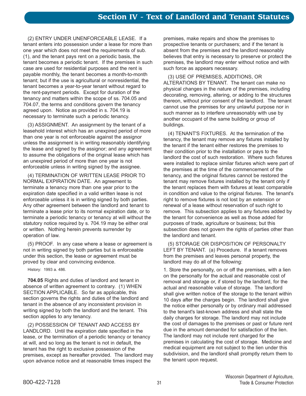(2) ENTRY UNDER UNENFORCEABLE LEASE. If a tenant enters into possession under a lease for more than one year which does not meet the requirements of sub. (1), and the tenant pays rent on a periodic basis, the tenant becomes a periodic tenant. If the premises in such case are used for residential purposes and the rent is payable monthly, the tenant becomes a month-to-month tenant; but if the use is agricultural or nonresidential, the tenant becomes a year-to-year tenant without regard to the rent-payment periods. Except for duration of the tenancy and matters within the scope of ss. 704.05 and 704.07, the terms and conditions govern the tenancy agreed upon. Notice as provided in s. 704.19 is necessary to terminate such a periodic tenancy.

(3) ASSIGNMENT. An assignment by the tenant of a leasehold interest which has an unexpired period of more than one year is not enforceable against the assignor unless the assignment is in writing reasonably identifying the lease and signed by the assignor; and any agreement to assume the obligations of the original lease which has an unexpired period of more than one year is not enforceable unless in writing signed by the assignee.

(4) TERMINATION OF WRITTEN LEASE PRIOR TO NORMAL EXPIRATION DATE. An agreement to terminate a tenancy more than one year prior to the expiration date specified in a valid written lease is not enforceable unless it is in writing signed by both parties. Any other agreement between the landlord and tenant to terminate a lease prior to its normal expiration date, or to terminate a periodic tenancy or tenancy at will without the statutory notice required by s. 704.19 may be either oral or written. Nothing herein prevents surrender by operation of law.

(5) PROOF. In any case where a lease or agreement is not in writing signed by both parties but is enforceable under this section, the lease or agreement must be proved by clear and convincing evidence.

History: 1993 a. 486.

**704.05** Rights and duties of landlord and tenant in absence of written agreement to contrary. (1) WHEN SECTION APPLICABLE. So far as applicable, this section governs the rights and duties of the landlord and tenant in the absence of any inconsistent provision in writing signed by both the landlord and the tenant. This section applies to any tenancy.

(2) POSSESSION OF TENANT AND ACCESS BY LANDLORD. Until the expiration date specified in the lease, or the termination of a periodic tenancy or tenancy at will, and so long as the tenant is not in default, the tenant has the right to exclusive possession of the premises, except as hereafter provided. The landlord may upon advance notice and at reasonable times inspect the

premises, make repairs and show the premises to prospective tenants or purchasers; and if the tenant is absent from the premises and the landlord reasonably believes that entry is necessary to preserve or protect the premises, the landlord may enter without notice and with such force as appears necessary.

(3) USE OF PREMISES, ADDITIONS, OR ALTERATIONS BY TENANT. The tenant can make no physical changes in the nature of the premises, including decorating, removing, altering, or adding to the structures thereon, without prior consent of the landlord. The tenant cannot use the premises for any unlawful purpose nor in such manner as to interfere unreasonably with use by another occupant of the same building or group of buildings.

(4) TENANT'S FIXTURES. At the termination of the tenancy, the tenant may remove any fixtures installed by the tenant if the tenant either restores the premises to their condition prior to the installation or pays to the landlord the cost of such restoration. Where such fixtures were installed to replace similar fixtures which were part of the premises at the time of the commencement of the tenancy, and the original fixtures cannot be restored the tenant may remove fixtures installed by the tenant only if the tenant replaces them with fixtures at least comparable in condition and value to the original fixtures. The tenant's right to remove fixtures is not lost by an extension or renewal of a lease without reservation of such right to remove. This subsection applies to any fixtures added by the tenant for convenience as well as those added for purposes of trade, agriculture or business; but this subsection does not govern the rights of parties other than the landlord and tenant.

(5) STORAGE OR DISPOSITION OF PERSONALTY LEFT BY TENANT. (a) Procedure. If a tenant removes from the premises and leaves personal property, the landlord may do all of the following:

1. Store the personalty, on or off the premises, with a lien on the personalty for the actual and reasonable cost of removal and storage or, if stored by the landlord, for the actual and reasonable value of storage. The landlord shall give written notice of the storage to the tenant within 10 days after the charges begin. The landlord shall give the notice either personally or by ordinary mail addressed to the tenant's last-known address and shall state the daily charges for storage. The landlord may not include the cost of damages to the premises or past or future rent due in the amount demanded for satisfaction of the lien. The landlord may not include rent charged for the premises in calculating the cost of storage. Medicine and medical equipment are not subject to the lien under this subdivision, and the landlord shall promptly return them to the tenant upon request.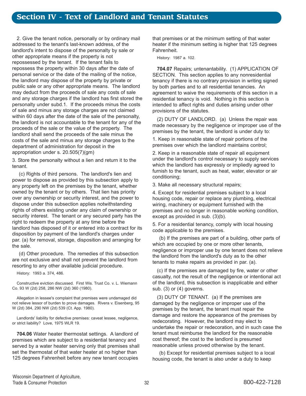2. Give the tenant notice, personally or by ordinary mail addressed to the tenant's last-known address, of the landlord's intent to dispose of the personalty by sale or other appropriate means if the property is not repossessed by the tenant. If the tenant fails to repossess the property within 30 days after the date of personal service or the date of the mailing of the notice, the landlord may dispose of the property by private or public sale or any other appropriate means. The landlord may deduct from the proceeds of sale any costs of sale and any storage charges if the landlord has first stored the personalty under subd.1. If the proceeds minus the costs of sale and minus any storage charges are not claimed within 60 days after the date of the sale of the personalty, the landlord is not accountable to the tenant for any of the proceeds of the sale or the value of the property. The landlord shall send the proceeds of the sale minus the costs of the sale and minus any storage charges to the department of administration for deposit in the appropriation under s. 20.505(7)(gm)

3. Store the personalty without a lien and return it to the tenant.

(c) Rights of third persons. The landlord's lien and power to dispose as provided by this subsection apply to any property left on the premises by the tenant, whether owned by the tenant or by others. That lien has priority over any ownership or security interest, and the power to dispose under this subsection applies notwithstanding rights of others existing under any claim of ownership or security interest. The tenant or any secured party has the right to redeem the property at any time before the landlord has disposed of it or entered into a contract for its disposition by payment of the landlord's charges under par. (a) for removal, storage, disposition and arranging for the sale.

(d) Other procedure. The remedies of this subsection are not exclusive and shall not prevent the landlord from resorting to any other available judicial procedure.

History: 1993 a. 374, 486.

Constructive eviction discussed. First Wis. Trust Co. v. L. Wiemann Co. 93 W (2d) 258, 286 NW (2d) 360 (1980).

Allegation in lessee's complaint that premises were undamaged did not relieve lessor of burden to prove damages. Rivera v. Eisenberg, 95 W (2d) 384, 290 NW (2d) 539 (Ct. App. 1980).

Landlords' liability for defective premises: caveat lessee, negligence, or strict liability? Love, 1975 WLR 19.

**704.06** Water heater thermostat settings. A landlord of premises which are subject to a residential tenancy and served by a water heater serving only that premises shall set the thermostat of that water heater at no higher than 125 degrees Fahrenheit before any new tenant occupies

that premises or at the minimum setting of that water heater if the minimum setting is higher that 125 degrees Fahrenheit.

History: 1987 a. 102.

**704.07** Repairs; untenantability. (1) APPLICATION OF SECTION. This section applies to any nonresidential tenancy if there is no contrary provision in writing signed by both parties and to all residential tenancies. An agreement to waive the requirements of this section in a residential tenancy is void. Nothing in this section is intended to affect rights and duties arising under other provisions of the statutes.

(2) DUTY OF LANDLORD. (a) Unless the repair was made necessary by the negligence or improper use of the premises by the tenant, the landlord is under duty to:

1. Keep in reasonable state of repair portions of the premises over which the landlord maintains control;

2. Keep in a reasonable state of repair all equipment under the landlord's control necessary to supply services which the landlord has expressly or impliedly agreed to furnish to the tenant, such as heat, water, elevator or air conditioning;

3. Make all necessary structural repairs;

4. Except for residential premises subject to a local housing code, repair or replace any plumbing, electrical wiring, machinery or equipment furnished with the premises and no longer in reasonable working condition, except as provided in sub. (3)(b).

5. For a residential tenancy, comply with local housing code applicable to the premises.

(b) If the premises are part of a building, other parts of which are occupied by one or more other tenants, negligence or improper use by one tenant does not relieve the landlord from the landlord's duty as to the other tenants to make repairs as provided in par. (a).

(c) If the premises are damaged by fire, water or other casualty, not the result of the negligence or intentional act of the landlord, this subsection is inapplicable and either sub. (3) or (4) governs.

(3) DUTY OF TENANT. (a) If the premises are damaged by the negligence or improper use of the premises by the tenant, the tenant must repair the damage and restore the appearance of the premises by redecorating. However, the landlord may elect to undertake the repair or redecoration, and in such case the tenant must reimburse the landlord for the reasonable cost thereof; the cost to the landlord is presumed reasonable unless proved otherwise by the tenant.

(b) Except for residential premises subject to a local housing code, the tenant is also under a duty to keep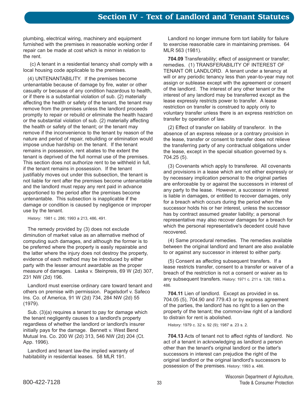plumbing, electrical wiring, machinery and equipment furnished with the premises in reasonable working order if repair can be made at cost which is minor in relation to the rent.

(c) A tenant in a residential tenancy shall comply with a local housing code applicable to the premises.

(4) UNTENANTABILITY. If the premises become untenantable because of damage by fire, water or other casualty or because of any condition hazardous to health, or if there is a substantial violation of sub. (2) materially affecting the health or safety of the tenant, the tenant may remove from the premises unless the landlord proceeds promptly to repair or rebuild or eliminate the health hazard or the substantial violation of sub. (2) materially affecting the health or safety of the tenant; or the tenant may remove if the inconvenience to the tenant by reason of the nature and period of repair, rebuilding or elimination would impose undue hardship on the tenant. If the tenant remains in possession, rent abates to the extent the tenant is deprived of the full normal use of the premises. This section does not authorize rent to be withheld in full, if the tenant remains in possession. If the tenant justifiably moves out under this subsection, the tenant is not liable for rent after the premises become untenantable and the landlord must repay any rent paid in advance apportioned to the period after the premises become untenantable. This subsection is inapplicable if the damage or condition is caused by negligence or improper use by the tenant.

History: 1981 c. 286; 1993 a 213, 486, 491.

The remedy provided by (3) does not exclude diminution of market value as an alternative method of computing such damages, and although the former is to be preferred where the property is easily repairable and the latter where the injury does not destroy the property, evidence of each method may be introduced by either party with the lesser amount awardable as the proper measure of damages. Laska v. Steinpreis, 69 W (2d) 307, 231 NW (2d) 196.

Landlord must exercise ordinary care toward tenant and others on premise with permission. Pagelsdorf v. Safeco Ins. Co. of America, 91 W (2d) 734, 284 NW (2d) 55 (1979).

Sub. (3)(a) requires a tenant to pay for damage which the tenant negligently causes to a landlord's property regardless of whether the landlord or landlord's insurer initially pays for the damage. Bennett v. West Bend Mutual Ins. Co. 200 W (2d) 313, 546 NW (2d) 204 (Ct. App. 1996).

Landlord and tenant law-the implied warranty of habitability in residential leases. 58 MLR 191.

Landlord no longer immune form tort liability for failure to exercise reasonable care in maintaining premises. 64 MLR 563 (1981).

**704.09** Transferability; effect of assignment or transfer; remedies. (1) TRANSFERABILITY OF INTEREST OF TENANT OR LANDLORD. A tenant under a tenancy at will or any periodic tenancy less than year-to-year may not assign or sublease except with the agreement or consent of the landlord. The interest of any other tenant or the interest of any landlord may be transferred except as the lease expressly restricts power to transfer. A lease restriction on transfer is construed to apply only to voluntary transfer unless there is an express restriction on transfer by operation of law.

(2) Effect of transfer on liability of transferor. In the absence of an express release or a contrary provision in the lease, transfer or consent to transfer does not relieve the transferring party of any contractual obligations under the lease, except in the special situation governed by s. 704.25 (5).

(3) Covenants which apply to transferee. All covenants and provisions in a lease which are not either expressly or by necessary implication personal to the original parties are enforceable by or against the successors in interest of any party to the lease. However, a successor in interest is liable in damages, or entitled to recover damages, only for a breach which occurs during the period when the successor holds his or her interest, unless the successor has by contract assumed greater liability; a personal representative may also recover damages for a breach for which the personal representative's decedent could have recovered.

(4) Same procedural remedies. The remedies available between the original landlord and tenant are also available to or against any successor in interest to either party.

(5) Consent as affecting subsequent transfers. If a lease restricts transfer, consent to a transfer or waiver of a breach of the restriction is not a consent or waiver as to any subsequent transfers. History: 1971 c. 211 s. 126; 1993 a. 486.

**704.11** Lien of landlord. Except as provided in ss. 704.05 (5), 704.90 and 779.43 or by express agreement of the parties, the landlord has no right to a lien on the property of the tenant; the common-law right of a landlord to distrain for rent is abolished.

History: 1979 c. 32 s. 92 (9); 1987 a. 23 s. 2.

**704.13** Acts of tenant not to affect rights of landlord. No act of a tenant in acknowledging as landlord a person other than the tenant's original landlord or the latter's successors in interest can prejudice the right of the original landlord or the original landlord's successors to possession of the premises. History: 1993 a. 486.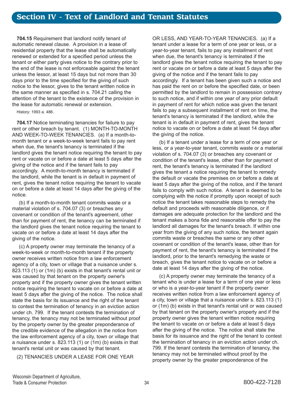**704.15** Requirement that landlord notify tenant of automatic renewal clause. A provision in a lease of residential property that the lease shall be automatically renewed or extended for a specified period unless the tenant or either party gives notice to the contrary prior to the end of the lease is not enforceable against the tenant unless the lessor, at least 15 days but not more than 30 days prior to the time specified for the giving of such notice to the lessor, gives to the tenant written notice in the same manner as specified in s. 704.21 calling the attention of the tenant to the existence of the provision in the lease for automatic renewal or extension.

History: 1993 a. 486.

**704.17** Notice terminating tenancies for failure to pay rent or other breach by tenant. (1) MONTH-TO-MONTH AND WEEK-TO-WEEK TENANCIES. (a) If a month-tomonth tenant or a week-to-week tenant fails to pay rent when due, the tenant's tenancy is terminated if the landlord gives the tenant notice requiring the tenant to pay rent or vacate on or before a date at least 5 days after the giving of the notice and if the tenant fails to pay accordingly. A month-to-month tenancy is terminated if the landlord, while the tenant is in default in payment of rent, gives the tenant notice requiring the tenant to vacate on or before a date at least 14 days after the giving of the notice.

(b) If a month-to-month tenant commits waste or a material violation of s. 704.07 (3) or breaches any covenant or condition of the tenant's agreement, other than for payment of rent, the tenancy can be terminated if the landlord gives the tenant notice requiring the tenant to vacate on or before a date at least 14 days after the giving of the notice.

(c) A property owner may terminate the tenancy of a week-to-week or month-to-month tenant if the property owner receives written notice from a law enforcement agency of a city, town or village that a nuisance under s. 823.113 (1) or (1m) (b) exists in that tenant's rental unit or was caused by that tenant on the property owner's property and if the property owner gives the tenant written notice requiring the tenant to vacate on or before a date at least 5 days after the giving of the notice. The notice shall state the basis for its issuance and the right of the tenant to contest the termination of tenancy in an eviction action under ch. 799. If the tenant contests the termination of tenancy, the tenancy may not be terminated without proof by the property owner by the greater preponderance of the credible evidence of the allegation in the notice from the law enforcement agency of a city, town or village that a nuisance under s. 823.113 (1) or (1m) (b) exists in that tenant's rental unit or was caused by that tenant.

(2) TENANCIES UNDER A LEASE FOR ONE YEAR

OR LESS, AND YEAR-TO-YEAR TENANCIES. (a) If a tenant under a lease for a term of one year or less, or a year-to-year tenant, fails to pay any installment of rent when due, the tenant's tenancy is terminated if the landlord gives the tenant notice requiring the tenant to pay rent or vacate on or before a date at least 5 days after the giving of the notice and if the tenant fails to pay accordingly. If a tenant has been given such a notice and has paid the rent on or before the specified date, or been permitted by the landlord to remain in possession contrary to such notice, and if within one year of any prior default in payment of rent for which notice was given the tenant fails to pay a subsequent installment of rent on time, the tenant's tenancy is terminated if the landlord, while the tenant is in default in payment of rent, gives the tenant notice to vacate on or before a date at least 14 days after the giving of the notice.

(b) If a tenant under a lease for a term of one year or less, or a year-to-year tenant, commits waste or a material violation of s. 704.07 (3) or breaches any covenant or condition of the tenant's lease, other than for payment of rent, the tenant's tenancy is terminated if the landlord gives the tenant a notice requiring the tenant to remedy the default or vacate the premises on or before a date at least 5 days after the giving of the notice, and if the tenant fails to comply with such notice. A tenant is deemed to be complying with the notice if promptly upon receipt of such notice the tenant takes reasonable steps to remedy the default and proceeds with reasonable diligence, or if damages are adequate protection for the landlord and the tenant makes a bona fide and reasonable offer to pay the landlord all damages for the tenant's breach. If within one year from the giving of any such notice, the tenant again commits waste or breaches the same or any other covenant or condition of the tenant's lease, other than for payment of rent, the tenant's tenancy is terminated if the landlord, prior to the tenant's remedying the waste or breach, gives the tenant notice to vacate on or before a date at least 14 days after the giving of the notice.

(c) A property owner may terminate the tenancy of a tenant who is under a lease for a term of one year or less or who is a year-to-year tenant if the property owner receives written notice from a law enforcement agency of a city, town or village that a nuisance under s. 823.113 (1) or (1m) (b) exists in that tenant's rental unit or was caused by that tenant on the property owner's property and if the property owner gives the tenant written notice requiring the tenant to vacate on or before a date at least 5 days after the giving of the notice. The notice shall state the basis for its issuance and the right of the tenant to contest the termination of tenancy in an eviction action under ch. 799. If the tenant contests the termination of tenancy, the tenancy may not be terminated without proof by the property owner by the greater preponderance of the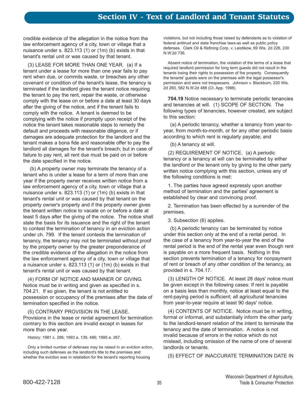credible evidence of the allegation in the notice from the law enforcement agency of a city, town or village that a nuisance under s. 823.113 (1) or (1m) (b) exists in that tenant's rental unit or was caused by that tenant.

(3) LEASE FOR MORE THAN ONE YEAR. (a) If a tenant under a lease for more than one year fails to pay rent when due, or commits waste, or breaches any other covenant or condition of the tenant's lease, the tenancy is terminated if the landlord gives the tenant notice requiring the tenant to pay the rent, repair the waste, or otherwise comply with the lease on or before a date at least 30 days after the giving of the notice, and if the tenant fails to comply with the notice. A tenant is deemed to be complying with the notice if promptly upon receipt of the notice the tenant takes reasonable steps to remedy the default and proceeds with reasonable diligence, or if damages are adequate protection for the landlord and the tenant makes a bona fide and reasonable offer to pay the landlord all damages for the tenant's breach; but in case of failure to pay rent, all rent due must be paid on or before the date specified in the notice.

(b) A property owner may terminate the tenancy of a tenant who is under a lease for a term of more than one year if the property owner receives written notice from a law enforcement agency of a city, town or village that a nuisance under s. 823.113 (1) or (1m) (b) exists in that tenant's rental unit or was caused by that tenant on the property owner's property and if the property owner gives the tenant written notice to vacate on or before a date at least 5 days after the giving of the notice. The notice shall state the basis for its issuance and the right of the tenant to contest the termination of tenancy in an eviction action under ch. 799. If the tenant contests the termination of tenancy, the tenancy may not be terminated without proof by the property owner by the greater preponderance of the credible evidence of the allegation in the notice from the law enforcement agency of a city, town or village that a nuisance under s. 823.113 (1) or (1m) (b) exists in that tenant's rental unit or was caused by that tenant.

(4) FORM OF NOTICE AND MANNER OF GIVING. Notice must be in writing and given as specified in s. 704.21. If so given, the tenant is not entitled to possession or occupancy of the premises after the date of termination specified in the notice.

(5) CONTRARY PROVISION IN THE LEASE. Provisions in the lease or rental agreement for termination contrary to this section are invalid except in leases for more than one year.

History: 1981 c. 286; 1993 a. 139, 486; 1995 a. 267.

Only a limited number of defenses may be raised in an eviction action, including such defenses as the landlord's title to the premises and whether the eviction was in retaliation for the tenant's reporting housing

violations, but not including those raised by defendants as to violation of federal antitrust and state franchise laws-as well as public policy defenses. Clark Oil & Refining Corp. v. Leistikow, 69 Wis. 2d 226, 230 N.W.2d 736.

Absent notice of termination, the violation of the terms of a lease that required landlord permission for long term guests did not result in the tenants losing their rights to possession of the property. Consequently the tenants' guests were on the premises with the legal possessor's permission and were not trespassers. Johnson v. Blackburn, 220 Wis. 2d 260, 582 N.W.2d 488 (Ct. App. 1998).

**704.19** Notice necessary to terminate periodic tenancies and tenancies at will. (1) SCOPE OF SECTION. The following types of tenancies, however created, are subject to this section:

(a) A periodic tenancy, whether a tenancy from year-toyear, from month-to-month, or for any other periodic basis according to which rent is regularly payable; and

(b) A tenancy at will.

(2) REQUIREMENT OF NOTICE. (a) A periodic tenancy or a tenancy at will can be terminated by either the landlord or the tenant only by giving to the other party written notice complying with this section, unless any of the following conditions is met:

1. The parties have agreed expressly upon another method of termination and the parties' agreement is established by clear and convincing proof.

2. Termination has been effected by a surrender of the premises.

3. Subsection (6) applies.

(b) A periodic tenancy can be terminated by notice under this section only at the end of a rental period. In the case of a tenancy from year-to-year the end of the rental period is the end of the rental year even though rent is payable on a more frequent basis. Nothing in this section prevents termination of a tenancy for nonpayment of rent or breach of any other condition of the tenancy, as provided in s. 704.17.

(3) LENGTH OF NOTICE. At least 28 days' notice must be given except in the following cases: If rent is payable on a basis less than monthly, notice at least equal to the rent-paying period is sufficient; all agricultural tenancies from year-to-year require at least 90 days' notice.

(4) CONTENTS OF NOTICE. Notice must be in writing, formal or informal, and substantially inform the other party to the landlord-tenant relation of the intent to terminate the tenancy and the date of termination. A notice is not invalid because of errors in the notice which do not mislead, including omission of the name of one of several landlords or tenants.

(5) EFFECT OF INACCURATE TERMINATION DATE IN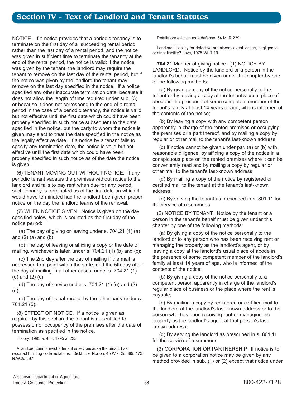NOTICE. If a notice provides that a periodic tenancy is to terminate on the first day of a succeeding rental period rather than the last day of a rental period, and the notice was given in sufficient time to terminate the tenancy at the end of the rental period, the notice is valid; if the notice was given by the tenant, the landlord may require the tenant to remove on the last day of the rental period, but if the notice was given by the landlord the tenant may remove on the last day specified in the notice. If a notice specified any other inaccurate termination date, because it does not allow the length of time required under sub. (3) or because it does not correspond to the end of a rental period in the case of a periodic tenancy, the notice is valid but not effective until the first date which could have been properly specified in such notice subsequent to the date specified in the notice, but the party to whom the notice is given may elect to treat the date specified in the notice as the legally effective date. If a notice by a tenant fails to specify any termination date, the notice is valid but not effective until the first date which could have been properly specified in such notice as of the date the notice is given.

(6) TENANT MOVING OUT WITHOUT NOTICE. If any periodic tenant vacates the premises without notice to the landlord and fails to pay rent when due for any period, such tenancy is terminated as of the first date on which it would have terminated had the landlord been given proper notice on the day the landlord learns of the removal.

(7) WHEN NOTICE GIVEN. Notice is given on the day specified below, which is counted as the first day of the notice period:

(a) The day of giving or leaving under s. 704.21 (1) (a) and  $(2)$   $(a)$  and  $(b)$ ;

(b) The day of leaving or affixing a copy or the date of mailing, whichever is later, under s. 704.21 (1) (b) and (c);

(c) The 2nd day after the day of mailing if the mail is addressed to a point within the state, and the 5th day after the day of mailing in all other cases, under s. 704.21 (1) (d) and (2) (c);

(d) The day of service under s.  $704.21$  (1) (e) and (2) (d).

(e) The day of actual receipt by the other party under s. 704.21 (5).

(8) EFFECT OF NOTICE. If a notice is given as required by this section, the tenant is not entitled to possession or occupancy of the premises after the date of termination as specified in the notice.

History: 1993 a. 486; 1995 a. 225.

A landlord cannot evict a tenant solely because the tenant has reported building code violations. Dickhut v. Norton, 45 Wis. 2d 389, 173 N.W.2d 297.

Retaliatory eviction as a defense. 54 MLR 239.

Landlords' liability for defective premises: caveat lessee, negligence, or strict liability? Love, 1975 WLR 19.

**704.21** Manner of giving notice. (1) NOTICE BY LANDLORD. Notice by the landlord or a person in the landlord's behalf must be given under this chapter by one of the following methods:

(a) By giving a copy of the notice personally to the tenant or by leaving a copy at the tenant's usual place of abode in the presence of some competent member of the tenant's family at least 14 years of age, who is informed of the contents of the notice;

(b) By leaving a copy with any competent person apparently in charge of the rented premises or occupying the premises or a part thereof, and by mailing a copy by regular or other mail to the tenant's last-known address;

(c) If notice cannot be given under par. (a) or (b) with reasonable diligence, by affixing a copy of the notice in a conspicuous place on the rented premises where it can be conveniently read and by mailing a copy by regular or other mail to the tenant's last-known address;

(d) By mailing a copy of the notice by registered or certified mail to the tenant at the tenant's last-known address;

(e) By serving the tenant as prescribed in s. 801.11 for the service of a summons.

(2) NOTICE BY TENANT. Notice by the tenant or a person in the tenant's behalf must be given under this chapter by one of the following methods:

(a) By giving a copy of the notice personally to the landlord or to any person who has been receiving rent or managing the property as the landlord's agent, or by leaving a copy at the landlord's usual place of abode in the presence of some competent member of the landlord's family at least 14 years of age, who is informed of the contents of the notice;

(b) By giving a copy of the notice personally to a competent person apparently in charge of the landlord's regular place of business or the place where the rent is payable;

(c) By mailing a copy by registered or certified mail to the landlord at the landlord's last-known address or to the person who has been receiving rent or managing the property as the landlord's agent at that person's lastknown address;

(d) By serving the landlord as prescribed in s. 801.11 for the service of a summons.

(3) CORPORATION OR PARTNERSHIP. If notice is to be given to a corporation notice may be given by any method provided in sub. (1) or (2) except that notice under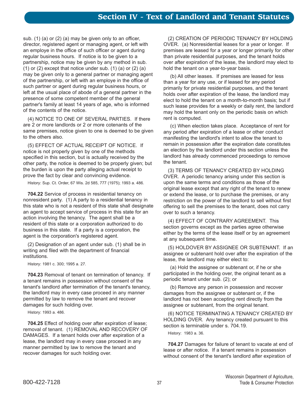sub. (1) (a) or (2) (a) may be given only to an officer, director, registered agent or managing agent, or left with an employe in the office of such officer or agent during regular business hours. If notice is to be given to a partnership, notice may be given by any method in sub.  $(1)$  or  $(2)$  except that notice under sub.  $(1)$   $(a)$  or  $(2)$   $(a)$ may be given only to a general partner or managing agent of the partnership, or left with an employe in the office of such partner or agent during regular business hours, or left at the usual place of abode of a general partner in the presence of some competent member of the general partner's family at least 14 years of age, who is informed of the contents of the notice.

(4) NOTICE TO ONE OF SEVERAL PARTIES. If there are 2 or more landlords or 2 or more cotenants of the same premises, notice given to one is deemed to be given to the others also.

(5) EFFECT OF ACTUAL RECEIPT OF NOTICE. If notice is not properly given by one of the methods specified in this section, but is actually received by the other party, the notice is deemed to be properly given; but the burden is upon the party alleging actual receipt to prove the fact by clear and convincing evidence.

History: Sup. Ct. Order, 67 Wis. 2d 585, 777 (1975); 1993 a. 486.

**704.22** Service of process in residential tenancy on nonresident party. (1) A party to a residential tenancy in this state who is not a resident of this state shall designate an agent to accept service of process in this state for an action involving the tenancy. The agent shall be a resident of this state or a corporation authorized to do business in this state. If a party is a corporation, the agent is the corporation's registered agent.

(2) Designation of an agent under sub. (1) shall be in writing and filed with the department of financial institutions.

History: 1981 c. 300; 1995 a. 27.

**704.23** Removal of tenant on termination of tenancy. If a tenant remains in possession without consent of the tenant's landlord after termination of the tenant's tenancy, the landlord may in every case proceed in any manner permitted by law to remove the tenant and recover damages for such holding over.

History: 1993 a. 486.

**704.25** Effect of holding over after expiration of lease; removal of tenant. (1) REMOVAL AND RECOVERY OF DAMAGES. If a tenant holds over after expiration of a lease, the landlord may in every case proceed in any manner permitted by law to remove the tenant and recover damages for such holding over.

(2) CREATION OF PERIODIC TENANCY BY HOLDING OVER. (a) Nonresidential leases for a year or longer. If premises are leased for a year or longer primarily for other than private residential purposes, and the tenant holds over after expiration of the lease, the landlord may elect to hold the tenant on a year-to-year basis.

(b) All other leases. If premises are leased for less than a year for any use, or if leased for any period primarily for private residential purposes, and the tenant holds over after expiration of the lease, the landlord may elect to hold the tenant on a month-to-month basis; but if such lease provides for a weekly or daily rent, the landlord may hold the tenant only on the periodic basis on which rent is computed.

(c) When election takes place. Acceptance of rent for any period after expiration of a lease or other conduct manifesting the landlord's intent to allow the tenant to remain in possession after the expiration date constitutes an election by the landlord under this section unless the landlord has already commenced proceedings to remove the tenant.

(3) TERMS OF TENANCY CREATED BY HOLDING OVER. A periodic tenancy arising under this section is upon the same terms and conditions as those of the original lease except that any right of the tenant to renew or extend the lease, or to purchase the premises, or any restriction on the power of the landlord to sell without first offering to sell the premises to the tenant, does not carry over to such a tenancy.

(4) EFFECT OF CONTRARY AGREEMENT. This section governs except as the parties agree otherwise either by the terms of the lease itself or by an agreement at any subsequent time.

(5) HOLDOVER BY ASSIGNEE OR SUBTENANT. If an assignee or subtenant hold over after the expiration of the lease, the landlord may either elect to:

(a) Hold the assignee or subtenant or, if he or she participated in the holding over, the original tenant as a periodic tenant under sub. (2); or

(b) Remove any person in possession and recover damages from the assignee or subtenant or, if the landlord has not been accepting rent directly from the assignee or subtenant, from the original tenant.

(6) NOTICE TERMINATING A TENANCY CREATED BY HOLDING OVER. Any tenancy created pursuant to this section is terminable under s. 704.19.

History: 1983 a. 36.

**704.27** Damages for failure of tenant to vacate at end of lease or after notice. If a tenant remains in possession without consent of the tenant's landlord after expiration of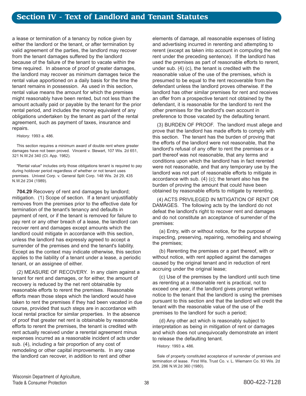a lease or termination of a tenancy by notice given by either the landlord or the tenant, or after termination by valid agreement of the parties, the landlord may recover from the tenant damages suffered by the landlord because of the failure of the tenant to vacate within the time required. In absence of proof of greater damages, the landlord may recover as minimum damages twice the rental value apportioned on a daily basis for the time the tenant remains in possession. As used in this section, rental value means the amount for which the premises might reasonably have been rented, but not less than the amount actually paid or payable by the tenant for the prior rental period, and includes the money equivalent of any obligations undertaken by the tenant as part of the rental agreement, such as payment of taxes, insurance and repairs.

History: 1993 a. 486.

This section requires a minimum award of double rent where greater damages have not been proved. Vincenti v. Stewart, 107 Wis. 2d 651, 321 N.W.2d 340 (Ct. App. 1982).

"Rental value" includes only those obligations tenant is required to pay during holdover period regardless of whether or not tenant uses premises. Univest Corp. v. General Split Corp. 148 Wis. 2d 29, 435 N.W.2d 234 (1989).

**704.29** Recovery of rent and damages by landlord; mitigation. (1) Scope of section. If a tenant unjustifiably removes from the premises prior to the effective date for termination of the tenant's tenancy and defaults in payment of rent, or if the tenant is removed for failure to pay rent or any other breach of a lease, the landlord can recover rent and damages except amounts which the landlord could mitigate in accordance with this section, unless the landlord has expressly agreed to accept a surrender of the premises and end the tenant's liability. Except as the context may indicate otherwise, this section applies to the liability of a tenant under a lease, a periodic tenant, or an assignee of either.

(2) MEASURE OF RECOVERY. In any claim against a tenant for rent and damages, or for either, the amount of recovery is reduced by the net rent obtainable by reasonable efforts to rerent the premises. Reasonable efforts mean those steps which the landlord would have taken to rent the premises if they had been vacated in due course, provided that such steps are in accordance with local rental practice for similar properties. In the absence of proof that greater net rent is obtainable by reasonable efforts to rerent the premises, the tenant is credited with rent actually received under a rerental agreement minus expenses incurred as a reasonable incident of acts under sub. (4), including a fair proportion of any cost of remodeling or other capital improvements. In any case the landlord can recover, in addition to rent and other

elements of damage, all reasonable expenses of listing and advertising incurred in rerenting and attempting to rerent (except as taken into account in computing the net rent under the preceding sentence). If the landlord has used the premises as part of reasonable efforts to rerent, under sub. (4) (c), the tenant is credited with the reasonable value of the use of the premises, which is presumed to be equal to the rent recoverable from the defendant unless the landlord proves otherwise. If the landlord has other similar premises for rent and receives an offer from a prospective tenant not obtained by the defendant, it is reasonable for the landlord to rent the other premises for the landlord's own account in preference to those vacated by the defaulting tenant.

(3) BURDEN OF PROOF. The landlord must allege and prove that the landlord has made efforts to comply with this section. The tenant has the burden of proving that the efforts of the landlord were not reasonable, that the landlord's refusal of any offer to rent the premises or a part thereof was not reasonable, that any terms and conditions upon which the landlord has in fact rerented were not reasonable, and that any temporary use by the landlord was not part of reasonable efforts to mitigate in accordance with sub. (4) (c); the tenant also has the burden of proving the amount that could have been obtained by reasonable efforts to mitigate by rerenting.

(4) ACTS PRIVILEGED IN MITIGATION OF RENT OR DAMAGES. The following acts by the landlord do not defeat the landlord's right to recover rent and damages and do not constitute an acceptance of surrender of the premises:

(a) Entry, with or without notice, for the purpose of inspecting, preserving, repairing, remodeling and showing the premises;

(b) Rerenting the premises or a part thereof, with or without notice, with rent applied against the damages caused by the original tenant and in reduction of rent accruing under the original lease;

(c) Use of the premises by the landlord until such time as rerenting at a reasonable rent is practical, not to exceed one year, if the landlord gives prompt written notice to the tenant that the landlord is using the premises pursuant to this section and that the landlord will credit the tenant with the reasonable value of the use of the premises to the landlord for such a period;

(d) Any other act which is reasonably subject to interpretation as being in mitigation of rent or damages and which does not unequivocally demonstrate an intent to release the defaulting tenant.

History: 1993 a. 486.

Sale of property constituted acceptance of surrender of premises and termination of lease. First Wis. Trust Co. v. L. Wiemann Co. 93 Wis. 2d 258, 286 N.W.2d 360 (1980).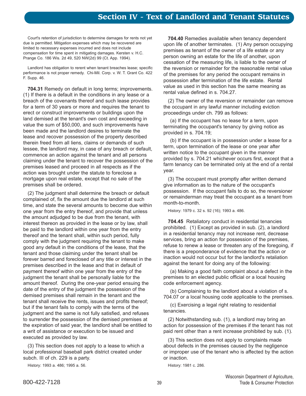Court's retention of jurisdiction to determine damages for rents not yet due is permitted. Mitigation expenses which may be recovered are limited to necessary expenses incurred and does not include compensation for time spent in mitigating damages. Kersten v. H.C. Prange Co. 186 Wis. 2d 49, 520 NW(2d) 99 (Ct. App. 1994).

Landlord has obligation to rerent when tenant breaches lease; specific performance is not proper remedy. Chi-Mil. Corp. v. W. T. Grant Co. 422 F. Supp. 46.

**704.31** Remedy on default in long terms; improvements. (1) If there is a default in the conditions in any lease or a breach of the covenants thereof and such lease provides for a term of 30 years or more and requires the tenant to erect or construct improvements or buildings upon the land demised at the tenant's own cost and exceeding in value the sum of \$50,000, and such improvements have been made and the landlord desires to terminate the lease and recover possession of the property described therein freed from all liens, claims or demands of such lessee, the landlord may, in case of any breach or default, commence an action against the tenant and all persons claiming under the tenant to recover the possession of the premises leased and proceed in all respects as if the action was brought under the statute to foreclose a mortgage upon real estate, except that no sale of the premises shall be ordered.

(2) The judgment shall determine the breach or default complained of, fix the amount due the landlord at such time, and state the several amounts to become due within one year from the entry thereof, and provide that unless the amount adjudged to be due from the tenant, with interest thereon as provided in the lease or by law, shall be paid to the landlord within one year from the entry thereof and the tenant shall, within such period, fully comply with the judgment requiring the tenant to make good any default in the conditions of the lease, that the tenant and those claiming under the tenant shall be forever barred and foreclosed of any title or interest in the premises described in the lease and that in default of payment thereof within one year from the entry of the judgment the tenant shall be personally liable for the amount thereof. During the one-year period ensuing the date of the entry of the judgment the possession of the demised premises shall remain in the tenant and the tenant shall receive the rents, issues and profits thereof; but if the tenant fails to comply with the terms of the judgment and the same is not fully satisfied, and refuses to surrender the possession of the demised premises at the expiration of said year, the landlord shall be entitled to a writ of assistance or execution to be issued and executed as provided by law.

(3) This section does not apply to a lease to which a local professional baseball park district created under subch. III of ch. 229 is a party.

History: 1993 a. 486; 1995 a. 56.

**704.40** Remedies available when tenancy dependent upon life of another terminates. (1) Any person occupying premises as tenant of the owner of a life estate or any person owning an estate for the life of another, upon cessation of the measuring life, is liable to the owner of the reversion or remainder for the reasonable rental value of the premises for any period the occupant remains in possession after termination of the life estate. Rental value as used in this section has the same meaning as rental value defined in s. 704.27.

(2) The owner of the reversion or remainder can remove the occupant in any lawful manner including eviction proceedings under ch. 799 as follows:

(a) If the occupant has no lease for a term, upon terminating the occupant's tenancy by giving notice as provided in s. 704.19;

(b) If the occupant is in possession under a lease for a term, upon termination of the lease or one year after written notice to the occupant given in the manner provided by s. 704.21 whichever occurs first, except that a farm tenancy can be terminated only at the end of a rental year.

(3) The occupant must promptly after written demand give information as to the nature of the occupant's possession. If the occupant fails to do so, the reversioner or remainderman may treat the occupant as a tenant from month-to-month.

History: 1979 c. 32 s. 92 (16); 1993 a. 486.

**704.45** Retaliatory conduct in residential tenancies prohibited. (1) Except as provided in sub. (2), a landlord in a residential tenancy may not increase rent, decrease services, bring an action for possession of the premises, refuse to renew a lease or threaten any of the foregoing, if there is a preponderance of evidence that the action or inaction would not occur but for the landlord's retaliation against the tenant for doing any of the following:

(a) Making a good faith complaint about a defect in the premises to an elected public official or a local housing code enforcement agency.

(b) Complaining to the landlord about a violation of s. 704.07 or a local housing code applicable to the premises.

(c) Exercising a legal right relating to residential tenancies.

(2) Notwithstanding sub. (1), a landlord may bring an action for possession of the premises if the tenant has not paid rent other than a rent increase prohibited by sub. (1).

(3) This section does not apply to complaints made about defects in the premises caused by the negligence or improper use of the tenant who is affected by the action or inaction.

History: 1981 c. 286.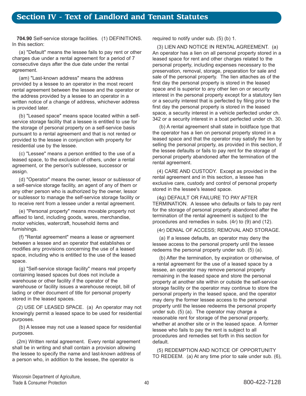**704.90** Self-service storage facilities. (1) DEFINITIONS. In this section:

(a) "Default" means the lessee fails to pay rent or other charges due under a rental agreement for a period of 7 consecutive days after the due date under the rental agreement.

(am) "Last-known address" means the address provided by a lessee to an operator in the most recent rental agreement between the lessee and the operator or the address provided by a lessee to an operator in a written notice of a change of address, whichever address is provided later.

(b) "Leased space" means space located within a selfservice storage facility that a lessee is entitled to use for the storage of personal property on a self-service basis pursuant to a rental agreement and that is not rented or provided to the lessee in conjunction with property for residential use by the lessee.

(c) "Lessee" means a person entitled to the use of a leased space, to the exclusion of others, under a rental agreement, or the person's sublessee, successor or assign.

(d) "Operator" means the owner, lessor or sublessor of a self-service storage facility, an agent of any of them or any other person who is authorized by the owner, lessor or sublessor to manage the self-service storage facility or to receive rent from a lessee under a rental agreement.

(e) "Personal property" means movable property not affixed to land, including goods, wares, merchandise, motor vehicles, watercraft, household items and furnishings.

(f) "Rental agreement" means a lease or agreement between a lessee and an operator that establishes or modifies any provisions concerning the use of a leased space, including who is entitled to the use of the leased space.

(g) "Self-service storage facility" means real property containing leased spaces but does not include a warehouse or other facility if the operator of the warehouse or facility issues a warehouse receipt, bill of lading or other document of title for personal property stored in the leased spaces.

(2) USE OF LEASED SPACE. (a) An operator may not knowingly permit a leased space to be used for residential purposes.

(b) A lessee may not use a leased space for residential purposes.

(2m) Written rental agreement. Every rental agreement shall be in writing and shall contain a provision allowing the lessee to specify the name and last-known address of a person who, in addition to the lessee, the operator is

required to notify under sub. (5) (b) 1.

(3) LIEN AND NOTICE IN RENTAL AGREEMENT. (a) An operator has a lien on all personal property stored in a leased space for rent and other charges related to the personal property, including expenses necessary to the preservation, removal, storage, preparation for sale and sale of the personal property. The lien attaches as of the first day the personal property is stored in the leased space and is superior to any other lien on or security interest in the personal property except for a statutory lien or a security interest that is perfected by filing prior to the first day the personal property is stored in the leased space, a security interest in a vehicle perfected under ch. 342 or a security interest in a boat perfected under ch. 30.

(b) A rental agreement shall state in boldface type that the operator has a lien on personal property stored in a leased space and that the operator may satisfy the lien by selling the personal property, as provided in this section, if the lessee defaults or fails to pay rent for the storage of personal property abandoned after the termination of the rental agreement.

(4) CARE AND CUSTODY. Except as provided in the rental agreement and in this section, a lessee has exclusive care, custody and control of personal property stored in the lessee's leased space.

(4g) DEFAULT OR FAILURE TO PAY AFTER TERMINATION. A lessee who defaults or fails to pay rent for the storage of personal property abandoned after the termination of the rental agreement is subject to the procedures and remedies in subs. (4r) to (9) and (12).

(4r) DENIAL OF ACCESS; REMOVAL AND STORAGE.

(a) If a lessee defaults, an operator may deny the lessee access to the personal property until the lessee redeems the personal property under sub. (5) (a).

(b) After the termination, by expiration or otherwise, of a rental agreement for the use of a leased space by a lessee, an operator may remove personal property remaining in the leased space and store the personal property at another site within or outside the self-service storage facility or the operator may continue to store the personal property in the leased space, and the operator may deny the former lessee access to the personal property until the lessee redeems the personal property under sub. (5) (a). The operator may charge a reasonable rent for storage of the personal property, whether at another site or in the leased space. A former lessee who fails to pay the rent is subject to all procedures and remedies set forth in this section for default.

(5) REDEMPTION AND NOTICE OF OPPORTUNITY TO REDEEM. (a) At any time prior to sale under sub. (6),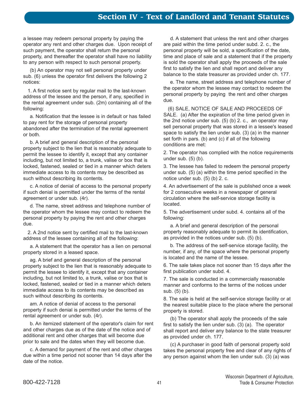# **Section IV - Text of Landlord and Tenant Statutes**

a lessee may redeem personal property by paying the operator any rent and other charges due. Upon receipt of such payment, the operator shall return the personal property, and thereafter the operator shall have no liability to any person with respect to such personal property.

(b) An operator may not sell personal property under sub. (6) unless the operator first delivers the following 2 notices:

1. A first notice sent by regular mail to the last-known address of the lessee and the person, if any, specified in the rental agreement under sub. (2m) containing all of the following:

a. Notification that the lessee is in default or has failed to pay rent for the storage of personal property abandoned after the termination of the rental agreement or both.

b. A brief and general description of the personal property subject to the lien that is reasonably adequate to permit the lessee to identify it, except that any container including, but not limited to, a trunk, valise or box that is locked, fastened, sealed or tied in a manner which deters immediate access to its contents may be described as such without describing its contents.

c. A notice of denial of access to the personal property if such denial is permitted under the terms of the rental agreement or under sub. (4r).

d. The name, street address and telephone number of the operator whom the lessee may contact to redeem the personal property by paying the rent and other charges due.

2. A 2nd notice sent by certified mail to the last-known address of the lessee containing all of the following:

a. A statement that the operator has a lien on personal property stored in a leased space.

ag. A brief and general description of the personal property subject to the lien that is reasonably adequate to permit the lessee to identify it, except that any container including, but not limited to, a trunk, valise or box that is locked, fastened, sealed or tied in a manner which deters immediate access to its contents may be described as such without describing its contents.

am. A notice of denial of access to the personal property if such denial is permitted under the terms of the rental agreement or under sub. (4r).

b. An itemized statement of the operator's claim for rent and other charges due as of the date of the notice and of additional rent and other charges that will become due prior to sale and the dates when they will become due.

c. A demand for payment of the rent and other charges due within a time period not sooner than 14 days after the date of the notice.

d. A statement that unless the rent and other charges are paid within the time period under subd. 2. c., the personal property will be sold, a specification of the date, time and place of sale and a statement that if the property is sold the operator shall apply the proceeds of the sale first to satisfy the lien and shall report and deliver any balance to the state treasurer as provided under ch. 177.

e. The name, street address and telephone number of the operator whom the lessee may contact to redeem the personal property by paying the rent and other charges due.

(6) SALE, NOTICE OF SALE AND PROCEEDS OF SALE. (a) After the expiration of the time period given in the 2nd notice under sub. (5) (b) 2. c., an operator may sell personal property that was stored in a lessee's leased space to satisfy the lien under sub. (3) (a) in the manner set forth in pars. (b) and (c) if all of the following conditions are met:

2. The operator has complied with the notice requirements under sub. (5) (b).

3. The lessee has failed to redeem the personal property under sub. (5) (a) within the time period specified in the notice under sub. (5) (b) 2. c.

4. An advertisement of the sale is published once a week for 2 consecutive weeks in a newspaper of general circulation where the self-service storage facility is located.

5. The advertisement under subd. 4. contains all of the following:

a. A brief and general description of the personal property reasonably adequate to permit its identification, as provided in the notices under sub. (5) (b).

b. The address of the self-service storage facility, the number, if any, of the space where the personal property is located and the name of the lessee.

6. The sale takes place not sooner than 15 days after the first publication under subd. 4.

7. The sale is conducted in a commercially reasonable manner and conforms to the terms of the notices under sub. (5) (b).

8. The sale is held at the self-service storage facility or at the nearest suitable place to the place where the personal property is stored.

(b) The operator shall apply the proceeds of the sale first to satisfy the lien under sub. (3) (a). The operator shall report and deliver any balance to the state treasurer as provided under ch. 177.

(c) A purchaser in good faith of personal property sold takes the personal property free and clear of any rights of any person against whom the lien under sub. (3) (a) was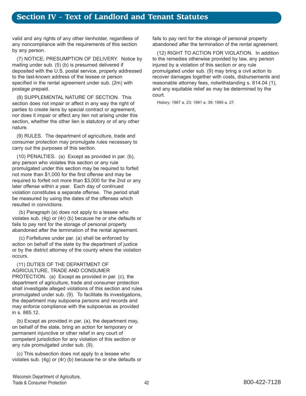# **Section IV - Text of Landlord and Tenant Statutes**

valid and any rights of any other lienholder, regardless of any noncompliance with the requirements of this section by any person.

(7) NOTICE; PRESUMPTION OF DELIVERY. Notice by mailing under sub. (5) (b) is presumed delivered if deposited with the U.S. postal service, properly addressed to the last-known address of the lessee or person specified in the rental agreement under sub. (2m) with postage prepaid.

(8) SUPPLEMENTAL NATURE OF SECTION. This section does not impair or affect in any way the right of parties to create liens by special contract or agreement, nor does it impair or affect any lien not arising under this section, whether the other lien is statutory or of any other nature.

(9) RULES. The department of agriculture, trade and consumer protection may promulgate rules necessary to carry out the purposes of this section.

(10) PENALTIES. (a) Except as provided in par. (b), any person who violates this section or any rule promulgated under this section may be required to forfeit not more than \$1,000 for the first offense and may be required to forfeit not more than \$3,000 for the 2nd or any later offense within a year. Each day of continued violation constitutes a separate offense. The period shall be measured by using the dates of the offenses which resulted in convictions.

(b) Paragraph (a) does not apply to a lessee who violates sub. (4g) or (4r) (b) because he or she defaults or fails to pay rent for the storage of personal property abandoned after the termination of the rental agreement.

(c) Forfeitures under par. (a) shall be enforced by action on behalf of the state by the department of justice or by the district attorney of the county where the violation occurs.

(11) DUTIES OF THE DEPARTMENT OF AGRICULTURE, TRADE AND CONSUMER PROTECTION. (a) Except as provided in par. (c), the department of agriculture, trade and consumer protection shall investigate alleged violations of this section and rules promulgated under sub. (9). To facilitate its investigations, the department may subpoena persons and records and may enforce compliance with the subpoenas as provided in s. 885.12.

(b) Except as provided in par. (a), the department may, on behalf of the state, bring an action for temporary or permanent injunctive or other relief in any court of competent jurisdiction for any violation of this section or any rule promulgated under sub. (9).

(c) This subsection does not apply to a lessee who violates sub. (4g) or (4r) (b) because he or she defaults or fails to pay rent for the storage of personal property abandoned after the termination of the rental agreement.

(12) RIGHT TO ACTION FOR VIOLATION. In addition to the remedies otherwise provided by law, any person injured by a violation of this section or any rule promulgated under sub. (9) may bring a civil action to recover damages together with costs, disbursements and reasonable attorney fees, notwithstanding s. 814.04 (1), and any equitable relief as may be determined by the court.

History: 1987 a. 23; 1991 a. 39; 1995 a. 27.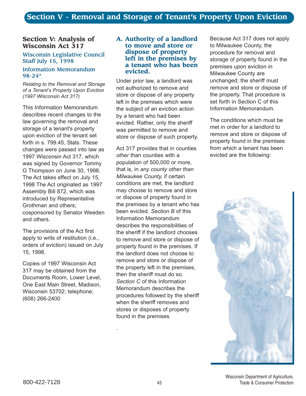#### **Section V: Analysis of Wisconsin Act 317**

#### Wisconsin Legislative Council Staff July 15, 1998

#### Information Memorandum 98-24\*

*Relating to the Removal and Storage of a Tenantís Property Upon Eviction (1997 Wisconsin Act 317)*

This Information Memorandum describes recent changes to the law governing the removal and storage of a tenant's property upon eviction of the tenant set forth in s. 799.45, Stats. These changes were passed into law as 1997 Wisconsin Act 317, which was signed by Governor Tommy G Thompson on June 30, 1998. The Act takes effect on July 15, 1998 The Act originated as 1997 Assembly Bill 872, which was introduced by Representative Grothman and others; cosponsored by Senator Weeden and others.

The provisions of the Act first apply to writs of restitution (i.e., orders of eviction) issued on July 15, 1998.

Copies of 1997 Wisconsin Act 317 may be obtained from the Documents Room, Lower Level, One East Main Street, Madison, Wisconsin 53702; telephone; (608) 266-2400

#### **A. Authority of a landlord to move and store or dispose of property left in the premises by a tenant who has been evicted.**

Under prior law, a landlord was not authorized to remove and store or dispose of any property left in the premises which were the subject of an eviction action by a tenant who had been evicted. Rather, only the sheriff was permitted to remove and store or dispose of such property.

Act 317 provides that in counties *other* than counties with a population of 500,000 or more, that is, in *any county other than Milwaukee County,* if certain conditions are met, the landlord may choose to remove and store or dispose of property found in the premises by a tenant who has been evicted. *Section B* of this Information Memorandum describes the responsibilities of the sheriff if the landlord chooses to remove and store or dispose of property found in the premises. If the landlord does not choose to remove and store or dispose of the property left in the premises, then the sheriff must do so. *Section C* of this Information Memorandum describes the procedures followed by the sheriff when the sheriff removes and stores or disposes of property found in the premises.

Because Act 317 does not apply to Milwaukee County, the procedure for removal and storage of property found in the premises upon eviction in Milwaukee County are unchanged; the sheriff must remove and store or dispose of the property. That procedure is set forth in Section C of this Information Memorandum.

The conditions which must be met in order for a landlord to remove and store or dispose of property found in the premises from which a tenant has been evicted are the following:



.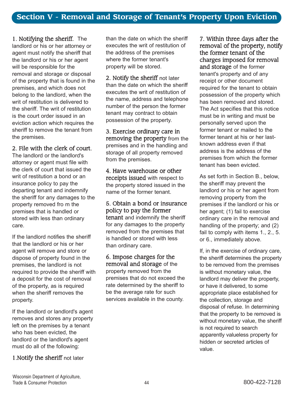1. Notifying the sheriff. The landlord or his or her attorney or agent must notify the sheriff that the landlord or his or her agent will be responsible for the removal and storage or disposal of the property that is found in the premises, and which does not belong to the landlord, when the writ of restitution is delivered to the sheriff. The writ of restitution is the court order issued in an eviction action which requires the sheriff to remove the tenant from the premises.

2. File with the clerk of court.

The landlord or the landlord's attorney or agent must file with the clerk of court that issued the writ of restitution a bond or an insurance policy to pay the departing tenant and indemnify the sheriff for any damages to the property removed fro m the premises that is handled or stored with less than ordinary care.

If the landlord notifies the sheriff that the landlord or his or her agent will remove and store or dispose of property found in the premises, the landlord is not required to provide the sheriff with a deposit for the cost of removal of the property, as is required when the sheriff removes the property.

If the landlord or landlord's agent removes and stores any property left on the premises by a tenant who has been evicted, the landlord or the landlord's agent must do all of the following:

1.Notify the sheriff not later

than the date on which the sheriff executes the writ of restitution of the address of the premises where the former tenant's property will be stored.

2. Notify the sheriff not later than the date on which the sheriff executes the writ of restitution of the name, address and telephone number of the person the former tenant may contract to obtain possession of the property.

3. Exercise ordinary care in removing the property from the premises and in the handling and storage of all property removed from the premises.

4. Have warehouse or other receipts issued with respect to the property stored issued in the name of the former tenant.

5. Obtain a bond or insurance policy to pay the former tenant and indemnify the sheriff

for any damages to the property removed from the premises that is handled or stored with less than ordinary care.

6. Impose charges for the removal and storage of the property removed from the premises that do not exceed the rate determined by the sheriff to be the average rate for such services available in the county.

7. Within three days after the removal of the property, notify the former tenant of the charges imposed for removal and storage of the former tenant's property and of any receipt or other document required for the tenant to obtain possession of the property which has been removed and stored. The Act specifies that this notice must be in writing and must be personally served upon the former tenant or mailed to the former tenant at his or her lastknown address even if that address is the address of the premises from which the former tenant has been evicted.

As set forth in Section B., below, the sheriff may prevent the landlord or his or her agent from removing property from the premises if the landlord or his or her agent; (1) fail to exercise ordinary care in the removal and handling of the property; and (2) fail to comply with items 1., 2., 5. or 6., immediately above.

If, in the exercise of ordinary care, the sheriff determines the property to be removed from the premises is without monetary value, the landlord may deliver the property, or have it delivered, to some appropriate place established for the collection, storage and disposal of refuse. In determining that the property to be removed is without monetary value, the sheriff is not required to search apparently valueless property for hidden or secreted articles of value.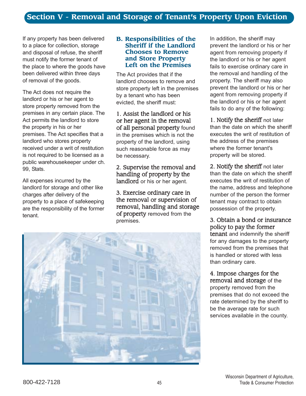If any property has been delivered to a place for collection, storage and disposal of refuse, the sheriff must notify the former tenant of the place to where the goods have been delivered within three days of removal of the goods.

The Act does not require the landlord or his or her agent to store property removed from the premises in any certain place. The Act permits the landlord to store the property in his or her premises. The Act specifies that a landlord who stores property received under a writ of restitution is not required to be licensed as a public warehousekeeper under ch. 99, Stats.

All expenses incurred by the landlord for storage and other like charges after delivery of the property to a place of safekeeping are the responsibility of the former tenant.

#### **B. Responsibilities of the Sheriff if the Landlord Chooses to Remove and Store Property Left on the Premises**

The Act provides that if the landlord chooses to remove and store property left in the premises by a tenant who has been evicted, the sheriff must:

## 1. Assist the landlord or his or her agent in the removal of all personal property found

in the premises which is not the property of the landlord, using such reasonable force as may be necessary.

2. Supervise the removal and handling of property by the landlord or his or her agent.

3. Exercise ordinary care in the removal or supervision of removal, handling and storage of property removed from the premises.



In addition, the sheriff may prevent the landlord or his or her agent from removing property if the landlord or his or her agent fails to exercise ordinary care in the removal and handling of the property. The sheriff may also prevent the landlord or his or her agent from removing property if the landlord or his or her agent fails to do any of the following:

1. Notify the sheriff not later than the date on which the sheriff executes the writ of restitution of the address of the premises where the former tenant's property will be stored.

2. Notify the sheriff not later than the date on which the sheriff executes the writ of restitution of the name, address and telephone number of the person the former tenant may contract to obtain possession of the property.

3. Obtain a bond or insurance policy to pay the former tenant and indemnify the sheriff for any damages to the property removed from the premises that is handled or stored with less than ordinary care.

4. Impose charges for the removal and storage of the property removed from the premises that do not exceed the rate determined by the sheriff to be the average rate for such services available in the county.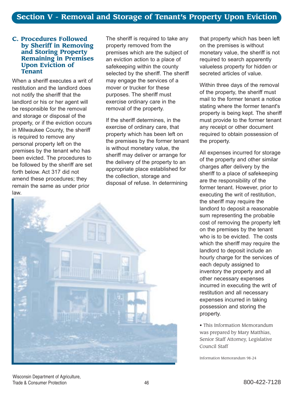#### **C. Procedures Followed by Sheriff in Removing and Storing Property Remaining in Premises Upon Eviction of Tenant**

When a sheriff executes a writ of restitution and the landlord does not notify the sheriff that the landlord or his or her agent will be responsible for the removal and storage or disposal of the property, or if the eviction occurs in Milwaukee County, the sheriff is required to remove any personal property left on the premises by the tenant who has been evicted. The procedures to be followed by the sheriff are set forth below. Act 317 did not amend these procedures; they remain the same as under prior law.

The sheriff is required to take any property removed from the premises which are the subject of an eviction action to a place of safekeeping within the county selected by the sheriff. The sheriff may engage the services of a mover or trucker for these purposes. The sheriff must exercise ordinary care in the removal of the property.

If the sheriff determines, in the exercise of ordinary care, that property which has been left on the premises by the former tenant is without monetary value, the sheriff may deliver or arrange for the delivery of the property to an appropriate place established for the collection, storage and disposal of refuse. In determining



that property which has been left on the premises is without monetary value, the sheriff is not required to search apparently valueless property for hidden or secreted articles of value.

Within three days of the removal of the property, the sheriff must mail to the former tenant a notice stating where the former tenant's property is being kept. The sheriff must provide to the former tenant any receipt or other document required to obtain possession of the property.

All expenses incurred for storage of the property and other similar charges after delivery by the sheriff to a place of safekeeping are the responsibility of the former tenant. However, prior to executing the writ of restitution, the sheriff may require the landlord to deposit a reasonable sum representing the probable cost of removing the property left on the premises by the tenant who is to be evicted. The costs which the sheriff may require the landlord to deposit include an hourly charge for the services of each deputy assigned to inventory the property and all other necessary expenses incurred in executing the writ of restitution and all necessary expenses incurred in taking possession and storing the property.

• This Information Memorandum was prepared by Mary Matthias, Senior Staff Attorney, Legislative Council Staff

Information Memorandum 98-24

Wisconsin Department of Agriculture, Trade & Consumer Protection **800-422-7128** 46 800-422-7128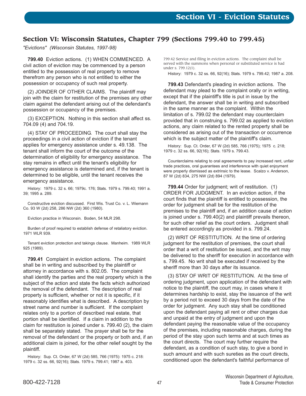# **Section VI: Wisconsin Statutes, Chapter 799 (Sections 799.40 to 799.45)**

*"Evictions" (Wisconsin Statutes, 1997-98)*

**799.40** Eviction actions. (1) WHEN COMMENCED. A civil action of eviction may be commenced by a person entitled to the possession of real property to remove therefrom any person who is not entitled to either the possession or occupancy of such real property.

(2) JOINDER OF OTHER CLAIMS. The plaintiff may join with the claim for restitution of the premises any other claim against the defendant arising out of the defendant's possession or occupancy of the premises.

(3) EXCEPTION. Nothing in this section shall affect ss. 704.09 (4) and 704.19.

(4) STAY OF PROCEEDING. The court shall stay the proceedings in a civil action of eviction if the tenant applies for emergency assistance under s. 49.138. The tenant shall inform the court of the outcome of the determination of eligibility for emergency assistance. The stay remains in effect until the tenant's eligibility for emergency assistance is determined and, if the tenant is determined to be eligible, until the tenant receives the emergency assistance.

History: 1979 c. 32 s. 66; 1979c. 176; Stats. 1979 s. 799.40; 1991 a. 39; 1995 a. 289.

Constructive eviction discussed. First Wis. Trust Co. v. L. Wiemann Co. 93 W (2d) 258, 286 NW (2d) 360 (1980).

Eviction practice in Wisconsin. Boden, 54 MLR 298.

Burden of proof required to establish defense of retaliatory eviction. 1971 WLR 939.

Tenant eviction protection and takings clause. Manheim. 1989 WLR 925 (1989).

**799.41** Complaint in eviction actions. The complaint shall be in writing and subscribed by the plaintiff or attorney in accordance with s. 802.05. The complaint shall identify the parties and the real property which is the subject of the action and state the facts which authorized the removal of the defendant. The description of real property is sufficient, whether or not it is specific, if it reasonably identifies what is described. A description by street name and number is sufficient. If the complaint relates only to a portion of described real estate, that portion shall be identified. If a claim in addition to the claim for restitution is joined under s. 799.40 (2), the claim shall be separately stated. The prayer shall be for the removal of the defendant or the property or both and, if an additional claim is joined, for the other relief sought by the plaintiff.

History: Sup. Ct. Order, 67 W (2d) 585, 766 (1975): 1975 c. 218: 1979 c. 32 ss. 66, 92(16); Stats. 1979 s. 799.41; 1987 a. 403.

799.42 Service and filing in eviction actions. The complaint shall be served with the summons when personal or substituted service is had under s. 799.12(1).

History: 1979 c. 32 ss. 66, 92(16); Stats. 1979 s. 799.42; 1987 a. 208.

**799.43** Defendant's pleading in eviction actions. The defendant may plead to the complaint orally or in writing, except that if the plaintiff's title is put in issue by the defendant, the answer shall be in writing and subscribed in the same manner as the complaint. Within the limitation of s. 799.02 the defendant may counterclaim provided that in construing s. 799.02 as applied to eviction actions, any claim related to the rented property shall be considered as arising out of the transaction or occurrence which is the subject matter of the plaintiff's claim.

History: Sup. Ct. Order, 67 W (2d) 585, 766 (1975); 1975 c. 218; 1979 c. 32 ss. 66, 92(16); Stats. 1979 s. 799.43.

Counterclaims relating to oral agreements to pay increased rent, unfair trade practices, oral guarantees and interference with quiet enjoyment were properly dismissed as extrinsic to the lease. Scalzo v. Anderson, 87 W (2d) 834, 275 NW (2d) 894 (1979).

**799.44** Order for judgment; writ of restitution. (1) ORDER FOR JUDGMENT. In an eviction action, if the court finds that the plaintiff is entitled to possession, the order for judgment shall be for the restitution of the premises to the plaintiff and, if an addition cause of action is joined under s. 799.40(2) and plaintiff prevails thereon, for such other relief as the court orders. Judgment shall be entered accordingly as provided in s. 799.24.

(2) WRIT OF RESTITUTION. At the time of ordering judgment for the restitution of premises, the court shall order that a writ of restitution be issued, and the writ may be delivered to the sheriff for execution in accordance with s. 799.45. No writ shall be executed if received by the sheriff more than 30 days after its issuance.

(3) STAY OF WRIT OF RESTITUTION. At the time of ordering judgment, upon application of the defendant with notice to the plaintiff, the court may, in cases where it determines hardship to exist, stay the issuance of the writ by a period not to exceed 30 days from the date of the order for judgment. Any such stay shall be conditioned upon the defendant paying all rent or other charges due and unpaid at the entry of judgment and upon the defendant paying the reasonable value of the occupancy of the premises, including reasonable charges, during the period of the stay upon such terms and at such times as the court directs. The court may further require the defendant, as a condition of such stay, to give a bond in such amount and with such sureties as the court directs, conditioned upon the defendant's faithful performance of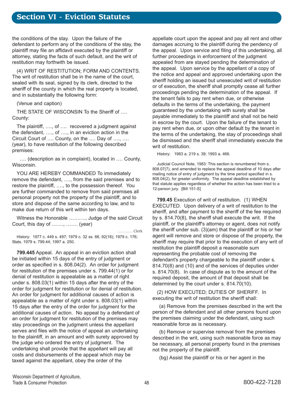# **Section VI - Eviction Statutes**

the conditions of the stay. Upon the failure of the defendant to perform any of the conditions of the stay, the plaintiff may file an affidavit executed by the plaintiff or attorney, stating the facts of such default, and the writ of restitution may forthwith be issued.

(4) WRIT OF RESTITUTION; FORM AND CONTENTS. The writ of restitution shall be in the name of the court, sealed with its seal, signed by its clerk, directed to the sheriff of the county in which the real property is located, and in substantially the following form:

(Venue and caption)

THE STATE OF WISCONSIN To the Sheriff of .... County:

The plaintiff, ...., of .... recovered a judgment against the defendant,  $...,$  of  $...,$  in an eviction action in the Circuit Court of  $\dots$  County, on the  $\dots$  Day of  $\dots$ ,  $\dots$ (year), to have restitution of the following described premises:

.... (description as in complaint), located in .... County, Wisconsin.

YOU ARE HEREBY COMMANDED To immediately remove the defendant, ..., from the said premises and to restore the plaintiff, ...., to the possession thereof. You are further commanded to remove from said premises all personal property not the property of the plaintiff, and to store and dispose of the same according to law, and to make due return of this writ within ten days.

Witness the Honorable .........., Judge of the said Circuit Court, this day of  $...,$   $...,$   $(year)$ 

…………. Clerk History: 1977 c. 449 s. 497; 1979 c. 32 ss. 66, 92(16); 1979 c. 176; Stats. 1979 s. 799.44; 1997 a. 250.

**799.445** Appeal. An appeal in an eviction action shall be initiated within 15 days of the entry of judgment or order as specified in s. 808.04(2). An order for judgment for restitution of the premises under s. 799.44(1) or for denial of restitution is appealable as a matter of right under s. 808.03(1) within 15 days after the entry of the order for judgment for restitution or for denial of restitution. An order for judgment for additional causes of action is appealable as a matter of right under s. 808.03(1) within 15 days after the entry of the order for judgment for the additional causes of action. No appeal by a defendant of an order for judgment for restitution of the premises may stay proceedings on the judgment unless the appellant serves and files with the notice of appeal an undertaking to the plaintiff, in an amount and with surety approved by the judge who ordered the entry of judgment. The undertaking shall provide that the appellant will pay all costs and disbursements of the appeal which may be taxed against the appellant, obey the order of the

appellate court upon the appeal and pay all rent and other damages accruing to the plaintiff during the pendency of the appeal. Upon service and filing of this undertaking, all further proceedings in enforcement of the judgment appealed from are stayed pending the determination of the appeal. Upon service by the appellant of a copy of the notice and appeal and approved undertaking upon the sheriff holding an issued but unexecuted writ of restitution or of execution, the sheriff shall promptly cease all further proceedings pending the determination of the appeal. If the tenant fails to pay rent when due, or otherwise defaults in the terms of the undertaking, the payment guaranteed by the undertaking with surety shall be payable immediately to the plaintiff and shall not be held in escrow by the court. Upon the failure of the tenant to pay rent when due, or upon other default by the tenant in the terms of the undertaking, the stay of proceedings shall be dismissed and the sheriff shall immediately execute the writ of restitution.

History: 1983 a. 219 s. 39; 1993 a. 466.

Judicial Council Note, 1983: This section is renumbered from s. 808.07(7), and amended to replace the appeal deadline of 10 days after mailing notice of entry of judgment by the time period specified in s. 808.04(2), for greater uniformity. The appeal deadline established by that statute applies regardless of whether the action has been tried to a 12-person jury. [Bill 151-S]

**799.45** Execution of writ of restitution. (1) WHEN EXECUTED. Upon delivery of a writ of restitution to the sheriff, and after payment to the sheriff of the fee required by s. 814.70(8), the sheriff shall execute the writ. If the plaintiff, or the plaintiff's attorney or agent, does not notify the sheriff under sub. (3)(am) that the plaintiff or his or her agent will remove and store or dispose of the property, the sheriff may require that prior to the execution of any writ of restitution the plaintiff deposit a reasonable sum representing the probable cost of removing the defendant's property chargeable to the plaintiff under s. 814.70(8) and (10) and of the services of deputies under s. 814.70(8). In case of dispute as to the amount of the required deposit, the amount of that deposit shall be determined by the court under s. 814.70(10).

(2) HOW EXECUTED; DUTIES OF SHERIFF. In executing the writ of restitution the sheriff shall:

(a) Remove from the premises described in the writ the person of the defendant and all other persons found upon the premises claiming under the defendant, using such reasonable force as is necessary.

(b) Remove or supervise removal from the premises described in the writ, using such reasonable force as may be necessary, all personal property found in the premises not the property of the plaintiff.

(bg) Assist the plaintiff or his or her agent in the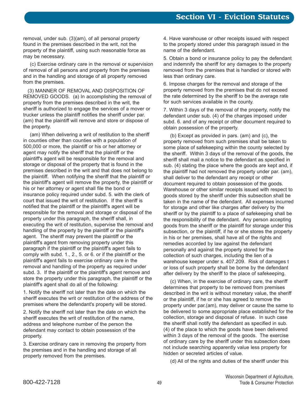removal, under sub. (3)(am), of all personal property found in the premises described in the writ, not the property of the plaintiff, using such reasonable force as may be necessary.

(c) Exercise ordinary care in the removal or supervision of removal of all persons and property from the premises and in the handling and storage of all property removed from the premises.

(3) MANNER OF REMOVAL AND DISPOSITION OF REMOVED GOODS. (a) In accomplishing the removal of property from the premises described in the writ, the sheriff is authorized to engage the services of a mover or trucker unless the plaintiff notifies the sheriff under par. (am) that the plaintiff will remove and store or dispose of the property.

(am) When delivering a writ of restitution to the sheriff in counties other than counties with a population of 500,000 or more, the plaintiff or his or her attorney or agent may notify the sheriff that the plaintiff or the plaintiff's agent will be responsible for the removal and storage or disposal of the property that is found in the premises described in the writ and that does not belong to the plaintiff. When notifying the sheriff that the plaintiff or the plaintiff's agent will remove the property, the plaintiff or his or her attorney or agent shall file the bond or insurance policy required under subd. 5. with the clerk of court that issued the writ of restitution. If the sheriff is notified that the plaintiff or the plaintiff's agent will be responsible for the removal and storage or disposal of the property under this paragraph, the sheriff shall, in executing the writ of restitution, supervise the removal and handling of the property by the plaintiff or the plaintiff's agent. The sheriff may prevent the plaintiff or the plaintiff's agent from removing property under this paragraph if the plaintiff or the plaintiff's agent fails to comply with subd. 1., 2., 5. or 6. or if the plaintiff or the plaintiff's agent fails to exercise ordinary care in the removal and handling of the property as required under subd. 3. If the plaintiff or the plaintiff's agent remove and store the property under this paragraph, the plaintiff or the plaintiff's agent shall do all of the following:

1. Notify the sheriff not later than the date on which the sheriff executes the writ or restitution of the address of the premises where the defendant's property will be stored.

2. Notify the sheriff not later than the date on which the sheriff executes the writ of restitution of the name, address and telephone number of the person the defendant may contact to obtain possession of the property.

3. Exercise ordinary care in removing the property from the premises and in the handling and storage of all property removed from the premises.

4. Have warehouse or other receipts issued with respect to the property stored under this paragraph issued in the name of the defendant.

5. Obtain a bond or insurance policy to pay the defendant and indemnify the sheriff for any damages to the property removed from the premises that is handled or stored with less than ordinary care.

6. Impose charges for the removal and storage of the property removed from the premises that do not exceed the rate determined by the sheriff to be the average rate for such services available in the county.

7. Within 3 days of the removal of the property, notify the defendant under sub. (4) of the charges imposed under subd. 6. and of any receipt or other document required to obtain possession of the property.

(b) Except as provided in pars. (am) and (c), the property removed from such premises shall be taken to some place of safekeeping within the county selected by the sheriff. Within 3 days of the removal of the goods, the sheriff shall mail a notice to the defendant as specified in sub. (4) stating the place where the goods are kept and, if the plaintiff had not removed the property under par. (am), shall deliver to the defendant any receipt or other document required to obtain possession of the goods. Warehouse or other similar receipts issued with respect to goods stored by the sheriff under this subsection shall be taken in the name of the defendant. All expenses incurred for storage and other like charges after delivery by the sheriff or by the plaintiff to a place of safekeeping shall be the responsibility of the defendant. Any person accepting goods from the sheriff or the plaintiff for storage under this subsection, or the plaintiff, if he or she stores the property in his or her premises, shall have all of the rights and remedies accorded by law against the defendant personally and against the property stored for the collection of such charges, including the lien of a warehouse keeper under s. 407.209. Risk of damages t or loss of such property shall be borne by the defendant after delivery by the sheriff to the place of safekeeping.

(c) When, in the exercise of ordinary care, the sheriff determines that property to be removed from premises described in the writ is without monetary value, the sheriff or the plaintiff, if he or she has agreed to remove the property under par.(am), may deliver or cause the same to be delivered to some appropriate place established for the collection, storage and disposal of refuse. In such case the sheriff shall notify the defendant as specified in sub. (4) of the place to which the goods have been delivered within 3 days of the removal of the goods. The exercise of ordinary care by the sheriff under this subsection does not include searching apparently value less property for hidden or secreted articles of value.

(d) All of the rights and duties of the sheriff under this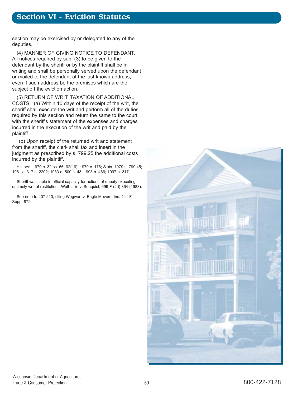# **Section VI - Eviction Statutes**

section may be exercised by or delegated to any of the deputies.

(4) MANNER OF GIVING NOTICE TO DEFENDANT. All notices required by sub. (3) to be given to the defendant by the sheriff or by the plaintiff shall be in writing and shall be personally served upon the defendant or mailed to the defendant at the last-known address, even if such address be the premises which are the subject o f the eviction action.

(5) RETURN OF WRIT; TAXATION OF ADDITIONAL COSTS. (a) Within 10 days of the receipt of the writ, the sheriff shall execute the writ and perform all of the duties required by this section and return the same to the court with the sheriff's statement of the expenses and charges incurred in the execution of the writ and paid by the plaintiff.

(b) Upon receipt of the returned writ and statement from the sheriff, the clerk shall tax and insert in the judgment as prescribed by s. 799.25 the additional costs incurred by the plaintiff.

History: 1979 c. 32 ss. 66, 92(16); 1979 c. 176; Stats. 1979 s. 799.45; 1981 c. 317 s. 2202; 1983 a. 500 s. 43; 1993 a. 486; 1997 a. 317.

Sheriff was liable in official capacity for actions of deputy executing untimely writ of restitution. Wolf-Lillie v. Sonquist, 699 F (2d) 864 (1983).

See note to 407.210, citing Wegwart v. Eagle Movers, Inc. 441 F Supp. 872.

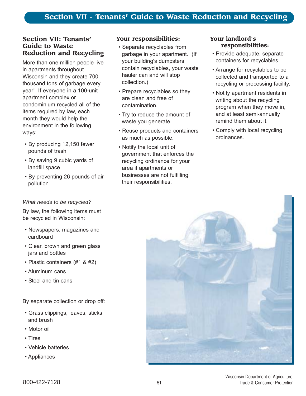#### **Section VII: Tenants' Guide to Waste Reduction and Recycling**

More than one million people live in apartments throughout Wisconsin and they create 700 thousand tons of garbage every year! If everyone in a 100-unit apartment complex or condominium recycled all of the items required by law, each month they would help the environment in the following ways:

- By producing 12,150 fewer pounds of trash
- By saving 9 cubic yards of landfill space
- By preventing 26 pounds of air pollution

#### *What needs to be recycled?*

By law, the following items must be recycled in Wisconsin:

- Newspapers, magazines and cardboard
- Clear, brown and green glass jars and bottles
- Plastic containers (#1 & #2)
- Aluminum cans
- Steel and tin cans

By separate collection or drop off:

- ï Grass clippings, leaves, sticks and brush
- Motor oil
- Tires
- Vehicle batteries
- Appliances

# **Your responsibilities:**

- Separate recyclables from garbage in your apartment. (If your building's dumpsters contain recyclables, your waste hauler can and will stop collection.)
- Prepare recyclables so they are clean and free of contamination.
- Try to reduce the amount of waste you generate.
- Reuse products and containers as much as possible.
- Notify the local unit of government that enforces the recycling ordinance for your area if apartments or businesses are not fulfilling their responsibilities.

#### **Your landlord's responsibilities:**

- Provide adequate, separate containers for recyclables.
- Arrange for recyclables to be collected and transported to a recycling or processing facility.
- Notify apartment residents in writing about the recycling program when they move in, and at least semi-annually remind them about it.
- Comply with local recycling ordinances.

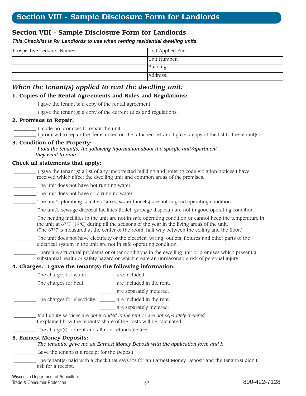# **Section VIII - Sample Disclosure Form for Landlords**

#### *This Checklist is for Landlords to use when renting residential dwelling units.*

| Prospective Tenants' Names: | Unit Applied For: |
|-----------------------------|-------------------|
|                             | Unit Number:      |
|                             | Building:         |
|                             | Address:          |

# *When the tenant(s) applied to rent the dwelling unit:*

#### **1. Copies of the Rental Agreements and Rules and Regulations:**

\_\_\_\_\_\_\_\_\_\_ I gave the tenant(s) a copy of the rental agreement.

\_\_\_\_\_\_\_\_\_\_ I gave the tenant(s) a copy of the current rules and regulations.

#### **2. Promises to Repair:**

\_\_\_\_\_\_\_\_\_\_ I made no promises to repair the unit.

\_\_\_\_\_\_\_\_\_\_ I promised to repair the items noted on the attached list and I gave a copy of the list to the tenant(s).

#### **3. Condition of the Property:**

*I told the tenant(s) the following information about the specific unit/apartment they want to rent:*

#### **Check all statements that apply:**

- I gave the tenant(s) a list of any uncorrected building and housing code violation notices I have received which affect the dwelling unit and common areas of the premises.
- \_\_\_\_\_\_\_\_\_\_ The unit does not have hot running water.
- \_\_\_\_\_\_\_\_\_\_ The unit does not have cold running water.
- \_\_\_\_\_\_\_\_\_\_ The unit's plumbing facilities (sinks, water faucets) are not in good operating condition.
- \_\_\_\_\_\_\_\_\_\_ The unit's sewage disposal facilities (toilet, garbage disposal) are not in good operating condition.
- \_\_\_\_\_\_\_\_\_\_ The heating facilities in the unit are not in safe operating condition or cannot keep the temperature in the unit at  $67^{\circ}F$  (19 $^{\circ}C$ ) during all the seasons of the year in the living areas of the unit. (The 67°F is measured at the center of the room, half way between the ceiling and the floor.)
- The unit does not have electricity or the electrical wiring, outlets, fixtures and other parts of the electrical system in the unit are not in safe operating condition.
- There are structural problems or other conditions in the dwelling unit or premises which present a substantial health or safety hazard or which create an unreasonable risk of personal injury.

#### **4. Charges. I gave the tenant(s) the following information:**

| are included.                                                                                                                                              |  |  |
|------------------------------------------------------------------------------------------------------------------------------------------------------------|--|--|
| are included in the rent.                                                                                                                                  |  |  |
| are separately metered.                                                                                                                                    |  |  |
| The charges for electricity: _______ are included in the rent.                                                                                             |  |  |
| are separately metered.                                                                                                                                    |  |  |
| If all utility services are not included in the rent or are not separately metered,<br>I explained how the tenants' share of the costs will be calculated. |  |  |
| The charge(s) for rent and all non-refundable fees.                                                                                                        |  |  |
| 5. Earnest Money Deposits:<br>The tenant(s) gave me an Earnest Money Deposit with the application form and I:                                              |  |  |
| Gave the tenant(s) a receipt for the Deposit.                                                                                                              |  |  |
| The tenant(s) paid with a check that says it's for an Earnest Money Deposit and the tenant(s) didn't<br>ask for a receipt.                                 |  |  |
|                                                                                                                                                            |  |  |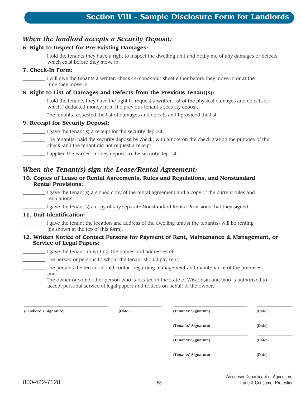# *When the landlord accepts a Security Deposit:*

#### **6. Right to Inspect for Pre-Existing Damages:**

I told the tenants they have a right to inspect the dwelling unit and notify me of any damages or defects which exist before they move in.

#### **7. Check-In Form:**

\_\_\_\_\_\_\_\_\_\_ I will give the tenants a written check-in/check-out sheet either before they move in or at the time they move in.

#### **8. Right to List of Damages and Defects from the Previous Tenant(s):**

\_\_\_\_\_\_\_\_\_\_ I told the tenants they have the right to request a written list of the physical damages and defects for which I deducted money from the previous tenant's security deposit.

\_\_\_\_\_\_\_\_\_\_ The tenants requested the list of damages and defects and I provided the list.

#### **9. Receipt for Security Deposit:**

\_\_\_\_\_\_\_\_\_\_ I gave the tenant(s) a receipt for the security deposit.

- \_\_\_\_\_\_\_\_\_\_ The tenant(s) paid the security deposit by check, with a note on the check stating the purpose of the check, and the tenant did not request a receipt.
	- \_\_\_\_\_\_\_\_\_\_ I applied the earnest money deposit to the security deposit.

#### *When the Tenant(s) sign the Lease/Rental Agreement:*

#### **10. Copies of Lease or Rental Agreements, Rules and Regulations, and Nonstandard Rental Provisions:**

I gave the tenant(s) a signed copy of the rental agreement and a copy of the current rules and regulations.

I gave the tenant(s) a copy of any separate Nonstandard Rental Provisions that they signed.

#### **11. Unit Identification:**

I gave the tenant the location and address of the dwelling unit(s) the tenant(s) will be renting (as shown at the top of this form).

#### **12. Written Notice of Contact Persons for Payment of Rent, Maintenance & Management, or Service of Legal Papers:**

\_\_\_\_\_\_\_\_\_\_ I gave the tenant, in writing, the names and addresses of:

- \_\_\_\_\_\_\_\_\_\_ The person or persons to whom the tenant should pay rent;
- \_\_\_\_\_\_\_\_\_\_ The persons the tenant should contact regarding management and maintenance of the premises; and
- \_\_\_\_\_\_\_\_\_\_ The owner or some other person who is located in the state of Wisconsin and who is authorized to accept personal service of legal papers and notices on behalf of the owner.

| (Landlord's Signature) | (Date) | (Tenants' Signature) | (Date) |
|------------------------|--------|----------------------|--------|
|                        |        | (Tenants' Signature) | (Date) |
|                        |        | (Tenants' Signature) | (Date) |
|                        |        | (Tenants' Signature) | (Date) |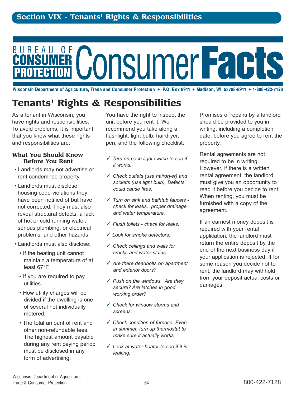# BUREAU **ConsumerFacts**

Wisconsin Department of Agriculture, Trade and Consumer Protection • P.O. Box 8911 • Madison, WI 53708-8911 • 1-800-422-7128

# **Tenants' Rights & Responsibilities**

As a tenant in Wisconsin, you have rights and responsibilities. To avoid problems, it is important that you know what these rights and responsibilities are:

#### **What You Should Know Before You Rent**

- Landlords may not advertise or rent condemned property.
- Landlords must disclose housing code violations they have been notified of but have not corrected. They must also reveal structural defects, a lack of hot or cold running water, serious plumbing, or electrical problems, and other hazards.
- Landlords must also disclose:
	- If the heating unit cannot maintain a temperature of at least 67°F.
	- If you are required to pay utilities.
	- How utility charges will be divided if the dwelling is one of several not individually metered.
	- The total amount of rent and other non-refundable fees. The highest amount payable during any rent paying period must be disclosed in any form of advertising.

You have the right to inspect the unit before you rent it. We recommend you take along a flashlight, light bulb, hairdryer, pen, and the following checklist:

- ✓ *Turn on each light switch to see if it works.*
- ✓ *Check outlets (use hairdryer) and sockets (use light bulb). Defects could cause fires.*
- ✓ *Turn on sink and bathtub faucets check for leaks, proper drainage and water temperature.*
- ✓ *Flush toilets check for leaks.*
- ✓ *Look for smoke detectors.*
- ✓ *Check ceilings and walls for cracks and water stains.*
- ✓ *Are there deadbolts on apartment and exterior doors?*
- ✓ *Push on the windows. Are they secure? Are latches in good working order?*
- ✓ *Check for window storms and screens.*
- ✓ *Check condition of furnace. Even in summer, turn up thermostat to make sure it actually works.*
- ✓ *Look at water heater to see if it is leaking.*

Promises of repairs by a landlord should be provided to you in writing, including a completion date, before you agree to rent the property.

Rental agreements are not required to be in writing. However, if there is a written rental agreement, the landlord must give you an opportunity to read it before you decide to rent. When renting, you must be furnished with a copy of the agreement.

If an earnest money deposit is required with your rental application, the landlord must return the entire deposit by the end of the next business day if your application is rejected. If for some reason you decide not to rent, the landlord may withhold from your deposit actual costs or damages.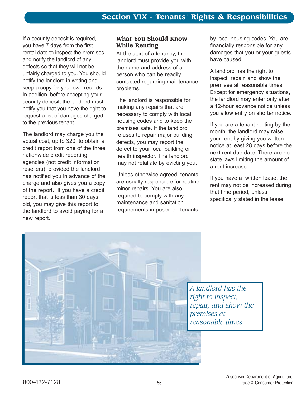If a security deposit is required, you have 7 days from the first rental date to inspect the premises and notify the landlord of any defects so that they will not be unfairly charged to you. You should notify the landlord in writing and keep a copy for your own records. In addition, before accepting your security deposit, the landlord must notify you that you have the right to request a list of damages charged to the previous tenant.

The landlord may charge you the actual cost, up to \$20, to obtain a credit report from one of the three nationwide credit reporting agencies (not credit information resellers), provided the landlord has notified you in advance of the charge and also gives you a copy of the report. If you have a credit report that is less than 30 days old, you may give this report to the landlord to avoid paying for a new report.

#### **What You Should Know While Renting**

At the start of a tenancy, the landlord must provide you with the name and address of a person who can be readily contacted regarding maintenance problems.

The landlord is responsible for making any repairs that are necessary to comply with local housing codes and to keep the premises safe. If the landlord refuses to repair major building defects, you may report the defect to your local building or health inspector. The landlord may not retaliate by evicting you.

Unless otherwise agreed, tenants are usually responsible for routine minor repairs. You are also required to comply with any maintenance and sanitation requirements imposed on tenants

by local housing codes. You are financially responsible for any damages that you or your guests have caused.

A landlord has the right to inspect, repair, and show the premises at reasonable times. Except for emergency situations, the landlord may enter only after a 12-hour advance notice unless you allow entry on shorter notice.

If you are a tenant renting by the month, the landlord may raise your rent by giving you written notice at least 28 days before the next rent due date. There are no state laws limiting the amount of a rent increase.

If you have a written lease, the rent may not be increased during that time period, unless specifically stated in the lease.



*A landlord has the right to inspect, repair, and show the premises at reasonable times*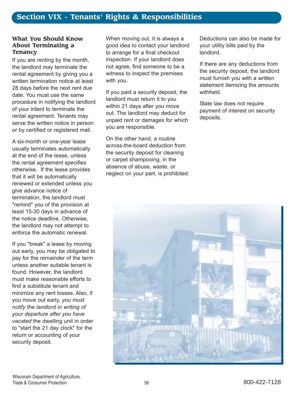#### **What You Should Know About Terminating a Tenancy**

If you are renting by the month, the landlord may terminate the rental agreement by giving you a written termination notice at least 28 days before the next rent due date. You must use the same procedure in notifying the landlord of your intent to terminate the rental agreement. Tenants may serve the written notice in person or by certified or registered mail.

A six-month or one-year lease usually terminates automatically at the end of the lease, unless the rental agreement specifies otherwise. If the lease provides that it will be automatically renewed or extended unless you give advance notice of termination, the landlord must "remind" you of the provision at least 15-30 days in advance of the notice deadline. Otherwise, the landlord may not attempt to enforce the automatic renewal.

If you "break" a lease by moving out early, you may be obligated to pay for the remainder of the term unless another suitable tenant is found. However, the landlord must make reasonable efforts to find a substitute tenant and minimize any rent losses. Also, if you move out early, *you must notify the landlord in writing of your departure after you have vacated* the dwelling unit in order to "start the 21 day clock" for the return or accounting of your security deposit.

When moving out, it is always a good idea to contact your landlord to arrange for a final checkout inspection. If your landlord does not agree, find someone to be a witness to inspect the premises with you.

If you paid a security deposit, the landlord must return it to you within 21 days after you move out. The landlord may deduct for unpaid rent or damages for which you are responsible.

On the other hand, a routine across-the-board deduction from the security deposit for cleaning or carpet shampooing, in the absence of abuse, waste, or neglect on your part, is prohibited. Deductions can also be made for your utility bills paid by the landlord.

If there are any deductions from the security deposit, the landlord must furnish you with a written statement itemizing the amounts withheld.

State law does not require payment of interest on security deposits.

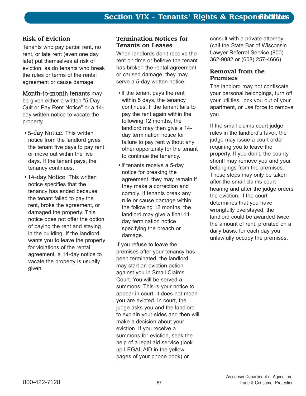# **Risk of Eviction**

Tenants who pay partial rent, no rent, or late rent (even one day late) put themselves at risk of eviction, as do tenants who break the rules or terms of the rental agreement or cause damage.

Month-to-month tenants may be given either a written "5-Day Quit or Pay Rent Notice" or a 14 day written notice to vacate the property.

- 5-day Notice. This written notice from the landlord gives the tenant five days to pay rent or move out within the five days. If the tenant pays, the tenancy continues.
- 14-day Notice. This written notice specifies that the tenancy has ended because the tenant failed to pay the rent, broke the agreement, or damaged the property. This notice does not offer the option of paying the rent and staying in the building. If the landlord wants you to leave the property for violations of the rental agreement, a 14-day notice to vacate the property is usually given.

#### **Termination Notices for Tenants on Leases**

When landlords don't receive the rent on time or believe the tenant has broken the rental agreement or caused damage, they may serve a 5-day written notice.

- If the tenant pays the rent within 5 days, the tenancy continues. If the tenant fails to pay the rent again within the following 12 months, the landlord may then give a 14 day termination notice for failure to pay rent without any other opportunity for the tenant to continue the tenancy.
- If tenants receive a 5-day notice for breaking the agreement, they may remain if they make a correction and comply. If tenants break any rule or cause damage within the following 12 months, the landlord may give a final 14 day termination notice specifying the breach or damage.

If you refuse to leave the premises after your tenancy has been terminated, the landlord may start an eviction action against you in Small Claims Court. You will be served a summons. This is your notice to appear in court, it does not mean you are evicted. In court, the judge asks you and the landlord to explain your sides and then will make a decision about your eviction. If you receive a summons for eviction, seek the help of a legal aid service (look up LEGAL AID in the yellow pages of your phone book) or

consult with a private attorney (call the State Bar of Wisconsin Lawyer Referral Service (800) 362-9082 or (608) 257-4666).

# **Removal from the Premises**

The landlord may not confiscate your personal belongings, turn off your utilities, lock you out of your apartment, or use force to remove you.

If the small claims court judge rules in the landlord's favor, the judge may issue a court order requiring you to leave the property. If you don't, the county sheriff may remove you and your belongings from the premises. These steps may only be taken after the small claims court hearing and after the judge orders the eviction. If the court determines that you have wrongfully overstayed, the landlord could be awarded twice the amount of rent, prorated on a daily basis, for each day you unlawfully occupy the premises.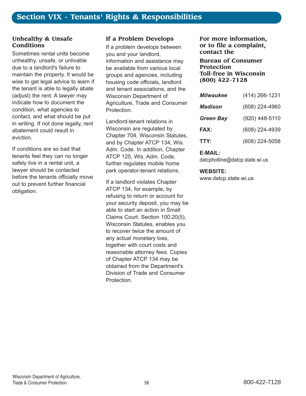#### **Unhealthy & Unsafe Conditions**

Sometimes rental units become unhealthy, unsafe, or unlivable due to a landlord's failure to maintain the property. It would be wise to get legal advice to learn if the tenant is able to legally abate (adjust) the rent. A lawyer may indicate how to document the condition, what agencies to contact, and what should be put in writing. If not done legally, rent abatement could result in eviction.

If conditions are so bad that tenants feel they can no longer safely live in a rental unit, a lawyer should be contacted before the tenants officially move out to prevent further financial obligation.

# **If a Problem Develops**

If a problem develops between you and your landlord, information and assistance may be available from various local groups and agencies, including housing code officials, landlord and tenant associations, and the Wisconsin Department of Agriculture, Trade and Consumer Protection.

Landlord-tenant relations in Wisconsin are regulated by Chapter 704, Wisconsin Statutes, and by Chapter ATCP 134, Wis. Adm. Code. In addition, Chapter ATCP 125, Wis. Adm. Code, further regulates mobile home park operator-tenant relations.

If a landlord violates Chapter ATCP 134, for example, by refusing to return or account for your security deposit, you may be able to start an action in Small Claims Court. Section 100.20(5), Wisconsin Statutes, enables you to recover twice the amount of any actual monetary loss, together with court costs and reasonable attorney fees. Copies of Chapter ATCP 134 may be obtained from the Department's Division of Trade and Consumer Protection.

#### **For more information, or to file a complaint, contact the**

**Bureau of Consumer Protection Toll-free in Wisconsin (800) 422-7128**

| <b>Milwaukee</b> | (414) 266-1231 |
|------------------|----------------|
| Madison          | (608) 224-4960 |
| <b>Green Bay</b> | (920) 448-5110 |
| <b>FAX:</b>      | (608) 224-4939 |
| TTY:             | (608) 224-5058 |

#### **E-MAIL:**

datcphotline@datcp.state.wi.us

#### **WEBSITE:**

www.datcp.state.wi.us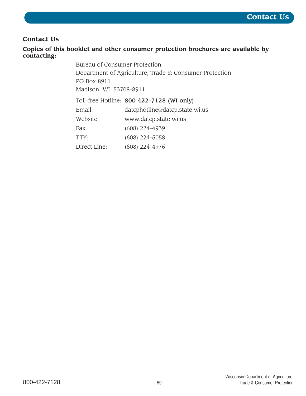# **Contact Us**

# **Copies of this booklet and other consumer protection brochures are available by contacting:**

Bureau of Consumer Protection Department of Agriculture, Trade & Consumer Protection PO Box 8911 Madison, WI 53708-8911

Toll-free Hotline: 800 422-7128 (WI only)

| Email:       | datcphotline@datcp.state.wi.us |
|--------------|--------------------------------|
| Website:     | www.datcp.state.wi.us          |
| Fax:         | $(608)$ 224-4939               |
| TTY:         | $(608)$ 224-5058               |
| Direct Line: | (608) 224-4976                 |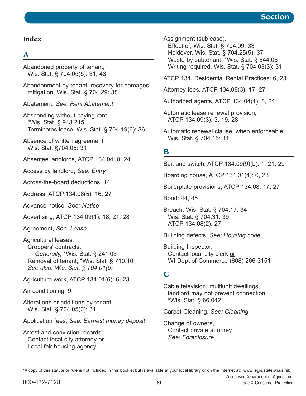## **Index**

# **A**

Abandoned property of tenant, Wis. Stat. ß 704.05(5): 31, 43

Abandonment by tenant, recovery for damages, mitigation, Wis. Stat. ß 704.29: 38

Abatement, *See: Rent Abatement*

Absconding without paying rent, \*Wis. Stat. ß 943.215 Terminates lease, Wis. Stat. ß 704.19(6): 36

Absence of written agreement, Wis. Stat. ß704.05: 31

Absentee landlords, ATCP 134.04: 8, 24

Access by landlord, *See: Entry*

Across-the-board deductions: 14

Address, ATCP 134.06(5): 16, 27

Advance notice, *See: Notice*

Advertising, ATCP 134.09(1): 18, 21, 28

Agreement, *See: Lease*

Agricultural leases, Croppers' contracts, *Generally,* \*Wis. Stat. ß 241.03 Removal of tenant, \*Wis. Stat. ß 710.10 *See also: Wis. Stat. ß 704.01(5)*

Agriculture work, ATCP 134.01(6): 6, 23

Air conditioning: 9

Alterations or additions by tenant, Wis. Stat. ß 704.05(3): 31

Application fees, *See: Earnest money deposit*

Arrest and conviction records: Contact local city attorney or Local fair housing agency

Assignment (sublease),

Effect of, Wis. Stat. ß 704.09: 33 Holdover, Wis. Stat. ß 704.25(5): 37 Waste by subtenant, \*Wis. Stat. ß 844.06 Writing required, Wis. Stat. ß 704.03(3): 31

ATCP 134, Residential Rental Practices: 6, 23

Attorney fees, ATCP 134.08(3): 17, 27

Authorized agents, ATCP 134.04(1): 8, 24

Automatic lease renewal provision, ATCP 134.09(3): 3, 19, 28

Automatic renewal clause, when enforceable, Wis. Stat. ß 704.15: 34

# **B**

Bait and switch, ATCP 134.09(9)(b): 1, 21, 29

Boarding house, ATCP 134.01(4): 6, 23

Boilerplate provisions, ATCP 134.08: 17, 27

Bond: 44, 45

Breach, Wis. Stat. ß 704.17: 34 Wis. Stat. ß 704.31: 39 ATCP 134.08(2): 27

Building defects, *See: Housing code*

Building Inspector, Contact local city clerk or WI Dept of Commerce (608) 266-3151

# **C**

Cable television, multiunit dwellings, landlord may not prevent connection, \*Wis. Stat. ß 66.0421

Carpet Cleaning, *See: Cleaning*

Change of owners, Contact private attorney *See: Foreclosure*

\*A copy of this statute or rule is not included in this booklet but is available at your local library or on the Internet at: www.legis.state.wi.us.rsb

Wisconsin Department of Agriculture,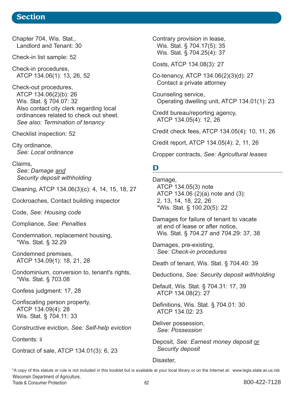Chapter 704, Wis. Stat., Landlord and Tenant: 30

Check-in list sample: 52

Check-in procedures, ATCP 134.06(1): 13, 26, 52

Check-out procedures, ATCP 134.06(2)(b): 26 Wis. Stat. ß 704.07: 32 Also contact city clerk regarding local ordinances related to check out sheet. *See also: Termination of tenancy*

Checklist inspection: 52

City ordinance, *See: Local ordinance*

Claims, *See: Damage and Security deposit withholding*

Cleaning, ATCP 134.06(3)(c): 4, 14, 15, 18, 27

Cockroaches, Contact building inspector

Code, *See: Housing code*

Compliance, *See: Penalties*

Condemnation, replacement housing, \*Wis. Stat. ß 32.29

Condemned premises, ATCP 134.09(1): 18, 21, 28

Condominium, conversion to, tenant's rights, \*Wis. Stat. ß 703.08

Confess judgment: 17, 28

Confiscating person property, ATCP 134.09(4): 28 Wis. Stat. ß 704.11: 33

Constructive eviction, *See: Self-help eviction*

Contents: ii

Contract of sale, ATCP 134.01(3): 6, 23

Contrary provision in lease, Wis. Stat. ß 704.17(5): 35 Wis. Stat. ß 704.25(4): 37

Costs, ATCP 134.08(3): 27

Co-tenancy, ATCP 134.06(2)(3)(d): 27 Contact a private attorney

Counseling service, Operating dwelling unit, ATCP 134.01(1): 23

Credit bureau/reporting agency, ATCP 134.05(4): 12, 26

Credit check fees, ATCP 134.05(4): 10, 11, 26

Credit report, ATCP 134.05(4): 2, 11, 26

Cropper contracts, *See: Agricultural leases*

# **D**

Damage, ATCP 134.05(3) note ATCP 134.06 (2)(a) note and (3): 2, 13, 14, 18, 22, 26 \*Wis. Stat. ß 100.20(5): 22

Damages for failure of tenant to vacate at end of lease or after notice, Wis. Stat. ß 704.27 and 704.29: 37, 38

Damages, pre-existing, *See: Check-in procedures*

Death of tenant, Wis. Stat. ß 704.40: 39

Deductions, *See: Security deposit withholding*

Default, Wis. Stat. ß 704.31: 17, 39 ATCP 134.08(2): 27

Definitions, Wis. Stat. ß 704.01: 30 ATCP 134.02: 23

Deliver possession, *See: Possession*

Deposit, *See: Earnest money deposit* or *Security deposit*

#### Disaster,

Wisconsin Department of Agriculture, Trade & Consumer Protection **62** 62 800-422-7128 \*A copy of this statute or rule is not included in this booklet but is available at your local library or on the Internet at: www.legis.state.wi.us.rsb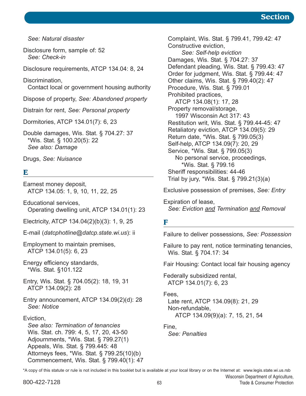*See: Natural disaster*

Disclosure form, sample of: 52 *See: Check-in*

Disclosure requirements, ATCP 134.04: 8, 24

Discrimination, Contact local or government housing authority

Dispose of property, *See: Abandoned property* 

Distrain for rent, *See: Personal property*

Dormitories, ATCP 134.01(7): 6, 23

Double damages, Wis. Stat. ß 704.27: 37 \*Wis. Stat. ß 100.20(5): 22 *See also: Damage*

Drugs, *See: Nuisance*

# **E**

Earnest money deposit, ATCP 134.05: 1, 9, 10, 11, 22, 25

Educational services, Operating dwelling unit, ATCP 134.01(1): 23

Electricity, ATCP 134.04(2)(b)(3): 1, 9, 25

E-mail (*datcphotline@datcp.state.wi.us*): ii

Employment to maintain premises, ATCP 134.01(5): 6, 23

Energy efficiency standards, \*Wis. Stat. ß101.122

Entry, Wis. Stat. ß 704.05(2): 18, 19, 31 ATCP 134.09(2): 28

Entry announcement, ATCP 134.09(2)(d): 28 *See: Notice*

#### **Eviction**

*See also: Termination of tenancies* Wis. Stat. ch. 799: 4, 5, 17, 20, 43-50 Adjournments, \*Wis. Stat. ß 799.27(1) Appeals, Wis. Stat. ß 799.445: 48 Attorneys fees, \*Wis. Stat. ß 799.25(10)(b) Commencement, Wis. Stat. ß 799.40(1): 47 Complaint, Wis. Stat. ß 799.41, 799.42: 47 Constructive eviction, *See: Self-help eviction* Damages, Wis. Stat. ß 704.27: 37 Defendant pleading, Wis. Stat. ß 799.43: 47 Order for judgment, Wis. Stat. ß 799.44: 47 Other claims, Wis. Stat. ß 799.40(2): 47 Procedure, Wis. Stat. ß 799.01 Prohibited practices, ATCP 134.08(1): 17, 28 Property removal/storage, 1997 Wisconsin Act 317: 43 Restitution writ, Wis. Stat. ß 799.44-45: 47 Retaliatory eviction, ATCP 134.09(5): 29 Return date, \*Wis. Stat. ß 799.05(3) Self-help, ATCP 134.09(7): 20, 29 Service, \*Wis. Stat. ß 799.05(3) No personal service, proceedings, \*Wis. Stat. ß 799.16 Sheriff responsibilities: 44-46 Trial by jury, \*Wis. Stat. ß 799.21(3)(a)

Exclusive possession of premises, *See: Entry*

Expiration of lease, *See: Eviction and Termination and Removal*

# **F**

Failure to deliver possessions, *See: Possession*

Failure to pay rent, notice terminating tenancies, Wis. Stat. ß 704.17: 34

Fair Housing: Contact local fair housing agency

Federally subsidized rental, ATCP 134.01(7): 6, 23

Fees,

Late rent, ATCP 134.09(8): 21, 29 Non-refundable, ATCP 134.09(9)(a): 7, 15, 21, 54

Fine,

*See: Penalties*

\*A copy of this statute or rule is not included in this booklet but is available at your local library or on the Internet at: www.legis.state.wi.us.rsb

Wisconsin Department of Agriculture,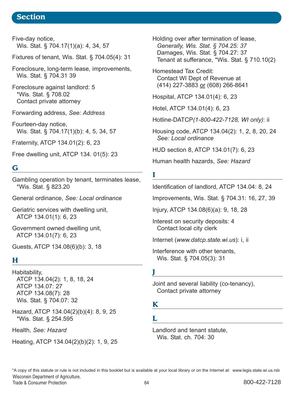Five-day notice, Wis. Stat. ß 704.17(1)(a): 4, 34, 57

Fixtures of tenant, Wis. Stat. ß 704.05(4): 31

Foreclosure, long-term lease, improvements, Wis. Stat. ß 704.31 39

Foreclosure against landlord: 5 \*Wis. Stat. ß 708.02 Contact private attorney

Forwarding address, *See: Address*

Fourteen-day notice, Wis. Stat. § 704.17(1)(b): 4, 5, 34, 57

Fraternity, ATCP 134.01(2): 6, 23

Free dwelling unit, ATCP 134. 01(5): 23

# **G**

Gambling operation by tenant, terminates lease, \*Wis. Stat. ß 823.20

General ordinance, *See: Local ordinance*

Geriatric services with dwelling unit, ATCP 134.01(1): 6, 23

Government owned dwelling unit, ATCP 134.01(7): 6, 23

Guests, ATCP 134.08(6)(b): 3, 18

# **H**

Habitability, ATCP 134.04(2): 1, 8, 18, 24 ATCP 134.07: 27 ATCP 134.08(7): 28 Wis. Stat. ß 704.07: 32

Hazard, ATCP 134.04(2)(b)(4): 8, 9, 25 \*Wis. Stat. ß 254.595

Health, *See: Hazard*

Heating, ATCP 134.04(2)(b)(2): 1, 9, 25

Holding over after termination of lease, *Generally, Wis. Stat. ß 704.25: 37* Damages, Wis. Stat. ß 704.27: 37 Tenant at sufferance, \*Wis. Stat. ß 710.10(2)

Homestead Tax Credit: Contact WI Dept of Revenue at (414) 227-3883 or (608) 266-8641

Hospital, ATCP 134.01(4): 6, 23

Hotel, ATCP 134.01(4): 6, 23

Hotline-DATCP*(1-800-422-7128, WI only)*: ii

Housing code, ATCP 134.04(2): 1, 2, 8, 20, 24 *See: Local ordinance*

HUD section 8, ATCP 134.01(7): 6, 23

Human health hazards, *See: Hazard*

# **I**

Identification of landlord, ATCP 134.04: 8, 24

Improvements, Wis. Stat. ß 704.31: 16, 27, 39

Injury, ATCP 134.08(6)(a): 9, 18, 28

Interest on security deposits: 4 Contact local city clerk

Internet (*www.datcp.state.wi.us*): i, ii

Interference with other tenants, Wis. Stat. ß 704.05(3): 31

**J**

Joint and several liability (co-tenancy), Contact private attorney

<u> 1989 - Johann Barn, mars eta bainar eta baina eta baina eta baina eta baina eta baina eta baina eta baina e</u>

# **K**

**L**

Landlord and tenant statute, Wis. Stat. ch. 704: 30

Wisconsin Department of Agriculture, Trade & Consumer Protection **64** 800-422-7128 \*A copy of this statute or rule is not included in this booklet but is available at your local library or on the Internet at: www.legis.state.wi.us.rsb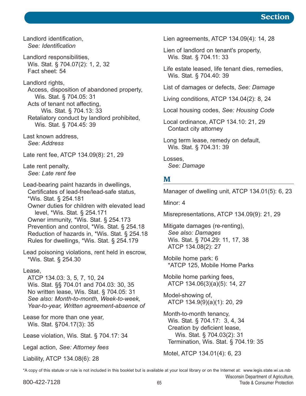Landlord identification, *See: Identification*

Landlord responsibilities, Wis. Stat. ß 704.07(2): 1, 2, 32 Fact sheet: 54

Landlord rights, Access, disposition of abandoned property, Wis. Stat. ß 704.05: 31 Acts of tenant not affecting, Wis. Stat. ß 704.13: 33 Retaliatory conduct by landlord prohibited, Wis. Stat. ß 704.45: 39

Last known address, *See: Address*

Late rent fee, ATCP 134.09(8): 21, 29

Late rent penalty, *See: Late rent fee*

Lead-bearing paint hazards in dwellings, Certificates of lead-free/lead-safe status, \*Wis. Stat. ß 254.181 Owner duties for children with elevated lead level, \*Wis. Stat. ß 254.171 Owner immunity, \*Wis. Stat. ß 254.173 Prevention and control, \*Wis. Stat. ß 254.18 Reduction of hazards in, \*Wis. Stat. ß 254.18 Rules for dwellings, \*Wis. Stat. ß 254.179

Lead poisoning violations, rent held in escrow, \*Wis. Stat. ß 254.30

#### Lease,

ATCP 134.03: 3, 5, 7, 10, 24 Wis. Stat. ßß 704.01 and 704.03: 30, 35 No written lease, Wis. Stat. ß 704.05: 31 *See also: Month-to-month, Week-to-week, Year-to-year, Written agreement-absence of*

Lease for more than one year, Wis. Stat. ß704.17(3): 35

Lease violation, Wis. Stat. ß 704.17: 34

Legal action, *See: Attorney fees*

Liability, ATCP 134.08(6): 28

Lien agreements, ATCP 134.09(4): 14, 28

Lien of landlord on tenant's property, Wis. Stat. ß 704.11: 33

Life estate leased, life tenant dies, remedies, Wis. Stat. ß 704.40: 39

List of damages or defects, *See: Damage*

Living conditions, ATCP 134.04(2): 8, 24

Local housing codes, *See: Housing Code*

Local ordinance, ATCP 134.10: 21, 29 Contact city attorney

Long term lease, remedy on default, Wis. Stat. ß 704.31: 39

Losses, *See: Damage*

#### **M**

Manager of dwelling unit, ATCP 134.01(5): 6, 23

Minor: 4

Misrepresentations, ATCP 134.09(9): 21, 29

Mitigate damages (re-renting), *See also: Damages* Wis. Stat. ß 704.29: 11, 17, 38 ATCP 134.08(2): 27

Mobile home park: 6 \*ATCP 125, Mobile Home Parks

Mobile home parking fees, ATCP 134.06(3)(a)(5): 14, 27

Model-showing of, ATCP 134.9(9)(a)(1): 20, 29

Month-to-month tenancy, Wis. Stat. ß 704.17: 3, 4, 34 Creation by deficient lease, Wis. Stat. ß 704.03(2): 31 Termination, Wis. Stat. ß 704.19: 35

Motel, ATCP 134.01(4): 6, 23

\*A copy of this statute or rule is not included in this booklet but is available at your local library or on the Internet at: www.legis.state.wi.us.rsb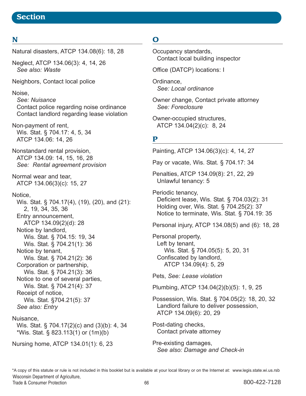# **N**

#### Natural disasters, ATCP 134.08(6): 18, 28

Neglect, ATCP 134.06(3): 4, 14, 26 *See also: Waste*

Neighbors, Contact local police

#### Noise,

*See: Nuisance* Contact police regarding noise ordinance Contact landlord regarding lease violation

Non-payment of rent, Wis. Stat. ß 704.17: 4, 5, 34 ATCP 134.06: 14, 26

Nonstandard rental provision, ATCP 134.09: 14, 15, 16, 28 *See: Rental agreement provision*

Normal wear and tear, ATCP 134.06(3)(c): 15, 27

#### Notice,

Wis. Stat. ß 704.17(4), (19), (20), and (21): 2, 19, 34, 35, 36 Entry announcement, ATCP 134.09(2)(d): 28 Notice by landlord, Wis. Stat. ß 704.15: 19, 34 Wis. Stat. ß 704.21(1): 36 Notice by tenant, Wis. Stat. ß 704.21(2): 36 Corporation or partnership, Wis. Stat. ß 704.21(3): 36 Notice to one of several parties, Wis. Stat. ß 704.21(4): 37 Receipt of notice, Wis. Stat. ß704.21(5): 37 *See also: Entry* Nuisance,

Wis. Stat. ß 704.17(2)(c) and (3)(b): 4, 34 \*Wis. Stat. ß 823.113(1) or (1m)(b)

Nursing home, ATCP 134.01(1): 6, 23

# **O**

Occupancy standards, Contact local building inspector

Office (DATCP) locations: I

Ordinance, *See: Local ordinance*

Owner change, Contact private attorney *See: Foreclosure*

Owner-occupied structures, ATCP 134.04(2)(c): 8, 24

# **P**

Painting, ATCP 134.06(3)(c): 4, 14, 27

Pay or vacate, Wis. Stat. ß 704.17: 34

Penalties, ATCP 134.09(8): 21, 22, 29 Unlawful tenancy: 5

Periodic tenancy,

Deficient lease, Wis. Stat. ß 704.03(2): 31 Holding over, Wis. Stat. ß 704.25(2): 37 Notice to terminate, Wis. Stat. ß 704.19: 35

Personal injury, ATCP 134.08(5) and (6): 18, 28

Personal property, Left by tenant, Wis. Stat. ß 704.05(5): 5, 20, 31 Confiscated by landlord, ATCP 134.09(4): 5, 29

Pets, *See: Lease violation*

Plumbing, ATCP 134.04(2)(b)(5): 1, 9, 25

Possession, Wis. Stat. ß 704.05(2): 18, 20, 32 Landlord failure to deliver possession, ATCP 134.09(6): 20, 29

Post-dating checks, Contact private attorney

Pre-existing damages, *See also: Damage and Check-in*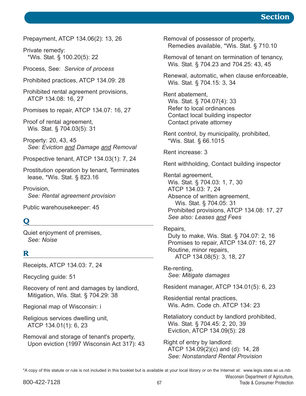Prepayment, ATCP 134.06(2): 13, 26

Private remedy: \*Wis. Stat. ß 100.20(5): 22

Process, See: *Service of process*

Prohibited practices, ATCP 134.09: 28

Prohibited rental agreement provisions, ATCP 134.08: 16, 27

Promises to repair, ATCP 134.07: 16, 27

Proof of rental agreement, Wis. Stat. ß 704.03(5): 31

Property: 20, 43, 45 *See: Eviction and Damage and Removal*

Prospective tenant, ATCP 134.03(1): 7, 24

Prostitution operation by tenant, Terminates lease, \*Wis. Stat. ß 823.16

Provision, *See: Rental agreement provision*

Public warehousekeeper: 45

# **Q**

Quiet enjoyment of premises, *See: Noise*

# **R**

Receipts, ATCP 134.03: 7, 24

Recycling guide: 51

Recovery of rent and damages by landlord, Mitigation, Wis. Stat. ß 704.29: 38

Regional map of Wisconsin: i

Religious services dwelling unit, ATCP 134.01(1): 6, 23

Removal and storage of tenant's property, Upon eviction (1997 Wisconsin Act 317): 43 Removal of possessor of property, Remedies available, \*Wis. Stat. ß 710.10

Removal of tenant on termination of tenancy, Wis. Stat. ß 704.23 and 704.25: 43, 45

Renewal, automatic, when clause enforceable, Wis. Stat. ß 704.15: 3, 34

Rent abatement, Wis. Stat. ß 704.07(4): 33 Refer to local ordinances Contact local building inspector Contact private attorney

Rent control, by municipality, prohibited, \*Wis. Stat. ß 66.1015

Rent increase: 3

Rent withholding, Contact building inspector

Rental agreement, Wis. Stat. ß 704.03: 1, 7, 30 ATCP 134.03: 7, 24 Absence of written agreement, Wis. Stat. ß 704.05: 31 Prohibited provisions, ATCP 134.08: 17, 27 *See also: Leases and Fees*

#### Repairs,

Duty to make, Wis. Stat. ß 704.07: 2, 16 Promises to repair, ATCP 134.07: 16, 27 Routine, minor repairs, ATCP 134.08(5): 3, 18, 27

Re-renting, *See: Mitigate damages*

Resident manager, ATCP 134.01(5): 6, 23

Residential rental practices, Wis. Adm. Code ch. ATCP 134: 23

Retaliatory conduct by landlord prohibited, Wis. Stat. ß 704.45: 2, 20, 39 Eviction, ATCP 134.09(5): 28

Right of entry by landlord: ATCP 134.09(2)(c) and (d): 14, 28 *See: Nonstandard Rental Provision*

Wisconsin Department of Agriculture, 800-422-7128 67 September 2000-422-7128 and the state of the state of the September 2000-422-7128 \*A copy of this statute or rule is not included in this booklet but is available at your local library or on the Internet at: www.legis.state.wi.us.rsb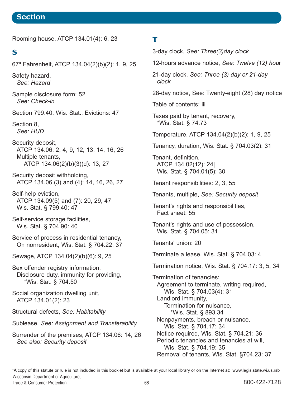Rooming house, ATCP 134.01(4): 6, 23

# **S**

67º Fahrenheit, ATCP 134.04(2)(b)(2): 1, 9, 25

Safety hazard, *See: Hazard*

Sample disclosure form: 52 *See: Check-in*

Section 799.40, Wis. Stat., Evictions: 47

Section 8, *See: HUD*

Security deposit, ATCP 134.06: 2, 4, 9, 12, 13, 14, 16, 26 Multiple tenants, ATCP 134.06(2)(b)(3)(d): 13, 27

Security deposit withholding, ATCP 134.06.(3) and (4): 14, 16, 26, 27

Self-help eviction, ATCP 134.09(5) and (7): 20, 29, 47 Wis. Stat. ß 799.40: 47

Self-service storage facilities, Wis. Stat. ß 704.90: 40

Service of process in residential tenancy, On nonresident, Wis. Stat. ß 704.22: 37

Sewage, ATCP 134.04(2)(b)(6): 9, 25

Sex offender registry information, Disclosure duty, immunity for providing, \*Wis. Stat. ß 704.50

Social organization dwelling unit, ATCP 134.01(2): 23

Structural defects, *See: Habitability*

Sublease, *See: Assignment and Transferability*

Surrender of the premises, ATCP 134.06: 14, 26 *See also: Security deposit*

**T** 3-day clock, *See: Three(3)day clock* 12-hours advance notice, *See: Twelve (12) hou*r 21-day clock, *See: Three (3) day or 21-day clock* 28-day notice, See: Twenty-eight (28) day notice Table of contents: iii Taxes paid by tenant, recovery, \*Wis. Stat. ß 74.73 Temperature, ATCP 134.04(2)(b)(2): 1, 9, 25 Tenancy, duration, Wis. Stat. ß 704.03(2): 31 Tenant, definition, ATCP 134.02(12): 24| Wis. Stat. ß 704.01(5): 30 Tenant responsibilities: 2, 3, 55 Tenants, multiple, *See: Security deposit* Tenant's rights and responsibilities, Fact sheet: 55 Tenant's rights and use of possession, Wis. Stat. ß 704.05: 31 Tenants' union: 20 Terminate a lease, Wis. Stat. ß 704.03: 4 Termination notice, Wis. Stat. ß 704.17: 3, 5, 34 Termination of tenancies: Agreement to terminate, writing required, Wis. Stat. ß 704.03(4): 31 Landlord immunity, Termination for nuisance, \*Wis. Stat. ß 893.34 Nonpayments, breach or nuisance, Wis. Stat. ß 704.17: 34 Notice required, Wis. Stat. ß 704.21: 36 Periodic tenancies and tenancies at will, Wis. Stat. ß 704.19: 35 Removal of tenants, Wis. Stat. ß704.23: 37

Wisconsin Department of Agriculture, Trade & Consumer Protection **68** 68 800-422-7128 \*A copy of this statute or rule is not included in this booklet but is available at your local library or on the Internet at: www.legis.state.wi.us.rsb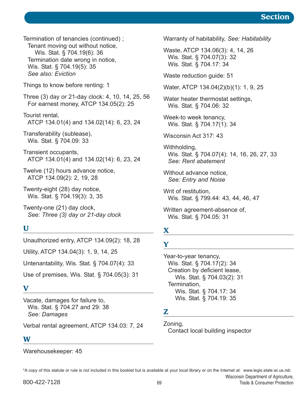Termination of tenancies (continued) ; Tenant moving out without notice, Wis. Stat. ß 704.19(6): 36 Termination date wrong in notice, Wis. Stat. ß 704.19(5): 35 *See also: Eviction*

Things to know before renting: 1

Three (3) day or 21-day clock: 4, 10, 14, 25, 56 For earnest money, ATCP 134.05(2): 25

Tourist rental, ATCP 134.01(4) and 134.02(14): 6, 23, 24

Transferability (sublease), Wis. Stat. ß 704.09: 33

Transient occupants, ATCP 134.01(4) and 134.02(14): 6, 23, 24

Twelve (12) hours advance notice, ATCP 134.09(2): 2, 19, 28

Twenty-eight (28) day notice, Wis. Stat. ß 704.19(3): 3, 35

Twenty-one (21) day clock, *See: Three (3) day or 21-day clock*

# **U**

Unauthorized entry, ATCP 134.09(2): 18, 28

Utility, ATCP 134.04(3): 1, 9, 14, 25

Untenantability, Wis. Stat. ß 704.07(4): 33

Use of premises, Wis. Stat. ß 704.05(3): 31

# **V**

Vacate, damages for failure to, Wis. Stat. ß 704.27 and 29: 38 *See: Damages*

Verbal rental agreement, ATCP 134.03: 7, 24

#### **W**

Warehousekeeper: 45

Warranty of habitability, *See: Habitability*

Waste, ATCP 134.06(3): 4, 14, 26 Wis. Stat. ß 704.07(3): 32 Wis. Stat. ß 704.17: 34

Waste reduction guide: 51

Water, ATCP 134.04(2)(b)(1): 1, 9, 25

Water heater thermostat settings, Wis. Stat. ß 704.06: 32

Week-to week tenancy, Wis. Stat. ß 704.17(1): 34

Wisconsin Act 317: 43

Withholding, Wis. Stat. ß 704.07(4): 14, 16, 26, 27, 33 *See: Rent abatement*

Without advance notice, *See: Entry and Noise*

Writ of restitution, Wis. Stat. ß 799.44: 43, 44, 46, 47

Written agreement-absence of, Wis. Stat. ß 704.05: 31

# **X**

# **Y**

Year-to-year tenancy, Wis. Stat. ß 704.17(2): 34 Creation by deficient lease, Wis. Stat. ß 704.03(2): 31 Termination, Wis. Stat. ß 704.17: 34 Wis. Stat. ß 704.19: 35

# **Z**

Zoning, Contact local building inspector

\*A copy of this statute or rule is not included in this booklet but is available at your local library or on the Internet at: www.legis.state.wi.us.rsb

Wisconsin Department of Agriculture,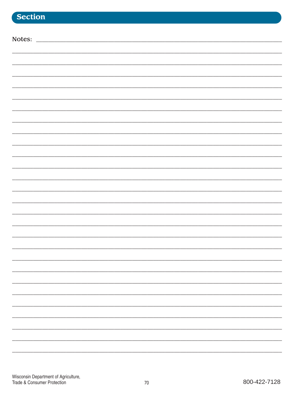| Notes: |  |
|--------|--|
|        |  |
|        |  |
|        |  |
|        |  |
|        |  |
|        |  |
|        |  |
|        |  |
|        |  |
|        |  |
|        |  |
|        |  |
|        |  |
|        |  |
|        |  |
|        |  |
|        |  |
|        |  |
|        |  |
|        |  |
|        |  |
|        |  |
|        |  |
|        |  |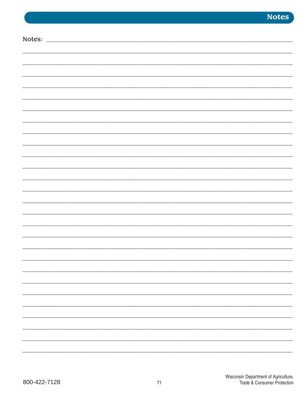**Notes** 

| Notes: |  |
|--------|--|
|        |  |
|        |  |
|        |  |
|        |  |
|        |  |
|        |  |
|        |  |
|        |  |
|        |  |
|        |  |
|        |  |
|        |  |
|        |  |
|        |  |
|        |  |
|        |  |
|        |  |
|        |  |
|        |  |
|        |  |
|        |  |
|        |  |
|        |  |
|        |  |
|        |  |
|        |  |
|        |  |
|        |  |
|        |  |
|        |  |
|        |  |
|        |  |
|        |  |
|        |  |
|        |  |
|        |  |
|        |  |
|        |  |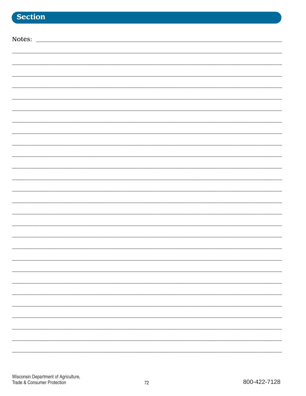## Section

| Notes: |  |
|--------|--|
|        |  |
|        |  |
|        |  |
|        |  |
|        |  |
|        |  |
|        |  |
|        |  |
|        |  |
|        |  |
|        |  |
|        |  |
|        |  |
|        |  |
|        |  |
|        |  |
|        |  |
|        |  |
|        |  |
|        |  |
|        |  |
|        |  |